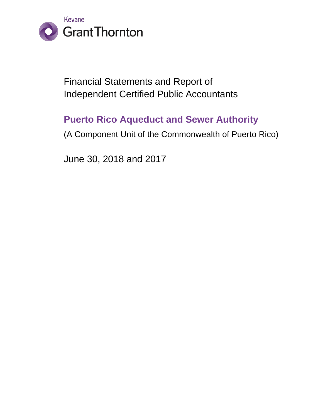

# Financial Statements and Report of Independent Certified Public Accountants

# **Puerto Rico Aqueduct and Sewer Authority**

(A Component Unit of the Commonwealth of Puerto Rico)

June 30, 2018 and 2017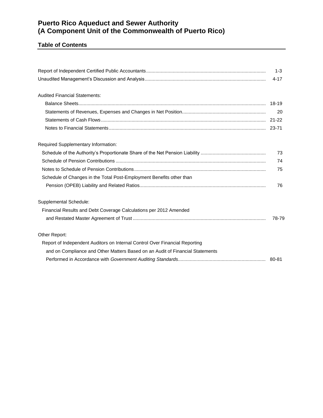## **Table of Contents**

|                                                                               | $1 - 3$  |
|-------------------------------------------------------------------------------|----------|
|                                                                               | $4 - 17$ |
| <b>Audited Financial Statements:</b>                                          |          |
|                                                                               |          |
|                                                                               | 20       |
|                                                                               |          |
|                                                                               |          |
| Required Supplementary Information:                                           |          |
|                                                                               | 73       |
|                                                                               | 74       |
|                                                                               | 75       |
| Schedule of Changes in the Total Post-Employment Benefits other than          |          |
|                                                                               | 76       |
| Supplemental Schedule:                                                        |          |
| Financial Results and Debt Coverage Calculations per 2012 Amended             |          |
|                                                                               | 78-79    |
| Other Report:                                                                 |          |
| Report of Independent Auditors on Internal Control Over Financial Reporting   |          |
| and on Compliance and Other Matters Based on an Audit of Financial Statements |          |
|                                                                               |          |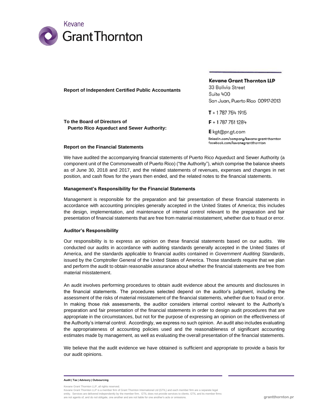

| <b>Report of Independent Certified Public Accountants</b> | Kevane Grant Thornton LLP<br>33 Bolivia Street<br>Suite 400<br>San Juan, Puerto Rico 00917-2013 |
|-----------------------------------------------------------|-------------------------------------------------------------------------------------------------|
|                                                           | $T + 17877541915$                                                                               |
| To the Board of Directors of                              | $F + 17877511284$                                                                               |
| <b>Puerto Rico Aqueduct and Sewer Authority:</b>          | <b>E</b> kgt@pr.gt.com                                                                          |
| <b>Report on the Financial Statements</b>                 | linkedin.com/company/kevane-grant-thornton<br>facebook.com/kevanegrantthornton                  |

#### **Report on the Financial Statements**

We have audited the accompanying financial statements of Puerto Rico Aqueduct and Sewer Authority (a component unit of the Commonwealth of Puerto Rico) ("the Authority"), which comprise the balance sheets as of June 30, 2018 and 2017, and the related statements of revenues, expenses and changes in net position, and cash flows for the years then ended, and the related notes to the financial statements.

#### **Management's Responsibility for the Financial Statements**

Management is responsible for the preparation and fair presentation of these financial statements in accordance with accounting principles generally accepted in the United States of America; this includes the design, implementation, and maintenance of internal control relevant to the preparation and fair presentation of financial statements that are free from material misstatement, whether due to fraud or error.

#### **Auditor's Responsibility**

Our responsibility is to express an opinion on these financial statements based on our audits. We conducted our audits in accordance with auditing standards generally accepted in the United States of America, and the standards applicable to financial audits contained in *Government Auditing Standards*, issued by the Comptroller General of the United States of America. Those standards require that we plan and perform the audit to obtain reasonable assurance about whether the financial statements are free from material misstatement.

An audit involves performing procedures to obtain audit evidence about the amounts and disclosures in the financial statements. The procedures selected depend on the auditor's judgment, including the assessment of the risks of material misstatement of the financial statements, whether due to fraud or error. In making those risk assessments, the auditor considers internal control relevant to the Authority's preparation and fair presentation of the financial statements in order to design audit procedures that are appropriate in the circumstances, but not for the purpose of expressing an opinion on the effectiveness of the Authority's internal control. Accordingly, we express no such opinion. An audit also includes evaluating the appropriateness of accounting policies used and the reasonableness of significant accounting estimates made by management, as well as evaluating the overall presentation of the financial statements.

We believe that the audit evidence we have obtained is sufficient and appropriate to provide a basis for our audit opinions.

Kevane Grant Thornton LLP, all rights reserved.

Kevane Grant Thornton LLP is a member firm of Grant Thornton International Ltd (GTIL) and each member firm are a separate legal entity. Services are delivered independently by the member firm. GTIL does not provide services to clients. GTIL and its member firms are not agents of, and do not obligate, one another and are not liable for one another's acts or omissions. **Grantmonton** on the another and are not another and are not liable for one another's acts or omissions.

**Audit | Tax | Advisory | Outsourcing**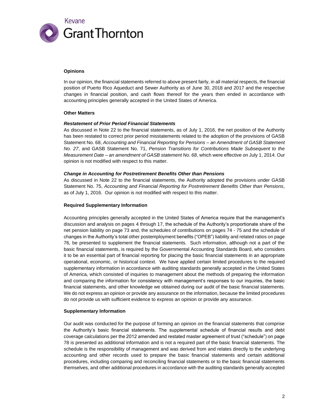

#### **Opinions**

In our opinion, the financial statements referred to above present fairly, in all material respects, the financial position of Puerto Rico Aqueduct and Sewer Authority as of June 30, 2018 and 2017 and the respective changes in financial position, and cash flows thereof for the years then ended in accordance with accounting principles generally accepted in the United States of America.

#### **Other Matters**

#### *Restatement of Prior Period Financial Statements*

As discussed in Note 22 to the financial statements, as of July 1, 2016, the net position of the Authority has been restated to correct prior period misstatements related to the adoption of the provisions of GASB Statement No. 68, *Accounting and Financial Reporting for Pensions – an Amendment of GASB Statement No. 27*, and GASB Statement No. 71, *Pension Transitions for Contributions Made Subsequent to the Measurement Date – an amendment of GASB statement No. 68*, which were effective on July 1, 2014. Our opinion is not modified with respect to this matter.

#### *Change in Accounting for Postretirement Benefits Other than Pensions*

As discussed in Note 22 to the financial statements, the Authority adopted the provisions under GASB Statement No. 75, *Accounting and Financial Reporting for Postretirement Benefits Other than Pensions*, as of July 1, 2016. Our opinion is not modified with respect to this matter.

### **Required Supplementary Information**

Accounting principles generally accepted in the United States of America require that the management's discussion and analysis on pages 4 through 17, the schedule of the Authority's proportionate share of the net pension liability on page 73 and, the schedules of contributions on pages 74 - 75 and the schedule of changes in the Authority's total other postemployment benefits ("OPEB") liability and related ratios on page 76, be presented to supplement the financial statements. Such information, although not a part of the basic financial statements, is required by the Governmental Accounting Standards Board, who considers it to be an essential part of financial reporting for placing the basic financial statements in an appropriate operational, economic, or historical context. We have applied certain limited procedures to the required supplementary information in accordance with auditing standards generally accepted in the United States of America, which consisted of inquiries to management about the methods of preparing the information and comparing the information for consistency with management's responses to our inquiries, the basic financial statements, and other knowledge we obtained during our audit of the basic financial statements. We do not express an opinion or provide any assurance on the information, because the limited procedures do not provide us with sufficient evidence to express an opinion or provide any assurance.

#### **Supplementary Information**

Our audit was conducted for the purpose of forming an opinion on the financial statements that comprise the Authority's basic financial statements. The supplemental schedule of financial results and debt coverage calculations per the 2012 amended and restated master agreement of trust ("schedule") on page 78 is presented as additional information and is not a required part of the basic financial statements. The schedule is the responsibility of management and was derived from and relates directly to the underlying accounting and other records used to prepare the basic financial statements and certain additional procedures, including comparing and reconciling financial statements or to the basic financial statements themselves, and other additional procedures in accordance with the auditing standards generally accepted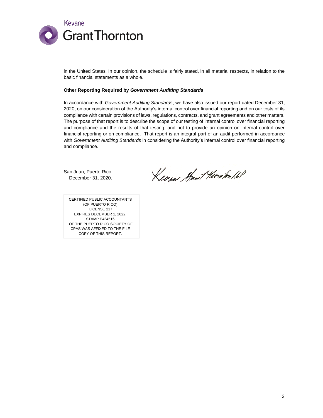

in the United States. In our opinion, the schedule is fairly stated, in all material respects, in relation to the basic financial statements as a whole.

#### **Other Reporting Required by** *Government Auditing Standards*

In accordance with *Government Auditing Standards*, we have also issued our report dated December 31, 2020, on our consideration of the Authority's internal control over financial reporting and on our tests of its compliance with certain provisions of laws, regulations, contracts, and grant agreements and other matters. The purpose of that report is to describe the scope of our testing of internal control over financial reporting and compliance and the results of that testing, and not to provide an opinion on internal control over financial reporting or on compliance. That report is an integral part of an audit performed in accordance with *Government Auditing Standards* in considering the Authority's internal control over financial reporting and compliance.

San Juan, Puerto Rico December 31, 2020.

Keesas Sant Hernton LhP

CERTIFIED PUBLIC ACCOUNTANTS (OF PUERTO RICO) LICENSE 217 EXPIRES DECEMBER 1, 2022. STAMP E424516 OF THE PUERTO RICO SOCIETY OF CPAS WAS AFFIXED TO THE FILE COPY OF THIS REPORT.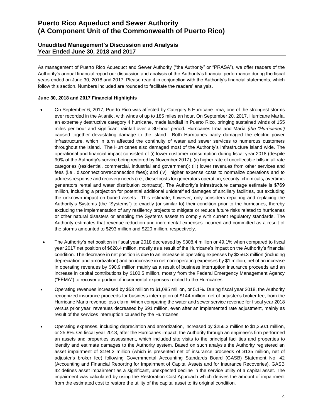### **Unaudited Management's Discussion and Analysis Year Ended June 30, 2018 and 2017**

As management of Puerto Rico Aqueduct and Sewer Authority ("the Authority" or "PRASA"), we offer readers of the Authority's annual financial report our discussion and analysis of the Authority's financial performance during the fiscal years ended on June 30, 2018 and 2017. Please read it in conjunction with the Authority's financial statements, which follow this section. Numbers included are rounded to facilitate the readers' analysis.

### **June 30, 2018 and 2017 Financial Highlights**

- On September 6, 2017, Puerto Rico was affected by Category 5 Hurricane Irma, one of the strongest storms ever recorded in the Atlantic, with winds of up to 185 miles an hour. On September 20, 2017, Hurricane María, an extremely destructive category 4 hurricane, made landfall in Puerto Rico, bringing sustained winds of 155 miles per hour and significant rainfall over a 30-hour period. Hurricanes Irma and María *(the "Hurricanes')* caused together devastating damage to the island. Both Hurricanes badly damaged the electric power infrastructure, which in turn affected the continuity of water and sewer services to numerous customers throughout the island. The Hurricanes also damaged most of the Authority's infrastructure island wide. The operational and financial impact consisted of (i) lower customer consumption during fiscal year 2018 (despite 90% of the Authority's service being restored by November 2017); (ii) higher rate of uncollectible bills in all rate categories (residential, commercial, industrial and government); (iii) lower revenues from other services and fees (i.e., disconnection/reconnection fees); and (iv) higher expense costs to normalize operations and to address response and recovery needs (i.e., diesel costs for generators operation, security, chemicals*,* overtime*,*  generators rental and water distribution contracts). The Authority's infrastructure damage estimate is \$769 million, including a projection for potential additional unidentified damages of ancillary facilities, but excluding the unknown impact on buried assets. This estimate, however, only considers repairing and replacing the Authority's Systems (the "Systems") to exactly (or similar to) their condition prior to the hurricanes, thereby excluding the implementation of any resiliency projects to mitigate or reduce future risks related to hurricanes or other natural disasters or enabling the Systems assets to comply with current regulatory standards. The Authority estimates that revenue reduction and incremental expenses incurred and committed as a result of the storms amounted to \$293 million and \$220 million, respectively.
- The Authority's net position in fiscal year 2018 decreased by \$308.4 million or 49.1% when compared to fiscal year 2017 net position of \$628.4 million, mostly as a result of the Hurricane's impact on the Authority's financial condition. The decrease in net position is due to an increase in operating expenses by \$256.3 million (including depreciation and amortization) and an increase in net non-operating expenses by \$1 million, net of an increase in operating revenues by \$90.9 million mainly as a result of business interruption insurance proceeds and an increase in capital contributions by \$100.5 million, mostly from the Federal Emergency Management Agency ("FEMA") to recover a portion of incremental expenses related to the Hurricanes.
- Operating revenues increased by \$53 million to \$1,085 million, or 5.1%. During fiscal year 2018, the Authority recognized insurance proceeds for business interruption of \$144 million, net of adjuster's broker fee, from the Hurricane Maria revenue loss claim. When comparing the water and sewer service revenue for fiscal year 2018 versus prior year, revenues decreased by \$91 million, even after an implemented rate adjustment, mainly as result of the services interruption caused by the Hurricanes.
- Operating expenses, including depreciation and amortization, increased by \$256.3 million to \$1,250.1 million, or 25.8%. On fiscal year 2018, after the Hurricanes impact, the Authority through an engineer's firm performed an assets and properties assessment, which included site visits to the principal facilities and properties to identify and estimate damages to the Authority system. Based on such analysis the Authority registered an asset impairment of \$194.2 million (which is presented net of insurance proceeds of \$135 million, net of adjuster's broker fee) following Governmental Accounting Standards Board (GASB) Statement No. 42 (Accounting and Financial Reporting for Impairment of Capital Assets and for Insurance Recoveries). GASB 42 defines asset impairment as a significant, unexpected decline in the service utility of a capital asset. The impairment was calculated by using the Restoration Cost Approach which derives the amount of impairment from the estimated cost to restore the utility of the capital asset to its original condition.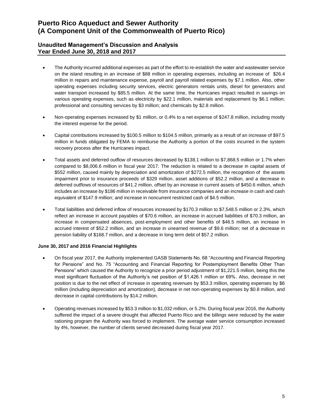### **Unaudited Management's Discussion and Analysis Year Ended June 30, 2018 and 2017**

- The Authority incurred additional expenses as part of the effort to re-establish the water and wastewater service on the island resulting in an increase of \$88 million in operating expenses, including an increase of \$26.4 million in repairs and maintenance expense, payroll and payroll related expenses by \$7.1 million. Also, other operating expenses including security services, electric generators rentals units, diesel for generators and water transport increased by \$85.5 million. At the same time, the Hurricanes impact resulted in savings on various operating expenses, such as electricity by \$22.1 million, materials and replacement by \$6.1 million; professional and consulting services by \$3 million; and chemicals by \$2.8 million.
- Non-operating expenses increased by \$1 million, or 0.4% to a net expense of \$247.8 million, including mostly the interest expense for the period.
- Capital contributions increased by \$100.5 million to \$104.5 million, primarily as a result of an increase of \$97.5 million in funds obligated by FEMA to reimburse the Authority a portion of the costs incurred in the system recovery process after the Hurricanes impact.
- Total assets and deferred outflow of resources decreased by \$138.1 million to \$7,868.5 million or 1.7% when compared to \$8,006.6 million in fiscal year 2017. The reduction is related to a decrease in capital assets of \$552 million, caused mainly by depreciation and amortization of \$272.5 million, the recognition of the assets impairment prior to insurance proceeds of \$329 million, asset additions of \$52.2 million, and a decrease in deferred outflows of resources of \$41.2 million, offset by an increase in current assets of \$450.6 million, which includes an increase by \$186 million in receivable from insurance companies and an increase in cash and cash equivalent of \$147.9 million; and increase in noncurrent restricted cash of \$4.5 million.
- Total liabilities and deferred inflow of resources increased by \$170.3 million to \$7,548.5 million or 2.3%, which reflect an increase in account payables of \$70.6 million, an increase in accrued liabilities of \$70.3 million, an increase in compensated absences, post-employment and other benefits of \$46.5 million, an increase in accrued interest of \$52.2 million, and an increase in unearned revenue of \$9.6 million; net of a decrease in pension liability of \$168.7 million, and a decrease in long term debt of \$57.2 million.

### **June 30, 2017 and 2016 Financial Highlights**

- On fiscal year 2017, the Authority implemented GASB Statements No. 68 "Accounting and Financial Reporting for Pensions" and No. 75 "Accounting and Financial Reporting for Postemployment Benefits Other Than Pensions" which caused the Authority to recognize a prior period adjustment of \$1,221.5 million, being this the most significant fluctuation of the Authority's net position of \$1,426.1 million or 69%. Also, decrease in net position is due to the net effect of increase in operating revenues by \$53.3 million, operating expenses by \$6 million (including depreciation and amortization), decrease in net non-operating expenses by \$0.8 million, and decrease in capital contributions by \$14.2 million.
- Operating revenues increased by \$53.3 million to \$1,032 million, or 5.2%. During fiscal year 2016, the Authority suffered the impact of a severe drought that affected Puerto Rico and the billings were reduced by the water rationing program the Authority was forced to implement. The average water service consumption increased by 4%, however, the number of clients served decreased during fiscal year 2017.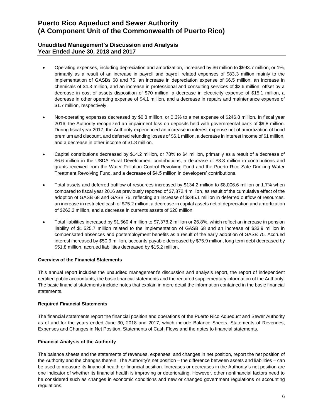### **Unaudited Management's Discussion and Analysis Year Ended June 30, 2018 and 2017**

- Operating expenses, including depreciation and amortization, increased by \$6 million to \$993.7 million, or 1%, primarily as a result of an increase in payroll and payroll related expenses of \$83.3 million mainly to the implementation of GASBs 68 and 75, an increase in depreciation expense of \$6.5 million, an increase in chemicals of \$4.3 million, and an increase in professional and consulting services of \$2.6 million, offset by a decrease in cost of assets disposition of \$70 million, a decrease in electricity expense of \$15.1 million, a decrease in other operating expense of \$4.1 million, and a decrease in repairs and maintenance expense of \$1.7 million, respectively.
- Non-operating expenses decreased by \$0.8 million, or 0.3% to a net expense of \$246.8 million. In fiscal year 2016, the Authority recognized an impairment loss on deposits held with governmental bank of \$9.8 million. During fiscal year 2017, the Authority experienced an increase in interest expense net of amortization of bond premium and discount, and deferred refunding losses of \$6.1 million, a decrease in interest income of \$1 million, and a decrease in other income of \$1.8 million.
- Capital contributions decreased by \$14.2 million, or 78% to \$4 million, primarily as a result of a decrease of \$6.6 million in the USDA Rural Development contributions, a decrease of \$3.3 million in contributions and grants received from the Water Pollution Control Revolving Fund and the Puerto Rico Safe Drinking Water Treatment Revolving Fund, and a decrease of \$4.5 million in developers' contributions.
- Total assets and deferred outflow of resources increased by \$134.2 million to \$8,006.6 million or 1.7% when compared to fiscal year 2016 as previously reported of \$7,872.4 million, as result of the cumulative effect of the adoption of GASB 68 and GASB 75, reflecting an increase of \$345.1 million in deferred outflow of resources, an increase in restricted cash of \$75.2 million, a decrease in capital assets net of depreciation and amortization of \$262.2 million, and a decrease in currents assets of \$20 million.
- Total liabilities increased by \$1,560.4 million to \$7,378.2 million or 26.8%, which reflect an increase in pension liability of \$1,525.7 million related to the implementation of GASB 68 and an increase of \$33.9 million in compensated absences and postemployment benefits as a result of the early adoption of GASB 75. Accrued interest increased by \$50.9 million, accounts payable decreased by \$75.9 million, long term debt decreased by \$51.8 million, accrued liabilities decreased by \$15.2 million.

### **Overview of the Financial Statements**

This annual report includes the unaudited management's discussion and analysis report, the report of independent certified public accountants, the basic financial statements and the required supplementary information of the Authority. The basic financial statements include notes that explain in more detail the information contained in the basic financial statements.

### **Required Financial Statements**

The financial statements report the financial position and operations of the Puerto Rico Aqueduct and Sewer Authority as of and for the years ended June 30, 2018 and 2017, which include Balance Sheets, Statements of Revenues, Expenses and Changes in Net Position, Statements of Cash Flows and the notes to financial statements.

### **Financial Analysis of the Authority**

The balance sheets and the statements of revenues, expenses, and changes in net position, report the net position of the Authority and the changes therein. The Authority's net position – the difference between assets and liabilities – can be used to measure its financial health or financial position. Increases or decreases in the Authority's net position are one indicator of whether its financial health is improving or deteriorating. However, other nonfinancial factors need to be considered such as changes in economic conditions and new or changed government regulations or accounting regulations.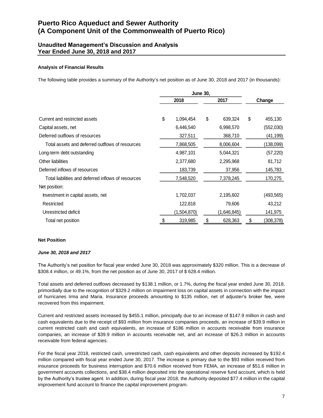### **Unaudited Management's Discussion and Analysis Year Ended June 30, 2018 and 2017**

### **Analysis of Financial Results**

The following table provides a summary of the Authority's net position as of June 30, 2018 and 2017 (in thousands):

|                                                     | <b>June 30,</b> |             |      |             |        |            |
|-----------------------------------------------------|-----------------|-------------|------|-------------|--------|------------|
|                                                     | 2018            |             | 2017 |             | Change |            |
|                                                     |                 |             |      |             |        |            |
| Current and restricted assets                       | \$              | 1,094,454   | \$   | 639,324     | \$     | 455,130    |
| Capital assets, net                                 |                 | 6,446,540   |      | 6,998,570   |        | (552,030)  |
| Deferred outflows of resources                      |                 | 327,511     |      | 368,710     |        | (41, 199)  |
| Total assets and deferred outflows of resources     |                 | 7,868,505   |      | 8,006,604   |        | (138,099)  |
| Long-term debt outstanding                          |                 | 4,987,101   |      | 5,044,321   |        | (57, 220)  |
| Other liabilities                                   |                 | 2,377,680   |      | 2,295,968   |        | 81,712     |
| Deferred inflows of resources                       |                 | 183,739     |      | 37,956      |        | 145,783    |
| Total liabilities and deferred inflows of resources |                 | 7,548,520   |      | 7,378,245   |        | 170,275    |
| Net position:                                       |                 |             |      |             |        |            |
| Investment in capital assets, net                   |                 | 1,702,037   |      | 2,195,602   |        | (493, 565) |
| Restricted                                          |                 | 122,818     |      | 79,606      |        | 43,212     |
| Unrestricted deficit                                |                 | (1,504,870) |      | (1,646,845) |        | 141,975    |
| Total net position                                  | \$              | 319,985     | \$   | 628,363     | \$     | (308, 378) |

#### **Net Position**

### *June 30, 2018 and 2017*

The Authority's net position for fiscal year ended June 30, 2018 was approximately \$320 million. This is a decrease of \$308.4 million, or 49.1%, from the net position as of June 30, 2017 of \$ 628.4 million.

Total assets and deferred outflows decreased by \$138.1 million, or 1.7%, during the fiscal year ended June 30, 2018, primordially due to the recognition of \$329.2 million on impairment loss on capital assets in connection with the impact of hurricanes Irma and Maria. Insurance proceeds amounting to \$135 million, net of adjuster's broker fee, were recovered from this impairment.

Current and restricted assets increased by \$455.1 million, principally due to an increase of \$147.9 million in cash and cash equivalents due to the receipt of \$93 million from insurance companies proceeds, an increase of \$39.9 million in current restricted cash and cash equivalents, an increase of \$186 million in accounts receivable from insurance companies, an increase of \$39.9 million in accounts receivable net, and an increase of \$26.3 million in accounts receivable from federal agencies.

For the fiscal year 2018, restricted cash, unrestricted cash, cash equivalents and other deposits increased by \$192.4 million compared with fiscal year ended June 30, 2017. The increase is primary due to the \$93 million received from insurance proceeds for business interruption and \$70.6 million received from FEMA, an increase of \$51.6 million in government accounts collections, and \$38.4 million deposited into the operational reserve fund account, which is held by the Authority's trustee agent. In addition, during fiscal year 2018, the Authority deposited \$77.4 million in the capital improvement fund account to finance the capital improvement program.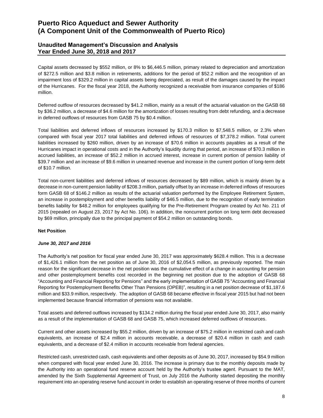### **Unaudited Management's Discussion and Analysis Year Ended June 30, 2018 and 2017**

Capital assets decreased by \$552 million, or 8% to \$6,446.5 million, primary related to depreciation and amortization of \$272.5 million and \$3.8 million in retirements, additions for the period of \$52.2 million and the recognition of an impairment loss of \$329.2 million in capital assets being depreciated, as result of the damages caused by the impact of the Hurricanes. For the fiscal year 2018, the Authority recognized a receivable from insurance companies of \$186 million.

Deferred outflow of resources decreased by \$41.2 million, mainly as a result of the actuarial valuation on the GASB 68 by \$36.2 million, a decrease of \$4.6 million for the amortization of losses resulting from debt refunding, and a decrease in deferred outflows of resources from GASB 75 by \$0.4 million.

Total liabilities and deferred inflows of resources increased by \$170.3 million to \$7,548.5 million, or 2.3% when compared with fiscal year 2017 total liabilities and deferred inflows of resources of \$7,378.2 million. Total current liabilities increased by \$260 million, driven by an increase of \$70.6 million in accounts payables as a result of the Hurricanes impact in operational costs and in the Authority's liquidity during that period, an increase of \$70.3 million in accrued liabilities, an increase of \$52.2 million in accrued interest, increase in current portion of pension liability of \$39.7 million and an increase of \$9.6 million in unearned revenue and increase in the current portion of long-term debt of \$10.7 million.

Total non-current liabilities and deferred inflows of resources decreased by \$89 million, which is mainly driven by a decrease in non-current pension liability of \$208.3 million, partially offset by an increase in deferred inflows of resources form GASB 68 of \$146.2 million as results of the actuarial valuation performed by the Employee Retirement System, an increase in postemployment and other benefits liability of \$46.5 million, due to the recognition of early termination benefits liability for \$48.2 million for employees qualifying for the Pre-Retirement Program created by Act No. 211 of 2015 (repealed on August 23, 2017 by Act No. 106). In addition, the noncurrent portion on long term debt decreased by \$69 million, principally due to the principal payment of \$54.2 million on outstanding bonds.

### **Net Position**

#### *June 30, 2017 and 2016*

The Authority's net position for fiscal year ended June 30, 2017 was approximately \$628.4 million. This is a decrease of \$1,426.1 million from the net position as of June 30, 2016 of \$2,054.5 million, as previously reported. The main reason for the significant decrease in the net position was the cumulative effect of a change in accounting for pension and other postemployment benefits cost recorded in the beginning net position due to the adoption of GASB 68 "Accounting and Financial Reporting for Pensions" and the early implementation of GASB 75 "Accounting and Financial Reporting for Postemployment Benefits Other Than Pensions (OPEB)", resulting in a net position decrease of \$1,187.6 million and \$33.9 million, respectively. The adoption of GASB 68 became effective in fiscal year 2015 but had not been implemented because financial information of pensions was not available.

Total assets and deferred outflows increased by \$134.2 million during the fiscal year ended June 30, 2017, also mainly as a result of the implementation of GASB 68 and GASB 75, which increased deferred outflows of resources.

Current and other assets increased by \$55.2 million, driven by an increase of \$75.2 million in restricted cash and cash equivalents, an increase of \$2.4 million in accounts receivable, a decrease of \$20.4 million in cash and cash equivalents, and a decrease of \$2.4 million in accounts receivable from federal agencies.

Restricted cash, unrestricted cash, cash equivalents and other deposits as of June 30, 2017, increased by \$54.9 million when compared with fiscal year ended June 30, 2016. The increase is primary due to the monthly deposits made by the Authority into an operational fund reserve account held by the Authority's trustee agent. Pursuant to the MAT, amended by the Sixth Supplemental Agreement of Trust, on July 2016 the Authority started depositing the monthly requirement into an operating reserve fund account in order to establish an operating reserve of three months of current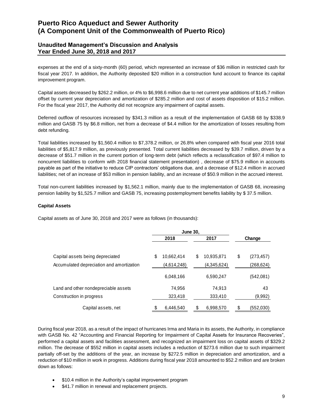### **Unaudited Management's Discussion and Analysis Year Ended June 30, 2018 and 2017**

expenses at the end of a sixty-month (60) period, which represented an increase of \$36 million in restricted cash for fiscal year 2017. In addition, the Authority deposited \$20 million in a construction fund account to finance its capital improvement program.

Capital assets decreased by \$262.2 million, or 4% to \$6,998.6 million due to net current year additions of \$145.7 million offset by current year depreciation and amortization of \$285.2 million and cost of assets disposition of \$15.2 million. For the fiscal year 2017, the Authority did not recognize any impairment of capital assets.

Deferred outflow of resources increased by \$341.3 million as a result of the implementation of GASB 68 by \$338.9 million and GASB 75 by \$6.8 million, net from a decrease of \$4.4 million for the amortization of losses resulting from debt refunding.

Total liabilities increased by \$1,560.4 million to \$7,378.2 million, or 26.8% when compared with fiscal year 2016 total liabilities of \$5,817.9 million, as previously presented. Total current liabilities decreased by \$39.7 million, driven by a decrease of \$51.7 million in the current portion of long-term debt (which reflects a reclassification of \$97.4 million to noncurrent liabilities to conform with 2018 financial statement presentation) , decrease of \$75.9 million in accounts payable as part of the initiative to reduce CIP contractors' obligations due, and a decrease of \$12.4 million in accrued liabilities; net of an increase of \$53 million in pension liability, and an increase of \$50.9 million in the accrued interest.

Total non-current liabilities increased by \$1,562.1 million, mainly due to the implementation of GASB 68, increasing pension liability by \$1,525.7 million and GASB 75, increasing postemployment benefits liability by \$ 37.5 million.

### **Capital Assets**

Capital assets as of June 30, 2018 and 2017 were as follows (in thousands):

|                                           |      | <b>June 30,</b> |   |             |    |            |  |
|-------------------------------------------|------|-----------------|---|-------------|----|------------|--|
|                                           | 2018 |                 |   | 2017        |    | Change     |  |
| Capital assets being depreciated          | \$   | 10,662,414      | S | 10,935,871  | \$ | (273, 457) |  |
| Accumulated depreciation and amortization |      | (4,614,248)     |   | (4,345,624) |    | (268, 624) |  |
|                                           |      | 6,048,166       |   | 6,590,247   |    | (542,081)  |  |
| Land and other nondepreciable assets      |      | 74,956          |   | 74.913      |    | 43         |  |
| Construction in progress                  |      | 323,418         |   | 333,410     |    | (9,992)    |  |
| Capital assets, net                       |      | 6,446,540       |   | 6,998,570   | S  | (552,030)  |  |

During fiscal year 2018, as a result of the impact of hurricanes Irma and Maria in its assets, the Authority, in compliance with GASB No. 42 "Accounting and Financial Reporting for Impairment of Capital Assets for Insurance Recoveries", performed a capital assets and facilities assessment, and recognized an impairment loss on capital assets of \$329.2 million. The decrease of \$552 million in capital assets includes a reduction of \$273.6 million due to such impairment partially off-set by the additions of the year, an increase by \$272.5 million in depreciation and amortization, and a reduction of \$10 million in work in progress. Additions during fiscal year 2018 amounted to \$52.2 million and are broken down as follows:

- \$10.4 million in the Authority's capital improvement program
- \$41.7 million in renewal and replacement projects.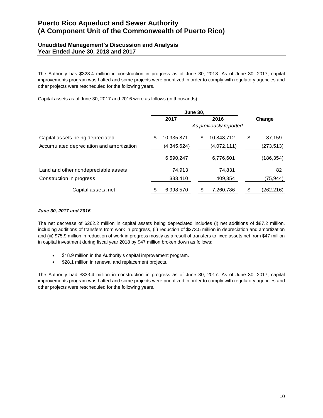### **Unaudited Management's Discussion and Analysis Year Ended June 30, 2018 and 2017**

The Authority has \$323.4 million in construction in progress as of June 30, 2018. As of June 30, 2017, capital improvements program was halted and some projects were prioritized in order to comply with regulatory agencies and other projects were rescheduled for the following years.

Capital assets as of June 30, 2017 and 2016 were as follows (in thousands):

|                                           | <b>June 30,</b> |             |    |                        |     |            |
|-------------------------------------------|-----------------|-------------|----|------------------------|-----|------------|
|                                           | 2017            |             |    | 2016                   |     | Change     |
|                                           |                 |             |    | As previously reported |     |            |
| Capital assets being depreciated          | \$              | 10,935,871  | \$ | 10.848.712             | \$  | 87,159     |
| Accumulated depreciation and amortization |                 | (4,345,624) |    | (4,072,111)            |     | (273,513)  |
|                                           |                 | 6,590,247   |    | 6,776,601              |     | (186, 354) |
| Land and other nondepreciable assets      |                 | 74.913      |    | 74.831                 |     | 82         |
| Construction in progress                  |                 | 333,410     |    | 409,354                |     | (75,944)   |
| Capital assets, net                       |                 | 6,998,570   |    | 7,260,786              | \$. | (262,216)  |

### *June 30, 2017 and 2016*

The net decrease of \$262.2 million in capital assets being depreciated includes (i) net additions of \$87.2 million, including additions of transfers from work in progress, (ii) reduction of \$273.5 million in depreciation and amortization and (iii) \$75.9 million in reduction of work in progress mostly as a result of transfers to fixed assets net from \$47 million in capital investment during fiscal year 2018 by \$47 million broken down as follows:

- \$18.9 million in the Authority's capital improvement program.
- \$28.1 million in renewal and replacement projects.

The Authority had \$333.4 million in construction in progress as of June 30, 2017. As of June 30, 2017, capital improvements program was halted and some projects were prioritized in order to comply with regulatory agencies and other projects were rescheduled for the following years.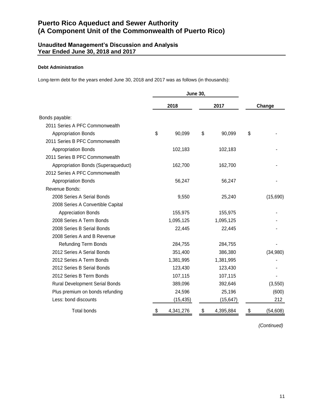### **Unaudited Management's Discussion and Analysis Year Ended June 30, 2018 and 2017**

### **Debt Administration**

Long-term debt for the years ended June 30, 2018 and 2017 was as follows (in thousands):

|                                     | <b>June 30,</b> |    |           |                 |
|-------------------------------------|-----------------|----|-----------|-----------------|
|                                     | 2018            |    | 2017      | Change          |
| Bonds payable:                      |                 |    |           |                 |
| 2011 Series A PFC Commonwealth      |                 |    |           |                 |
| <b>Appropriation Bonds</b>          | \$<br>90,099    | \$ | 90,099    | \$              |
| 2011 Series B PFC Commonwealth      |                 |    |           |                 |
| <b>Appropriation Bonds</b>          | 102,183         |    | 102,183   |                 |
| 2011 Series B PFC Commonwealth      |                 |    |           |                 |
| Appropriation Bonds (Superaqueduct) | 162,700         |    | 162,700   |                 |
| 2012 Series A PFC Commonwealth      |                 |    |           |                 |
| <b>Appropriation Bonds</b>          | 56,247          |    | 56,247    |                 |
| Revenue Bonds:                      |                 |    |           |                 |
| 2008 Series A Serial Bonds          | 9,550           |    | 25,240    | (15,690)        |
| 2008 Series A Convertible Capital   |                 |    |           |                 |
| <b>Appreciation Bonds</b>           | 155,975         |    | 155,975   |                 |
| 2008 Series A Term Bonds            | 1,095,125       |    | 1,095,125 |                 |
| 2008 Series B Serial Bonds          | 22,445          |    | 22,445    |                 |
| 2008 Series A and B Revenue         |                 |    |           |                 |
| <b>Refunding Term Bonds</b>         | 284,755         |    | 284,755   |                 |
| 2012 Series A Serial Bonds          | 351,400         |    | 386,380   | (34,980)        |
| 2012 Series A Term Bonds            | 1,381,995       |    | 1,381,995 |                 |
| 2012 Series B Serial Bonds          | 123,430         |    | 123,430   |                 |
| 2012 Series B Term Bonds            | 107,115         |    | 107,115   |                 |
| Rural Development Serial Bonds      | 389,096         |    | 392,646   | (3, 550)        |
| Plus premium on bonds refunding     | 24,596          |    | 25,196    | (600)           |
| Less: bond discounts                | (15, 435)       |    | (15, 647) | 212             |
| <b>Total bonds</b>                  | \$<br>4,341,276 | \$ | 4,395,884 | \$<br>(54, 608) |

*(Continued)*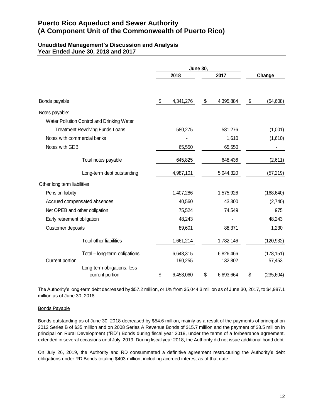### **Unaudited Management's Discussion and Analysis Year Ended June 30, 2018 and 2017**

|                               |                                                | <b>June 30,</b> |           |    |                |    |            |
|-------------------------------|------------------------------------------------|-----------------|-----------|----|----------------|----|------------|
|                               |                                                |                 | 2018      |    | 2017<br>Change |    |            |
| Bonds payable                 |                                                | \$              | 4,341,276 | \$ | 4,395,884      | \$ | (54, 608)  |
| Notes payable:                |                                                |                 |           |    |                |    |            |
|                               | Water Pollution Control and Drinking Water     |                 |           |    |                |    |            |
|                               | <b>Treatment Revolving Funds Loans</b>         |                 | 580,275   |    | 581,276        |    | (1,001)    |
| Notes with commercial banks   |                                                |                 |           |    | 1,610          |    | (1,610)    |
| Notes with GDB                |                                                |                 | 65,550    |    | 65,550         |    |            |
|                               | Total notes payable                            |                 | 645,825   |    | 648,436        |    | (2,611)    |
|                               | Long-term debt outstanding                     |                 | 4,987,101 |    | 5,044,320      |    | (57, 219)  |
| Other long term liabilities:  |                                                |                 |           |    |                |    |            |
| Pension liabilty              |                                                |                 | 1,407,286 |    | 1,575,926      |    | (168, 640) |
|                               | Accrued compensated absences                   |                 | 40,560    |    | 43,300         |    | (2,740)    |
| Net OPEB and other obligation |                                                |                 | 75,524    |    | 74,549         |    | 975        |
| Early retirement obligation   |                                                |                 | 48,243    |    |                |    | 48,243     |
| <b>Customer deposits</b>      |                                                |                 | 89,601    |    | 88,371         |    | 1,230      |
|                               | <b>Total other liabilities</b>                 |                 | 1,661,214 |    | 1,782,146      |    | (120, 932) |
|                               | Total - long-term obligations                  |                 | 6,648,315 |    | 6,826,466      |    | (178, 151) |
| Current portion               |                                                |                 | 190,255   |    | 132,802        |    | 57,453     |
|                               | Long-term obligations, less<br>current portion | \$              | 6,458,060 | \$ | 6,693,664      | \$ | (235, 604) |

The Authority's long-term debt decreased by \$57.2 million, or 1% from \$5,044.3 million as of June 30, 2017, to \$4,987.1 million as of June 30, 2018.

### Bonds Payable

Bonds outstanding as of June 30, 2018 decreased by \$54.6 million, mainly as a result of the payments of principal on 2012 Series B of \$35 million and on 2008 Series A Revenue Bonds of \$15.7 million and the payment of \$3.5 million in principal on Rural Development ("RD") Bonds during fiscal year 2018, under the terms of a forbearance agreement, extended in several occasions until July 2019. During fiscal year 2018, the Authority did not issue additional bond debt.

On July 26, 2019, the Authority and RD consummated a definitive agreement restructuring the Authority's debt obligations under RD Bonds totaling \$403 million, including accrued interest as of that date.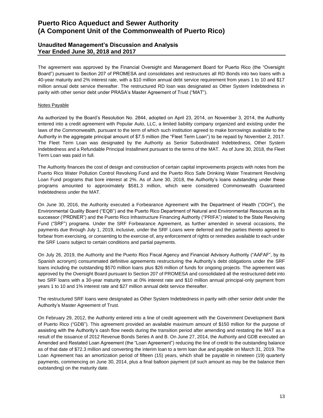### **Unaudited Management's Discussion and Analysis Year Ended June 30, 2018 and 2017**

The agreement was approved by the Financial Oversight and Management Board for Puerto Rico (the "Oversight Board") pursuant to Section 207 of PROMESA and consolidates and restructures all RD Bonds into two loans with a 40-year maturity and 2% interest rate, with a \$10 million annual debt service requirement from years 1 to 10 and \$17 million annual debt service thereafter. The restructured RD loan was designated as Other System Indebtedness in parity with other senior debt under PRASA's Master Agreement of Trust ("MAT").

### Notes Payable

As authorized by the Board's Resolution No. 2844, adopted on April 23, 2014, on November 3, 2014, the Authority entered into a credit agreement with Popular Auto, LLC, a limited liability company organized and existing under the laws of the Commonwealth, pursuant to the term of which such institution agreed to make borrowings available to the Authority in the aggregate principal amount of \$7.5 million (the "Fleet Term Loan") to be repaid by November 2, 2017. The Fleet Term Loan was designated by the Authority as Senior Subordinated Indebtedness, Other System Indebtedness and a Refundable Principal Installment pursuant to the terms of the MAT. As of June 30, 2018, the Fleet Term Loan was paid in full.

The Authority finances the cost of design and construction of certain capital improvements projects with notes from the Puerto Rico Water Pollution Control Revolving Fund and the Puerto Rico Safe Drinking Water Treatment Revolving Loan Fund programs that bore interest at 2%. As of June 30, 2018, the Authority's loans outstanding under these programs amounted to approximately \$581.3 million, which were considered Commonwealth Guaranteed Indebtedness under the MAT.

On June 30, 2016, the Authority executed a Forbearance Agreement with the Department of Health ("DOH"), the Environmental Quality Board ("EQB") and the Puerto Rico Department of Natural and Environmental Resources as its successor ('PRDNER") and the Puerto Rico Infrastructure Financing Authority ("PRIFA") related to the State Revolving Fund ("SRF") programs. Under the SRF Forbearance Agreement, as further amended in several occasions, the payments due through July 1, 2019, inclusive, under the SRF Loans were deferred and the parties thereto agreed to forbear from exercising, or consenting to the exercise of, any enforcement of rights or remedies available to each under the SRF Loans subject to certain conditions and partial payments.

On July 26, 2019, the Authority and the Puerto Rico Fiscal Agency and Financial Advisory Authority ("AAFAF", by its Spanish acronym) consummated definitive agreements restructuring the Authority's debt obligations under the SRF loans including the outstanding \$570 million loans plus \$26 million of funds for ongoing projects. The agreement was approved by the Oversight Board pursuant to Section 207 of PROMESA and consolidated all the restructured debt into two SRF loans with a 30-year maturity term at 0% interest rate and \$10 million annual principal-only payment from years 1 to 10 and 1% interest rate and \$27 million annual debt service thereafter.

The restructured SRF loans were designated as Other System Indebtedness in parity with other senior debt under the Authority's Master Agreement of Trust.

On February 29, 2012, the Authority entered into a line of credit agreement with the Government Development Bank of Puerto Rico ("GDB"). This agreement provided an available maximum amount of \$150 million for the purpose of assisting with the Authority's cash flow needs during the transition period after amending and restating the MAT as a result of the issuance of 2012 Revenue Bonds Series A and B. On June 27, 2014, the Authority and GDB executed an Amended and Restated Loan Agreement (the "Loan Agreement") reducing the line of credit to the outstanding balance as of that date of \$72.3 million and converting the interim loan to a term loan due and payable on March 31, 2019. The Loan Agreement has an amortization period of fifteen (15) years, which shall be payable in nineteen (19) quarterly payments, commencing on June 30, 2014, plus a final balloon payment (of such amount as may be the balance then outstanding) on the maturity date.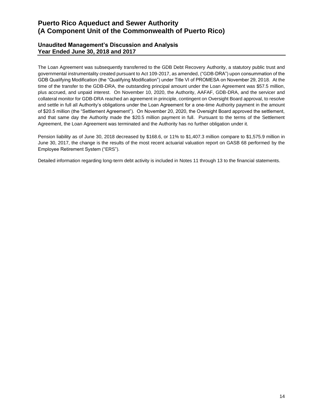### **Unaudited Management's Discussion and Analysis Year Ended June 30, 2018 and 2017**

The Loan Agreement was subsequently transferred to the GDB Debt Recovery Authority, a statutory public trust and governmental instrumentality created pursuant to Act 109-2017, as amended, ("GDB-DRA") upon consummation of the GDB Qualifying Modification (the "Qualifying Modification") under Title VI of PROMESA on November 29, 2018. At the time of the transfer to the GDB-DRA, the outstanding principal amount under the Loan Agreement was \$57.5 million, plus accrued, and unpaid interest. On November 10, 2020, the Authority, AAFAF, GDB-DRA, and the servicer and collateral monitor for GDB-DRA reached an agreement in principle, contingent on Oversight Board approval, to resolve and settle in full all Authority's obligations under the Loan Agreement for a one-time Authority payment in the amount of \$20.5 million (the "Settlement Agreement"). On November 20, 2020, the Oversight Board approved the settlement, and that same day the Authority made the \$20.5 million payment in full. Pursuant to the terms of the Settlement Agreement, the Loan Agreement was terminated and the Authority has no further obligation under it.

Pension liability as of June 30, 2018 decreased by \$168.6, or 11% to \$1,407.3 million compare to \$1,575.9 million in June 30, 2017, the change is the results of the most recent actuarial valuation report on GASB 68 performed by the Employee Retirement System ("ERS").

Detailed information regarding long-term debt activity is included in Notes 11 through 13 to the financial statements.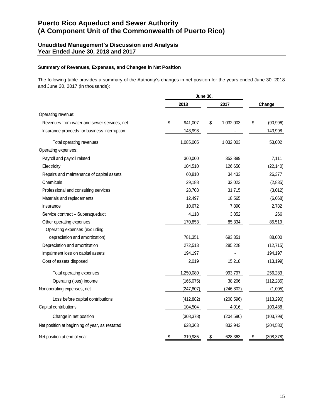### **Unaudited Management's Discussion and Analysis Year Ended June 30, 2018 and 2017**

### **Summary of Revenues, Expenses, and Changes in Net Position**

The following table provides a summary of the Authority's changes in net position for the years ended June 30, 2018 and June 30, 2017 (in thousands):

|                                                |      | <b>June 30,</b> |    |            |                  |
|------------------------------------------------|------|-----------------|----|------------|------------------|
|                                                | 2018 |                 |    | 2017       | Change           |
| Operating revenue:                             |      |                 |    |            |                  |
| Revenues from water and sewer services, net    | \$   | 941,007         | \$ | 1,032,003  | \$<br>(90, 996)  |
| Insurance proceeds for business interruption   |      | 143,998         |    |            | 143,998          |
| Total operating revenues                       |      | 1,085,005       |    | 1,032,003  | 53,002           |
| Operating expenses:                            |      |                 |    |            |                  |
| Payroll and payroll related                    |      | 360,000         |    | 352,889    | 7,111            |
| Electricity                                    |      | 104,510         |    | 126,650    | (22, 140)        |
| Repairs and maintenance of capital assets      |      | 60,810          |    | 34,433     | 26,377           |
| Chemicals                                      |      | 29,188          |    | 32,023     | (2,835)          |
| Professional and consulting services           |      | 28,703          |    | 31,715     | (3,012)          |
| Materials and replacements                     |      | 12,497          |    | 18,565     | (6,068)          |
| <b>Insurance</b>                               |      | 10,672          |    | 7,890      | 2,782            |
| Service contract - Superaqueduct               |      | 4,118           |    | 3,852      | 266              |
| Other operating expenses                       |      | 170,853         |    | 85,334     | 85,519           |
| Operating expenses (excluding                  |      |                 |    |            |                  |
| depreciation and amortization)                 |      | 781,351         |    | 693,351    | 88,000           |
| Depreciation and amortization                  |      | 272,513         |    | 285,228    | (12, 715)        |
| Impairment loss on capital assets              |      | 194,197         |    |            | 194,197          |
| Cost of assets disposed                        |      | 2,019           |    | 15,218     | (13, 199)        |
| Total operating expenses                       |      | 1,250,080       |    | 993,797    | 256,283          |
| Operating (loss) income                        |      | (165,075)       |    | 38,206     | (112, 285)       |
| Nonoperating expenses, net                     |      | (247, 807)      |    | (246, 802) | (1,005)          |
| Loss before capital contributions              |      | (412, 882)      |    | (208, 596) | (113, 290)       |
| Capital contributions                          |      | 104,504         |    | 4,016      | 100,488          |
| Change in net position                         |      | (308, 378)      |    | (204, 580) | (103, 798)       |
| Net position at beginning of year, as restated |      | 628,363         |    | 832,943    | (204, 580)       |
| Net position at end of year                    | \$   | 319,985         | \$ | 628,363    | \$<br>(308, 378) |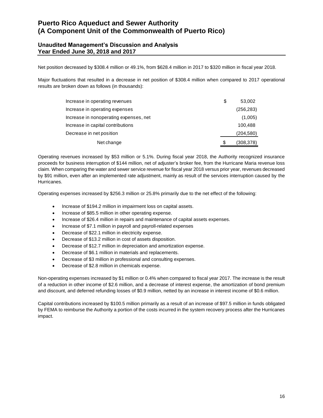### **Unaudited Management's Discussion and Analysis Year Ended June 30, 2018 and 2017**

Net position decreased by \$308.4 million or 49.1%, from \$628.4 million in 2017 to \$320 million in fiscal year 2018.

Major fluctuations that resulted in a decrease in net position of \$308.4 million when compared to 2017 operational results are broken down as follows (in thousands):

| Increase in operating revenues         | \$<br>53.002     |
|----------------------------------------|------------------|
| Increase in operating expenses         | (256, 283)       |
| Increase in nonoperating expenses, net | (1,005)          |
| Increase in capital contributions      | 100,488          |
| Decrease in net position               | (204, 580)       |
| Net change                             | \$<br>(308, 378) |

Operating revenues increased by \$53 million or 5.1%. During fiscal year 2018, the Authority recognized insurance proceeds for business interruption of \$144 million, net of adjuster's broker fee, from the Hurricane Maria revenue loss claim. When comparing the water and sewer service revenue for fiscal year 2018 versus prior year, revenues decreased by \$91 million, even after an implemented rate adjustment, mainly as result of the services interruption caused by the Hurricanes.

Operating expenses increased by \$256.3 million or 25.8% primarily due to the net effect of the following:

- Increase of \$194.2 million in impairment loss on capital assets.
- Increase of \$85.5 million in other operating expense.
- Increase of \$26.4 million in repairs and maintenance of capital assets expenses.
- Increase of \$7.1 million in payroll and payroll-related expenses
- Decrease of \$22.1 million in electricity expense.
- Decrease of \$13.2 million in cost of assets disposition.
- Decrease of \$12.7 million in depreciation and amortization expense.
- Decrease of \$6.1 million in materials and replacements.
- Decrease of \$3 million in professional and consulting expenses.
- Decrease of \$2.8 million in chemicals expense.

Non-operating expenses increased by \$1 million or 0.4% when compared to fiscal year 2017. The increase is the result of a reduction in other income of \$2.6 million, and a decrease of interest expense, the amortization of bond premium and discount, and deferred refunding losses of \$0.9 million, netted by an increase in interest income of \$0.6 million.

Capital contributions increased by \$100.5 million primarily as a result of an increase of \$97.5 million in funds obligated by FEMA to reimburse the Authority a portion of the costs incurred in the system recovery process after the Hurricanes impact.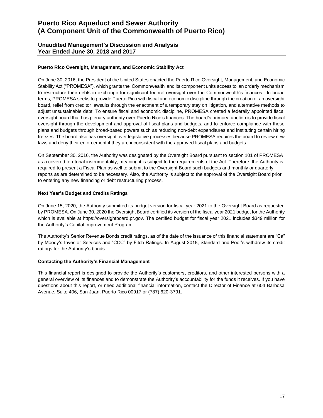### **Unaudited Management's Discussion and Analysis Year Ended June 30, 2018 and 2017**

### **Puerto Rico Oversight, Management, and Economic Stability Act**

On June 30, 2016, the President of the United States enacted the Puerto Rico Oversight, Management, and Economic Stability Act ("PROMESA"), which grants the Commonwealth and its component units access to an orderly mechanism to restructure their debts in exchange for significant federal oversight over the Commonwealth's finances. In broad terms, PROMESA seeks to provide Puerto Rico with fiscal and economic discipline through the creation of an oversight board, relief from creditor lawsuits through the enactment of a temporary stay on litigation, and alternative methods to adjust unsustainable debt. To ensure fiscal and economic discipline, PROMESA created a federally appointed fiscal oversight board that has plenary authority over Puerto Rico's finances. The board's primary function is to provide fiscal oversight through the development and approval of fiscal plans and budgets, and to enforce compliance with those plans and budgets through broad-based powers such as reducing non-debt expenditures and instituting certain hiring freezes. The board also has oversight over legislative processes because PROMESA requires the board to review new laws and deny their enforcement if they are inconsistent with the approved fiscal plans and budgets.

On September 30, 2016, the Authority was designated by the Oversight Board pursuant to section 101 of PROMESA as a covered territorial instrumentality, meaning it is subject to the requirements of the Act. Therefore, the Authority is required to present a Fiscal Plan as well to submit to the Oversight Board such budgets and monthly or quarterly reports as are determined to be necessary. Also, the Authority is subject to the approval of the Oversight Board prior to entering any new financing or debt restructuring process.

### **Next Year's Budget and Credits Ratings**

On June 15, 2020, the Authority submitted its budget version for fiscal year 2021 to the Oversight Board as requested by PROMESA. On June 30, 2020 the Oversight Board certified its version of the fiscal year 2021 budget for the Authority which is available at [https://oversightboard.pr.gov.](https://oversightboard.pr.gov/) The certified budget for fiscal year 2021 includes \$349 million for the Authority's Capital Improvement Program.

The Authority's Senior Revenue Bonds credit ratings, as of the date of the issuance of this financial statement are "Ca" by Moody's Investor Services and "CCC" by Fitch Ratings. In August 2018, Standard and Poor's withdrew its credit ratings for the Authority's bonds.

### **Contacting the Authority's Financial Management**

This financial report is designed to provide the Authority's customers, creditors, and other interested persons with a general overview of its finances and to demonstrate the Authority's accountability for the funds it receives. If you have questions about this report, or need additional financial information, contact the Director of Finance at 604 Barbosa Avenue, Suite 406, San Juan, Puerto Rico 00917 or (787) 620-3791.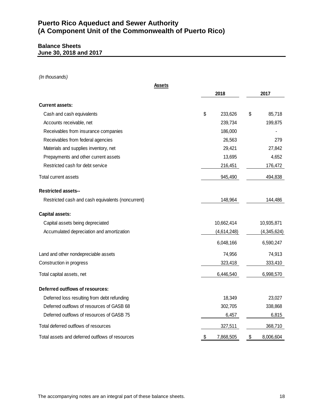### **Balance Sheets June 30, 2018 and 2017**

*(In thousands)*

| <b>Assets</b>                                     |                 |    |             |
|---------------------------------------------------|-----------------|----|-------------|
|                                                   | 2018            |    | 2017        |
| <b>Current assets:</b>                            |                 |    |             |
| Cash and cash equivalents                         | \$<br>233,626   | \$ | 85,718      |
| Accounts receivable, net                          | 239,734         |    | 199,875     |
| Receivables from insurance companies              | 186,000         |    |             |
| Receivables from federal agencies                 | 26,563          |    | 279         |
| Materials and supplies inventory, net             | 29,421          |    | 27,842      |
| Prepayments and other current assets              | 13,695          |    | 4,652       |
| Restricted cash for debt service                  | 216,451         |    | 176,472     |
| Total current assets                              | 945,490         |    | 494,838     |
| <b>Restricted assets--</b>                        |                 |    |             |
| Restricted cash and cash equivalents (noncurrent) | 148,964         |    | 144,486     |
| <b>Capital assets:</b>                            |                 |    |             |
| Capital assets being depreciated                  | 10,662,414      |    | 10,935,871  |
| Accumulated depreciation and amortization         | (4,614,248)     |    | (4,345,624) |
|                                                   | 6,048,166       |    | 6,590,247   |
| Land and other nondepreciable assets              | 74,956          |    | 74,913      |
| Construction in progress                          | 323,418         |    | 333,410     |
| Total capital assets, net                         | 6,446,540       |    | 6,998,570   |
| Deferred outflows of resources:                   |                 |    |             |
| Deferred loss resulting from debt refunding       | 18,349          |    | 23,027      |
| Deferred outflows of resources of GASB 68         | 302,705         |    | 338,868     |
| Deferred outflows of resources of GASB 75         | 6,457           |    | 6,815       |
| Total deferred outflows of resources              | 327,511         |    | 368,710     |
| Total assets and deferred outflows of resources   | \$<br>7,868,505 | \$ | 8,006,604   |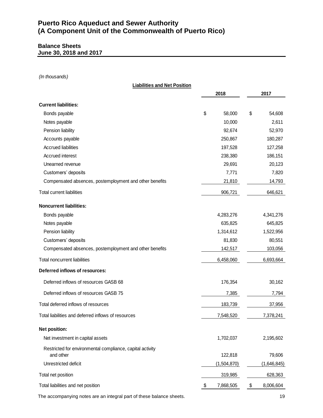### **Balance Sheets June 30, 2018 and 2017**

*(In thousands)*

| <b>Liabilities and Net Position</b>                                    |      |             |                 |
|------------------------------------------------------------------------|------|-------------|-----------------|
|                                                                        | 2018 |             | 2017            |
| <b>Current liabilities:</b>                                            |      |             |                 |
| Bonds payable                                                          | \$   | 58,000      | \$<br>54,608    |
| Notes payable                                                          |      | 10,000      | 2,611           |
| Pension liability                                                      |      | 92,674      | 52,970          |
| Accounts payable                                                       |      | 250,867     | 180,287         |
| <b>Accrued liabilities</b>                                             |      | 197,528     | 127,258         |
| Accrued interest                                                       |      | 238,380     | 186,151         |
| Unearned revenue                                                       |      | 29,691      | 20,123          |
| Customers' deposits                                                    |      | 7,771       | 7,820           |
| Compensated absences, postemployment and other benefits                |      | 21,810      | 14,793          |
| <b>Total current liabilities</b>                                       |      | 906,721     | 646,621         |
| <b>Noncurrent liabilities:</b>                                         |      |             |                 |
| Bonds payable                                                          |      | 4,283,276   | 4,341,276       |
| Notes payable                                                          |      | 635,825     | 645,825         |
| Pension liability                                                      |      | 1,314,612   | 1,522,956       |
| Customers' deposits                                                    |      | 81,830      | 80,551          |
| Compensated absences, postemployment and other benefits                |      | 142,517     | 103,056         |
| <b>Total noncurrent liabilities</b>                                    |      | 6,458,060   | 6,693,664       |
| Deferred inflows of resources:                                         |      |             |                 |
| Deferred inflows of resources GASB 68                                  |      | 176,354     | 30,162          |
| Deferred inflows of resources GASB 75                                  |      | 7,385       | 7,794           |
| Total deferred inflows of resources                                    |      | 183,739     | 37,956          |
| Total liabilities and deferred inflows of resources                    |      | 7,548,520   | 7,378,241       |
| Net position:                                                          |      |             |                 |
| Net investment in capital assets                                       |      | 1,702,037   | 2,195,602       |
| Restricted for environmental compliance, capital activity<br>and other |      | 122,818     | 79,606          |
| Unrestricted deficit                                                   |      | (1,504,870) | (1,646,845)     |
| Total net position                                                     |      | 319,985     | 628,363         |
| Total liabilities and net position                                     | \$   | 7,868,505   | \$<br>8,006,604 |

The accompanying notes are an integral part of these balance sheets. 19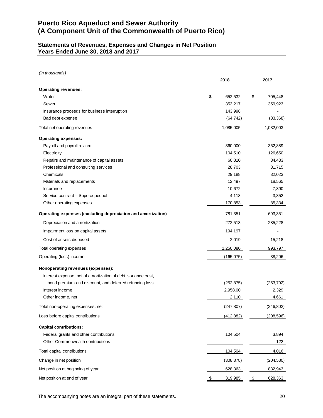### **Statements of Revenues, Expenses and Changes in Net Position Years Ended June 30, 2018 and 2017**

*(In thousands)*

|                                                              | 2018          |               |
|--------------------------------------------------------------|---------------|---------------|
| <b>Operating revenues:</b>                                   |               |               |
| Water                                                        | \$<br>652,532 | \$<br>705,448 |
| Sewer                                                        | 353,217       | 359,923       |
| Insurance proceeds for business interruption                 | 143,998       |               |
| Bad debt expense                                             | (64, 742)     | (33, 368)     |
| Total net operating revenues                                 | 1,085,005     | 1,032,003     |
| <b>Operating expenses:</b>                                   |               |               |
| Payroll and payroll related                                  | 360,000       | 352,889       |
| Electricity                                                  | 104,510       | 126,650       |
| Repairs and maintenance of capital assets                    | 60,810        | 34,433        |
| Professional and consulting services                         | 28,703        | 31,715        |
| Chemicals                                                    | 29,188        | 32,023        |
| Materials and replacements                                   | 12,497        | 18,565        |
| Insurance                                                    | 10,672        | 7,890         |
| Service contract - Superaqueduct                             | 4,118         | 3,852         |
| Other operating expenses                                     | 170,853       | 85,334        |
| Operating expenses (excluding depreciation and amortization) | 781,351       | 693,351       |
| Depreciation and amortization                                | 272,513       | 285,228       |
| Impairment loss on capital assets                            | 194,197       |               |
| Cost of assets disposed                                      | 2,019         | 15,218        |
| Total operating expenses                                     | 1,250,080     | 993,797       |
| Operating (loss) income                                      | (165, 075)    | 38,206        |
| Nonoperating revenues (expenses):                            |               |               |
| Interest expense, net of amortization of debt issuance cost, |               |               |
| bond premium and discount, and deferred refunding loss       | (252, 875)    | (253, 792)    |
| Interest income                                              | 2,958.00      | 2,329         |
| Other income, net                                            | 2,110         | 4,661         |
| Total non-operating expenses, net                            | (247, 807)    | (246, 802)    |
| Loss before capital contributions                            | (412, 882)    | (208, 596)    |
| <b>Capital contributions:</b>                                |               |               |
| Federal grants and other contributions                       | 104,504       | 3,894         |
| Other Commonwealth contributions                             |               | 122           |
| Total capital contributions                                  | 104,504       | 4,016         |
| Change in net position                                       | (308, 378)    | (204, 580)    |
| Net position at beginning of year                            | 628,363       | 832,943       |
| Net position at end of year                                  | \$<br>319,985 | \$<br>628,363 |

The accompanying notes are an integral part of these statements. 20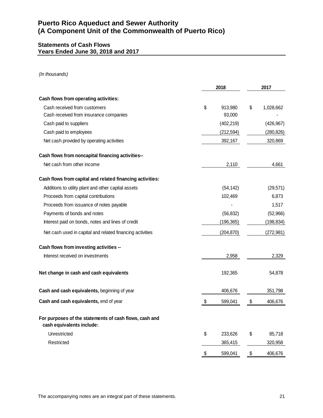### **Statements of Cash Flows Years Ended June 30, 2018 and 2017**

*(In thousands)*

|                                                                                     | 2018          | 2017 |            |  |
|-------------------------------------------------------------------------------------|---------------|------|------------|--|
| Cash flows from operating activities:                                               |               |      |            |  |
| Cash received from customers                                                        | \$<br>913,980 | \$   | 1,028,662  |  |
| Cash received from insurance companies                                              | 93,000        |      |            |  |
| Cash paid to suppliers                                                              | (402, 219)    |      | (426, 967) |  |
| Cash paid to employees                                                              | (212, 594)    |      | (280, 826) |  |
| Net cash provided by operating activities                                           | 392,167       |      | 320,869    |  |
| Cash flows from noncapital financing activities--                                   |               |      |            |  |
| Net cash from other income                                                          | 2,110         |      | 4,661      |  |
| Cash flows from capital and related financing activities:                           |               |      |            |  |
| Additions to utility plant and other capital assets                                 | (54, 142)     |      | (29, 571)  |  |
| Proceeds from capital contributions                                                 | 102,469       |      | 6,873      |  |
| Proceeds from issuance of notes payable                                             |               |      | 1,517      |  |
| Payments of bonds and notes                                                         | (56, 832)     |      | (52,966)   |  |
| Interest paid on bonds, notes and lines of credit                                   | (196, 365)    |      | (198, 834) |  |
| Net cash used in capital and related financing activities                           | (204,870)     |      | (272,981)  |  |
| Cash flows from investing activities --                                             |               |      |            |  |
| Interest received on investments                                                    | 2,958         |      | 2,329      |  |
| Net change in cash and cash equivalents                                             | 192,365       |      | 54,878     |  |
| Cash and cash equivalents, beginning of year                                        | 406,676       |      | 351,798    |  |
| Cash and cash equivalents, end of year                                              | \$<br>599,041 | \$   | 406,676    |  |
| For purposes of the statements of cash flows, cash and<br>cash equivalents include: |               |      |            |  |
| Unrestricted                                                                        | \$<br>233,626 | \$   | 85,718     |  |
| Restricted                                                                          | 365,415       |      | 320,958    |  |
|                                                                                     | \$<br>599,041 | \$   | 406,676    |  |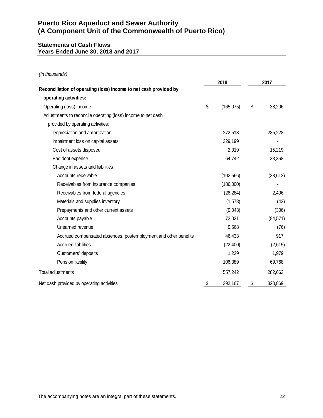### **Statements of Cash Flows Years Ended June 30, 2018 and 2017**

*(In thousands)*

|                                                                   | 2018             | 2017 |           |  |
|-------------------------------------------------------------------|------------------|------|-----------|--|
| Reconciliation of operating (loss) income to net cash provided by |                  |      |           |  |
| operating activities:                                             |                  |      |           |  |
| Operating (loss) income                                           | \$<br>(165, 075) | \$   | 38,206    |  |
| Adjustments to reconcile operating (loss) income to net cash      |                  |      |           |  |
| provided by operating activities:                                 |                  |      |           |  |
| Depreciation and amortization                                     | 272,513          |      | 285,228   |  |
| Impairment loss on capital assets                                 | 329,199          |      |           |  |
| Cost of assets disposed                                           | 2,019            |      | 15,219    |  |
| Bad debt expense                                                  | 64,742           |      | 33,368    |  |
| Change in assets and liabilities:                                 |                  |      |           |  |
| Accounts receivable                                               | (102, 566)       |      | (38, 612) |  |
| Receivables from insurance companies                              | (186,000)        |      |           |  |
| Receivables from federal agencies                                 | (26, 284)        |      | 2,406     |  |
| Materials and supplies inventory                                  | (1,578)          |      | (42)      |  |
| Prepayments and other current assets                              | (9,043)          |      | (306)     |  |
| Accounts payable                                                  | 73,021           |      | (84, 571) |  |
| Unearned revenue                                                  | 9,568            |      | (76)      |  |
| Accrued compensated absences, postemployment and other benefits   | 46,433           |      | 917       |  |
| <b>Accrued liabilities</b>                                        | (22, 400)        |      | (2,615)   |  |
| Customers' deposits                                               | 1,229            |      | 1,979     |  |
| Pension liability                                                 | 106,389          |      | 69,768    |  |
| Total adjustments                                                 | 557,242          |      | 282,663   |  |
| Net cash provided by operating activities                         | \$<br>392,167    | \$   | 320,869   |  |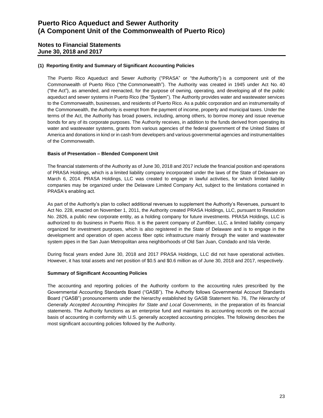### **Notes to Financial Statements June 30, 2018 and 2017**

### **(1) Reporting Entity and Summary of Significant Accounting Policies**

The Puerto Rico Aqueduct and Sewer Authority ("PRASA" or "the Authority") is a component unit of the Commonwealth of Puerto Rico ("the Commonwealth"). The Authority was created in 1945 under Act No. 40 ("the Act"), as amended, and reenacted, for the purpose of owning, operating, and developing all of the public aqueduct and sewer systems in Puerto Rico (the "System"). The Authority provides water and wastewater services to the Commonwealth, businesses, and residents of Puerto Rico. As a public corporation and an instrumentality of the Commonwealth, the Authority is exempt from the payment of income, property and municipal taxes. Under the terms of the Act, the Authority has broad powers, including, among others, to borrow money and issue revenue bonds for any of its corporate purposes. The Authority receives, in addition to the funds derived from operating its water and wastewater systems, grants from various agencies of the federal government of the United States of America and donations in kind or in cash from developers and various governmental agencies and instrumentalities of the Commonwealth.

#### **Basis of Presentation – Blended Component Unit**

The financial statements of the Authority as of June 30, 2018 and 2017 include the financial position and operations of PRASA Holdings, which is a limited liability company incorporated under the laws of the State of Delaware on March 6, 2014. PRASA Holdings, LLC was created to engage in lawful activities, for which limited liability companies may be organized under the Delaware Limited Company Act, subject to the limitations contained in PRASA's enabling act.

As part of the Authority's plan to collect additional revenues to supplement the Authority's Revenues, pursuant to Act No. 228, enacted on November 1, 2011, the Authority created PRASA Holdings, LLC, pursuant to Resolution No. 2826, a public new corporate entity, as a holding company for future investments. PRASA Holdings, LLC is authorized to do business in Puerto Rico. It is the parent company of Zumfiber, LLC, a limited liability company organized for investment purposes, which is also registered in the State of Delaware and is to engage in the development and operation of open access fiber optic infrastructure mainly through the water and wastewater system pipes in the San Juan Metropolitan area neighborhoods of Old San Juan, Condado and Isla Verde.

During fiscal years ended June 30, 2018 and 2017 PRASA Holdings, LLC did not have operational activities. However, it has total assets and net position of \$0.5 and \$0.6 million as of June 30, 2018 and 2017, respectively.

#### **Summary of Significant Accounting Policies**

The accounting and reporting policies of the Authority conform to the accounting rules prescribed by the Governmental Accounting Standards Board ("GASB"). The Authority follows Governmental Account Standards Board ("GASB") pronouncements under the hierarchy established by GASB Statement No. 76, *The Hierarchy of Generally Accepted Accounting Principles for State and Local Governments,* in the preparation of its financial statements. The Authority functions as an enterprise fund and maintains its accounting records on the accrual basis of accounting in conformity with U.S. generally accepted accounting principles. The following describes the most significant accounting policies followed by the Authority.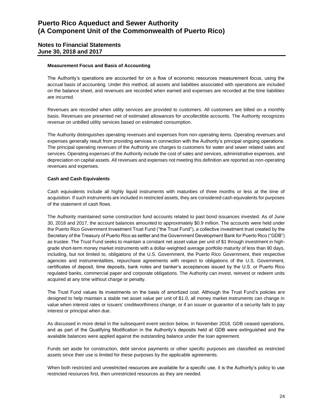### **Notes to Financial Statements June 30, 2018 and 2017**

#### **Measurement Focus and Basis of Accounting**

The Authority's operations are accounted for on a flow of economic resources measurement focus, using the accrual basis of accounting. Under this method, all assets and liabilities associated with operations are included on the balance sheet, and revenues are recorded when earned and expenses are recorded at the time liabilities are incurred.

Revenues are recorded when utility services are provided to customers. All customers are billed on a monthly basis. Revenues are presented net of estimated allowances for uncollectible accounts. The Authority recognizes revenue on unbilled utility services based on estimated consumption.

The Authority distinguishes operating revenues and expenses from non-operating items. Operating revenues and expenses generally result from providing services in connection with the Authority's principal ongoing operations. The principal operating revenues of the Authority are charges to customers for water and sewer related sales and services. Operating expenses of the Authority include the cost of sales and services, administrative expenses, and depreciation on capital assets. All revenues and expenses not meeting this definition are reported as non-operating revenues and expenses.

#### **Cash and Cash Equivalents**

Cash equivalents include all highly liquid instruments with maturities of three months or less at the time of acquisition. If such instruments are included in restricted assets, they are considered cash equivalents for purposes of the statement of cash flows.

The Authority maintained some construction fund accounts related to past bond issuances invested. As of June 30, 2018 and 2017, the account balances amounted to approximately \$0.9 million. The accounts were held under the Puerto Rico Government Investment Trust Fund ("the Trust Fund"), a collective investment trust created by the Secretary of the Treasury of Puerto Rico as settler and the Government Development Bank for Puerto Rico ("GDB") as trustee. The Trust Fund seeks to maintain a constant net asset value per unit of \$1 through investment in highgrade short-term money market instruments with a dollar-weighted average portfolio maturity of less than 90 days, including, but not limited to, obligations of the U.S. Government, the Puerto Rico Government, their respective agencies and instrumentalities, repurchase agreements with respect to obligations of the U.S. Government, certificates of deposit, time deposits, bank notes and banker's acceptances issued by the U.S. or Puerto Rico regulated banks, commercial paper and corporate obligations. The Authority can invest, reinvest or redeem units acquired at any time without charge or penalty.

The Trust Fund values its investments on the basis of amortized cost. Although the Trust Fund's policies are designed to help maintain a stable net asset value per unit of \$1.0, all money market instruments can change in value when interest rates or issuers' creditworthiness change, or if an issuer or guarantor of a security fails to pay interest or principal when due.

As discussed in more detail in the subsequent event section below, in November 2018, GDB ceased operations, and as part of the Qualifying Modification in the Authority's deposits held at GDB were extinguished and the available balances were applied against the outstanding balance under the loan agreement.

Funds set aside for construction, debt service payments or other specific purposes are classified as restricted assets since their use is limited for these purposes by the applicable agreements.

When both restricted and unrestricted resources are available for a specific use, it is the Authority's policy to use restricted resources first, then unrestricted resources as they are needed.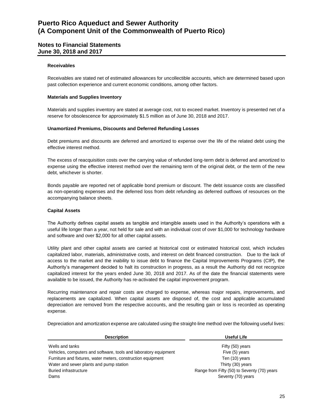### **Notes to Financial Statements June 30, 2018 and 2017**

#### **Receivables**

Receivables are stated net of estimated allowances for uncollectible accounts, which are determined based upon past collection experience and current economic conditions, among other factors.

#### **Materials and Supplies Inventory**

Materials and supplies inventory are stated at average cost, not to exceed market. Inventory is presented net of a reserve for obsolescence for approximately \$1.5 million as of June 30, 2018 and 2017.

### **Unamortized Premiums, Discounts and Deferred Refunding Losses**

Debt premiums and discounts are deferred and amortized to expense over the life of the related debt using the effective interest method.

The excess of reacquisition costs over the carrying value of refunded long-term debt is deferred and amortized to expense using the effective interest method over the remaining term of the original debt, or the term of the new debt, whichever is shorter.

Bonds payable are reported net of applicable bond premium or discount. The debt issuance costs are classified as non-operating expenses and the deferred loss from debt refunding as deferred outflows of resources on the accompanying balance sheets.

#### **Capital Assets**

The Authority defines capital assets as tangible and intangible assets used in the Authority's operations with a useful life longer than a year, not held for sale and with an individual cost of over \$1,000 for technology hardware and software and over \$2,000 for all other capital assets.

Utility plant and other capital assets are carried at historical cost or estimated historical cost, which includes capitalized labor, materials, administrative costs, and interest on debt financed construction. Due to the lack of access to the market and the inability to issue debt to finance the Capital Improvements Programs (CIP), the Authority's management decided to halt its construction in progress, as a result the Authority did not recognize capitalized interest for the years ended June 30, 2018 and 2017. As of the date the financial statements were available to be issued, the Authority has re-activated the capital improvement program.

Recurring maintenance and repair costs are charged to expense, whereas major repairs, improvements, and replacements are capitalized. When capital assets are disposed of, the cost and applicable accumulated depreciation are removed from the respective accounts, and the resulting gain or loss is recorded as operating expense.

Depreciation and amortization expense are calculated using the straight-line method over the following useful lives:

| <b>Description</b>                                               | <b>Useful Life</b>                          |
|------------------------------------------------------------------|---------------------------------------------|
| Wells and tanks                                                  | Fifty (50) years                            |
| Vehicles, computers and software, tools and laboratory equipment | Five (5) years                              |
| Furniture and fixtures, water meters, construction equipment     | Ten (10) years                              |
| Water and sewer plants and pump station                          | Thirty (30) years                           |
| <b>Buried infrastructure</b>                                     | Range from Fifty (50) to Seventy (70) years |
| Dams                                                             | Seventy (70) years                          |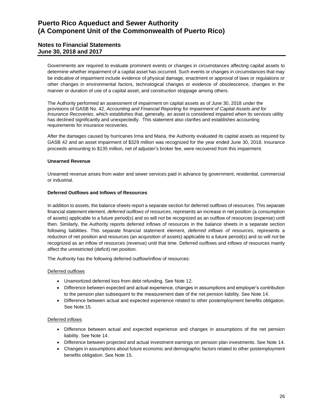### **Notes to Financial Statements June 30, 2018 and 2017**

Governments are required to evaluate prominent events or changes in circumstances affecting capital assets to determine whether impairment of a capital asset has occurred. Such events or changes in circumstances that may be indicative of impairment include evidence of physical damage, enactment or approval of laws or regulations or other changes in environmental factors, technological changes or evidence of obsolescence, changes in the manner or duration of use of a capital asset, and construction stoppage among others.

The Authority performed an assessment of impairment on capital assets as of June 30, 2018 under the provisions of GASB No. 42, *Accounting and Financial Reporting for Impairment of Capital Assets and for Insurance Recoveries*, which establishes that, generally, an asset is considered impaired when its services utility has declined significantly and unexpectedly. This statement also clarifies and establishes accounting requirements for insurance recoveries.

After the damages caused by hurricanes Irma and Maria, the Authority evaluated its capital assets as required by GASB 42 and an asset impairment of \$329 million was recognized for the year ended June 30, 2018. Insurance proceeds amounting to \$135 million, net of adjuster's broker fee, were recovered from this impairment.

### **Unearned Revenue**

Unearned revenue arises from water and sewer services paid in advance by government, residential, commercial or industrial.

### **Deferred Outflows and Inflows of Resources**

In addition to assets, the balance sheets report a separate section for deferred outflows of resources. This separate financial statement element, *deferred outflows of resources,* represents an increase in net position (a consumption of assets) applicable to a future period(s) and so will *not* be recognized as an outflow of resources (expense) until then. Similarly, the Authority reports deferred inflows of resources in the balance sheets in a separate section following liabilities. This separate financial statement element, *deferred inflows of resources,* represents a reduction of net position and resources (an acquisition of assets) applicable to a future period(s) and so will *not* be recognized as an inflow of resources (revenue) until that time. Deferred outflows and inflows of resources mainly affect the unrestricted (deficit) net position.

The Authority has the following deferred outflow/inflow of resources:

### Deferred outflows

- Unamortized deferred loss from debt refunding. See Note 12.
- Difference between expected and actual experience, changes in assumptions and employer's contribution to the pension plan subsequent to the measurement date of the net pension liability. See Note 14.
- Difference between actual and expected experience related to other postemployment benefits obligation. See Note 15.

#### Deferred inflows

- Difference between actual and expected experience and changes in assumptions of the net pension liability. See Note 14.
- Difference between projected and actual investment earnings on pension plan investments. See Note 14.
- Changes in assumptions about future economic and demographic factors related to other postemployment benefits obligation. See Note 15.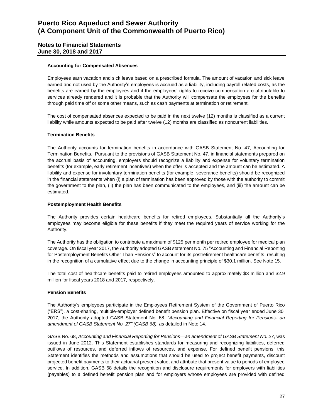### **Notes to Financial Statements June 30, 2018 and 2017**

#### **Accounting for Compensated Absences**

Employees earn vacation and sick leave based on a prescribed formula. The amount of vacation and sick leave earned and not used by the Authority's employees is accrued as a liability, including payroll related costs, as the benefits are earned by the employees and if the employees' rights to receive compensation are attributable to services already rendered and it is probable that the Authority will compensate the employees for the benefits through paid time off or some other means, such as cash payments at termination or retirement.

The cost of compensated absences expected to be paid in the next twelve (12) months is classified as a current liability while amounts expected to be paid after twelve (12) months are classified as noncurrent liabilities.

### **Termination Benefits**

The Authority accounts for termination benefits in accordance with GASB Statement No. 47, Accounting for Termination Benefits. Pursuant to the provisions of GASB Statement No. 47, in financial statements prepared on the accrual basis of accounting, employers should recognize a liability and expense for voluntary termination benefits (for example, early retirement incentives) when the offer is accepted and the amount can be estimated. A liability and expense for involuntary termination benefits (for example, severance benefits) should be recognized in the financial statements when (i) a plan of termination has been approved by those with the authority to commit the government to the plan, (ii) the plan has been communicated to the employees, and (iii) the amount can be estimated.

#### **Postemployment Health Benefits**

The Authority provides certain healthcare benefits for retired employees. Substantially all the Authority's employees may become eligible for these benefits if they meet the required years of service working for the Authority.

The Authority has the obligation to contribute a maximum of \$125 per month per retired employee for medical plan coverage. On fiscal year 2017, the Authority adopted GASB statement No. 75 "Accounting and Financial Reporting for Postemployment Benefits Other Than Pensions" to account for its postretirement healthcare benefits, resulting in the recognition of a cumulative effect due to the change in accounting principle of \$30.1 million. See Note 15.

The total cost of healthcare benefits paid to retired employees amounted to approximately \$3 million and \$2.9 million for fiscal years 2018 and 2017, respectively.

#### **Pension Benefits**

The Authority's employees participate in the Employees Retirement System of the Government of Puerto Rico ("ERS"), a cost-sharing, multiple-employer defined benefit pension plan. Effective on fiscal year ended June 30, 2017, the Authority adopted GASB Statement No. 68, "*Accounting and Financial Reporting for Pensions- an amendment of GASB Statement No. 27" (GASB 68), as* detailed in Note 14.

GASB No. 68, *Accounting and Financial Reporting for Pensions—an amendment of GASB Statement No. 27*, was issued in June 2012. This Statement establishes standards for measuring and recognizing liabilities, deferred outflows of resources, and deferred inflows of resources, and expense. For defined benefit pensions, this Statement identifies the methods and assumptions that should be used to project benefit payments, discount projected benefit payments to their actuarial present value, and attribute that present value to periods of employee service. In addition, GASB 68 details the recognition and disclosure requirements for employers with liabilities (payables) to a defined benefit pension plan and for employers whose employees are provided with defined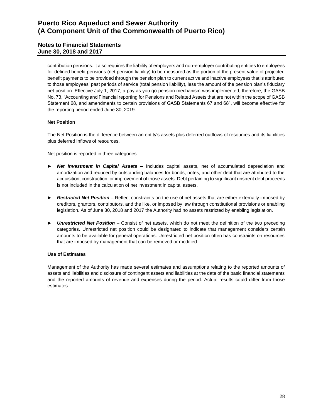### **Notes to Financial Statements June 30, 2018 and 2017**

contribution pensions. It also requires the liability of employers and non-employer contributing entities to employees for defined benefit pensions (net pension liability) to be measured as the portion of the present value of projected benefit payments to be provided through the pension plan to current active and inactive employees that is attributed to those employees' past periods of service (total pension liability), less the amount of the pension plan's fiduciary net position. Effective July 1, 2017, a pay as you go pension mechanism was implemented, therefore, the GASB No. 73, "Accounting and Financial reporting for Pensions and Related Assets that are not within the scope of GASB Statement 68, and amendments to certain provisions of GASB Statements 67 and 68", will become effective for the reporting period ended June 30, 2019.

### **Net Position**

The Net Position is the difference between an entity's assets plus deferred outflows of resources and its liabilities plus deferred inflows of resources.

Net position is reported in three categories:

- ► *Net Investment in Capital Assets* Includes capital assets, net of accumulated depreciation and amortization and reduced by outstanding balances for bonds, notes, and other debt that are attributed to the acquisition, construction, or improvement of those assets. Debt pertaining to significant unspent debt proceeds is not included in the calculation of net investment in capital assets.
- ► *Restricted Net Position* Reflect constraints on the use of net assets that are either externally imposed by creditors, grantors, contributors, and the like, or imposed by law through constitutional provisions or enabling legislation. As of June 30, 2018 and 2017 the Authority had no assets restricted by enabling legislation.
- ► *Unrestricted Net Position* Consist of net assets, which do not meet the definition of the two preceding categories. Unrestricted net position could be designated to indicate that management considers certain amounts to be available for general operations. Unrestricted net position often has constraints on resources that are imposed by management that can be removed or modified.

### **Use of Estimates**

Management of the Authority has made several estimates and assumptions relating to the reported amounts of assets and liabilities and disclosure of contingent assets and liabilities at the date of the basic financial statements and the reported amounts of revenue and expenses during the period. Actual results could differ from those estimates.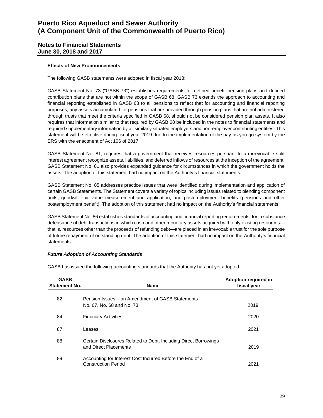### **Notes to Financial Statements June 30, 2018 and 2017**

#### **Effects of New Pronouncements**

The following GASB statements were adopted in fiscal year 2018:

GASB Statement No. 73 ("GASB 73") establishes requirements for defined benefit pension plans and defined contribution plans that are not within the scope of GASB 68. GASB 73 extends the approach to accounting and financial reporting established in GASB 68 to all pensions to reflect that for accounting and financial reporting purposes, any assets accumulated for pensions that are provided through pension plans that are not administered through trusts that meet the criteria specified in GASB 68, should not be considered pension plan assets. It also requires that information similar to that required by GASB 68 be included in the notes to financial statements and required supplementary information by all similarly situated employers and non-employer contributing entities. This statement will be effective during fiscal year 2019 due to the implementation of the pay-as-you-go system by the ERS with the enactment of Act 106 of 2017.

GASB Statement No. 81, requires that a government that receives resources pursuant to an irrevocable split interest agreement recognize assets, liabilities, and deferred inflows of resources at the inception of the agreement. GASB Statement No. 81 also provides expanded guidance for circumstances in which the government holds the assets. The adoption of this statement had no impact on the Authority's financial statements.

GASB Statement No. 85 addresses practice issues that were identified during implementation and application of certain GASB Statements. The Statement covers a variety of topics including issues related to blending component units, goodwill, fair value measurement and application, and postemployment benefits (pensions and other postemployment benefit). The adoption of this statement had no impact on the Authority's financial statements.

GASB Statement No. 86 establishes standards of accounting and financial reporting requirements, for in substance defeasance of debt transactions in which cash and other monetary assets acquired with only existing resources that is, resources other than the proceeds of refunding debt—are placed in an irrevocable trust for the sole purpose of future repayment of outstanding debt. The adoption of this statement had no impact on the Authority's financial statements

#### *Future Adoption of Accounting Standards*

**GASB Statement No. Name Adoption required in fiscal year** 82 Pension Issues – an Amendment of GASB Statements No. 67, No. 68 and No. 73 2019 84 **Fiduciary Activities 2020 Figure 2020** 87 Leases 2021 88 Certain Disclosures Related to Debt, Including Direct Borrowings and Direct Placements 2019 89 Accounting for Interest Cost Incurred Before the End of a Construction Period 2021

GASB has issued the following accounting standards that the Authority has not yet adopted: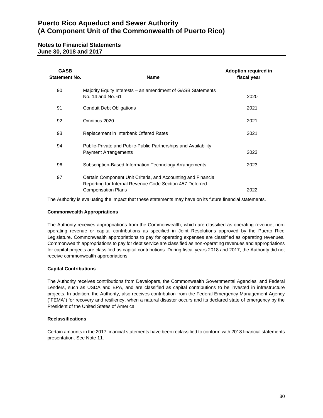### **Notes to Financial Statements June 30, 2018 and 2017**

| <b>GASB</b><br><b>Statement No.</b> | <b>Name</b>                                                                                                                                            | Adoption required in<br>fiscal year |
|-------------------------------------|--------------------------------------------------------------------------------------------------------------------------------------------------------|-------------------------------------|
| 90                                  | Majority Equity Interests – an amendment of GASB Statements<br>No. 14 and No. 61                                                                       | 2020                                |
| 91                                  | <b>Conduit Debt Obligations</b>                                                                                                                        | 2021                                |
| 92                                  | Omnibus 2020                                                                                                                                           | 2021                                |
| 93                                  | Replacement in Interbank Offered Rates                                                                                                                 | 2021                                |
| 94                                  | Public-Private and Public-Public Partnerships and Availability<br>Payment Arrangements                                                                 | 2023                                |
| 96                                  | Subscription-Based Information Technology Arrangements                                                                                                 | 2023                                |
| 97                                  | Certain Component Unit Criteria, and Accounting and Financial<br>Reporting for Internal Revenue Code Section 457 Deferred<br><b>Compensation Plans</b> | 2022                                |

The Authority is evaluating the impact that these statements may have on its future financial statements.

### **Commonwealth Appropriations**

The Authority receives appropriations from the Commonwealth, which are classified as operating revenue, nonoperating revenue or capital contributions as specified in Joint Resolutions approved by the Puerto Rico Legislature. Commonwealth appropriations to pay for operating expenses are classified as operating revenues. Commonwealth appropriations to pay for debt service are classified as non-operating revenues and appropriations for capital projects are classified as capital contributions. During fiscal years 2018 and 2017, the Authority did not receive commonwealth appropriations.

### **Capital Contributions**

The Authority receives contributions from Developers, the Commonwealth Governmental Agencies, and Federal Lenders, such as USDA and EPA, and are classified as capital contributions to be invested in infrastructure projects. In addition, the Authority, also receives contribution from the Federal Emergency Management Agency ("FEMA") for recovery and resiliency, when a natural disaster occurs and its declared state of emergency by the President of the United States of America.

#### **Reclassifications**

Certain amounts in the 2017 financial statements have been reclassified to conform with 2018 financial statements presentation. See Note 11.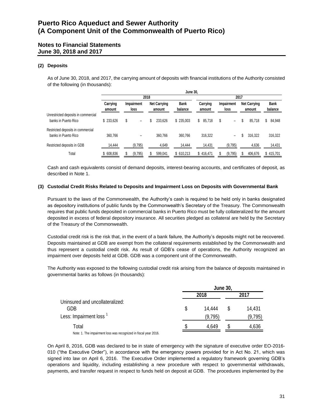### **Notes to Financial Statements June 30, 2018 and 2017**

### **(2) Deposits**

As of June 30, 2018, and 2017, the carrying amount of deposits with financial institutions of the Authority consisted of the following (in thousands):

|                                                             | June 30,           |                    |                               |                        |                    |                    |                               |                        |  |  |
|-------------------------------------------------------------|--------------------|--------------------|-------------------------------|------------------------|--------------------|--------------------|-------------------------------|------------------------|--|--|
|                                                             | 2018               |                    |                               |                        | 2017               |                    |                               |                        |  |  |
|                                                             | Carrying<br>amount | Impairment<br>loss | <b>Net Carrying</b><br>amount | <b>Bank</b><br>balance | Carrying<br>amount | Impairment<br>loss | <b>Net Carrying</b><br>amount | <b>Bank</b><br>balance |  |  |
| Unrestricted deposits in commercial<br>banks in Puerto Rico | \$233,626          | S                  | 233.626                       | \$235.003              | \$<br>85,718       | -                  | 85.718<br>ъ                   | 84,948                 |  |  |
| Restricted deposits in commercial<br>banks in Puerto Rico   | 360.766            |                    | 360.766                       | 360,766                | 316,322            | $\qquad \qquad$    | 316.322                       | 316,322                |  |  |
| Restricted deposits in GDB                                  | 14,444             | (9,795)            | 4,649                         | 14.444                 | 14,431             | (9,795)            | 4,636                         | 14,431                 |  |  |
| Total                                                       | 608,836<br>S       | (9,795)            | 599,041                       | \$610,213              | \$416,471          | (9,795)            | 406,676                       | S<br>415,701           |  |  |

Cash and cash equivalents consist of demand deposits, interest-bearing accounts, and certificates of deposit, as described in Note 1.

#### **(3) Custodial Credit Risks Related to Deposits and Impairment Loss on Deposits with Governmental Bank**

Pursuant to the laws of the Commonwealth, the Authority's cash is required to be held only in banks designated as depository institutions of public funds by the Commonwealth's Secretary of the Treasury. The Commonwealth requires that public funds deposited in commercial banks in Puerto Rico must be fully collateralized for the amount deposited in excess of federal depository insurance. All securities pledged as collateral are held by the Secretary of the Treasury of the Commonwealth.

Custodial credit risk is the risk that, in the event of a bank failure, the Authority's deposits might not be recovered. Deposits maintained at GDB are exempt from the collateral requirements established by the Commonwealth and thus represent a custodial credit risk. As result of GDB's cease of operations, the Authority recognized an impairment over deposits held at GDB. GDB was a component unit of the Commonwealth.

The Authority was exposed to the following custodial credit risk arising from the balance of deposits maintained in governmental banks as follows (in thousands):

|                                                                                                                                                                    |      | <b>June 30,</b> |  |         |  |  |  |  |
|--------------------------------------------------------------------------------------------------------------------------------------------------------------------|------|-----------------|--|---------|--|--|--|--|
|                                                                                                                                                                    | 2018 |                 |  | 2017    |  |  |  |  |
| Uninsured and uncollateralized:                                                                                                                                    |      |                 |  |         |  |  |  |  |
| <b>GDB</b>                                                                                                                                                         | \$   | 14.444          |  | 14,431  |  |  |  |  |
| Less: Impairment loss <sup>1</sup>                                                                                                                                 |      | (9,795)         |  | (9,795) |  |  |  |  |
| Total                                                                                                                                                              |      | 4.649           |  | 4,636   |  |  |  |  |
| $\mathbf{r}$ , $\mathbf{r}$ , $\mathbf{r}$ , $\mathbf{r}$ , $\mathbf{r}$ , $\mathbf{r}$ , $\mathbf{r}$ , $\mathbf{r}$ , $\mathbf{r}$ , $\mathbf{r}$ , $\mathbf{r}$ |      |                 |  |         |  |  |  |  |

Note: 1. The impairment loss was recognized in fiscal year 2016.

On April 8, 2016, GDB was declared to be in state of emergency with the signature of executive order EO-2016- 010 ("the Executive Order"), in accordance with the emergency powers provided for in Act No. 21, which was signed into law on April 6, 2016. The Executive Order implemented a regulatory framework governing GDB's operations and liquidity, including establishing a new procedure with respect to governmental withdrawals, payments, and transfer request in respect to funds held on deposit at GDB. The procedures implemented by the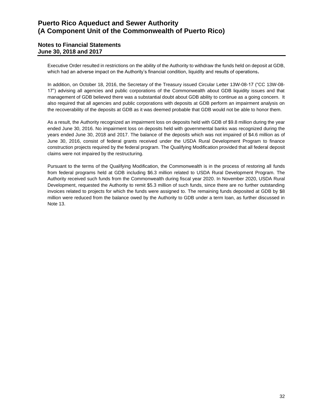### **Notes to Financial Statements June 30, 2018 and 2017**

Executive Order resulted in restrictions on the ability of the Authority to withdraw the funds held on deposit at GDB, which had an adverse impact on the Authority's financial condition, liquidity and results of operations**.**

In addition, on October 18, 2016, the Secretary of the Treasury issued Circular Letter 13W-08-17 ("CC 13W-08- 17") advising all agencies and public corporations of the Commonwealth about GDB liquidity issues and that management of GDB believed there was a substantial doubt about GDB ability to continue as a going concern. It also required that all agencies and public corporations with deposits at GDB perform an impairment analysis on the recoverability of the deposits at GDB as it was deemed probable that GDB would not be able to honor them.

As a result, the Authority recognized an impairment loss on deposits held with GDB of \$9.8 million during the year ended June 30, 2016. No impairment loss on deposits held with governmental banks was recognized during the years ended June 30, 2018 and 2017. The balance of the deposits which was not impaired of \$4.6 million as of June 30, 2016, consist of federal grants received under the USDA Rural Development Program to finance construction projects required by the federal program. The Qualifying Modification provided that all federal deposit claims were not impaired by the restructuring.

Pursuant to the terms of the Qualifying Modification, the Commonwealth is in the process of restoring all funds from federal programs held at GDB including \$6.3 million related to USDA Rural Development Program. The Authority received such funds from the Commonwealth during fiscal year 2020. In November 2020, USDA Rural Development, requested the Authority to remit \$5.3 million of such funds, since there are no further outstanding invoices related to projects for which the funds were assigned to. The remaining funds deposited at GDB by \$8 million were reduced from the balance owed by the Authority to GDB under a term loan, as further discussed in Note 13.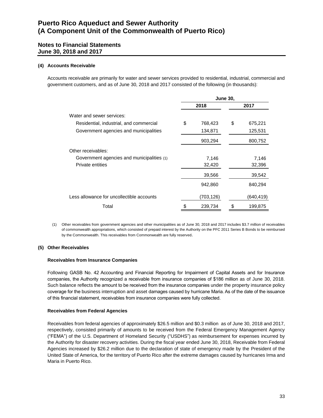### **Notes to Financial Statements June 30, 2018 and 2017**

#### **(4) Accounts Receivable**

Accounts receivable are primarily for water and sewer services provided to residential, industrial, commercial and government customers, and as of June 30, 2018 and 2017 consisted of the following (in thousands):

|                                            | <b>June 30,</b> |            |      |           |  |
|--------------------------------------------|-----------------|------------|------|-----------|--|
|                                            |                 | 2018       | 2017 |           |  |
| Water and sewer services:                  |                 |            |      |           |  |
| Residential, industrial, and commercial    | \$              | 768,423    | \$   | 675,221   |  |
| Government agencies and municipalities     |                 | 134,871    |      | 125,531   |  |
|                                            |                 | 903,294    |      | 800,752   |  |
| Other receivables:                         |                 |            |      |           |  |
| Government agencies and municipalities (1) |                 | 7,146      |      | 7,146     |  |
| <b>Private entities</b>                    |                 | 32,420     |      | 32,396    |  |
|                                            |                 | 39,566     |      | 39,542    |  |
|                                            |                 | 942,860    |      | 840,294   |  |
| Less allowance for uncollectible accounts  |                 | (703, 126) |      | (640,419) |  |
| Total                                      |                 | 239,734    | \$   | 199,875   |  |

<sup>(1)</sup> Other receivables from government agencies and other municipalities as of June 30, 2018 and 2017 includes \$3.7 million of receivables of commonwealth appropriations, which consisted of prepaid interest by the Authority on the PFC 2011 Series B Bonds to be reimbursed by the Commonwealth. This receivables from Commonwealth are fully reserved.

### **(5) Other Receivables**

### **Receivables from Insurance Companies**

Following GASB No. 42 Accounting and Financial Reporting for Impairment of Capital Assets and for Insurance companies, the Authority recognized a receivable from insurance companies of \$186 million as of June 30, 2018. Such balance reflects the amount to be received from the insurance companies under the property insurance policy coverage for the business interruption and asset damages caused by hurricane Maria. As of the date of the issuance of this financial statement, receivables from insurance companies were fully collected.

#### **Receivables from Federal Agencies**

Receivables from federal agencies of approximately \$26.5 million and \$0.3 million as of June 30, 2018 and 2017, respectively, consisted primarily of amounts to be received from the Federal Emergency Management Agency ("FEMA") of the U.S. Department of Homeland Security ("USDHS") as reimbursement for expenses incurred by the Authority for disaster recovery activities. During the fiscal year ended June 30, 2018, Receivable from Federal Agencies increased by \$26.2 million due to the declaration of state of emergency made by the President of the United State of America, for the territory of Puerto Rico after the extreme damages caused by hurricanes Irma and Maria in Puerto Rico.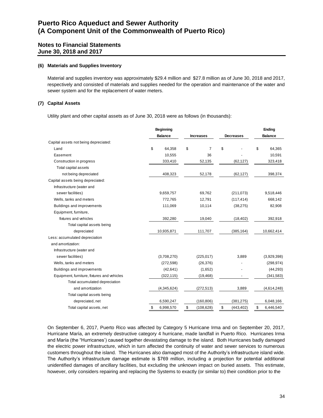### **Notes to Financial Statements June 30, 2018 and 2017**

#### **(6) Materials and Supplies Inventory**

Material and supplies inventory was approximately \$29.4 million and \$27.8 million as of June 30, 2018 and 2017, respectively and consisted of materials and supplies needed for the operation and maintenance of the water and sewer system and for the replacement of water meters.

#### **(7) Capital Assets**

Utility plant and other capital assets as of June 30, 2018 were as follows (in thousands):

|                                             | <b>Beginning</b> |                                      |                |                  |    | Ending      |
|---------------------------------------------|------------------|--------------------------------------|----------------|------------------|----|-------------|
|                                             | <b>Balance</b>   | <b>Decreases</b><br><b>Increases</b> |                | <b>Balance</b>   |    |             |
| Capital assets not being depreciated:       |                  |                                      |                |                  |    |             |
| Land                                        | \$<br>64,358     | \$                                   | $\overline{7}$ | \$               | \$ | 64,365      |
| Easement                                    | 10,555           |                                      | 36             |                  |    | 10,591      |
| Construction in progress                    | 333,410          |                                      | 52,135         | (62, 127)        |    | 323,418     |
| Total capital assets                        |                  |                                      |                |                  |    |             |
| not being depreciated                       | 408,323          |                                      | 52,178         | (62, 127)        |    | 398,374     |
| Capital assets being depreciated:           |                  |                                      |                |                  |    |             |
| Infrastructure (water and                   |                  |                                      |                |                  |    |             |
| sewer facilities)                           | 9,659,757        |                                      | 69,762         | (211,073)        |    | 9,518,446   |
| Wells, tanks and meters                     | 772,765          |                                      | 12,791         | (117, 414)       |    | 668,142     |
| Buildings and improvements                  | 111,069          |                                      | 10,114         | (38, 275)        |    | 82,908      |
| Equipment, furniture,                       |                  |                                      |                |                  |    |             |
| fixtures and vehicles                       | 392,280          |                                      | 19,040         | (18, 402)        |    | 392,918     |
| Total capital assets being                  |                  |                                      |                |                  |    |             |
| depreciated                                 | 10,935,871       |                                      | 111,707        | (385, 164)       |    | 10,662,414  |
| Less: accumulated depreciation              |                  |                                      |                |                  |    |             |
| and amortization:                           |                  |                                      |                |                  |    |             |
| Infrastructure (water and                   |                  |                                      |                |                  |    |             |
| sewer facilities)                           | (3,708,270)      |                                      | (225, 017)     | 3,889            |    | (3,929,398) |
| Wells, tanks and meters                     | (272, 598)       |                                      | (26, 376)      |                  |    | (298, 974)  |
| Buildings and improvements                  | (42, 641)        |                                      | (1,652)        |                  |    | (44, 293)   |
| Equipment, furniture, fixtures and vehicles | (322, 115)       |                                      | (19, 468)      |                  |    | (341, 583)  |
| Total accumulated depreciation              |                  |                                      |                |                  |    |             |
| and amortization                            | (4,345,624)      |                                      | (272, 513)     | 3,889            |    | (4,614,248) |
| Total capital assets being                  |                  |                                      |                |                  |    |             |
| depreciated, net                            | 6,590,247        |                                      | (160, 806)     | (381, 275)       |    | 6,048,166   |
| Total capital assets, net                   | \$<br>6,998,570  | \$                                   | (108, 628)     | \$<br>(443, 402) | \$ | 6,446,540   |

On September 6, 2017, Puerto Rico was affected by Category 5 Hurricane Irma and on September 20, 2017, Hurricane María, an extremely destructive category 4 hurricane, made landfall in Puerto Rico. Hurricanes Irma and María (the "Hurricanes') caused together devastating damage to the island. Both Hurricanes badly damaged the electric power infrastructure, which in turn affected the continuity of water and sewer services to numerous customers throughout the island. The Hurricanes also damaged most of the Authority's infrastructure island wide. The Authority's infrastructure damage estimate is \$769 million, including a projection for potential additional unidentified damages of ancillary facilities, but excluding the unknown impact on buried assets. This estimate, however, only considers repairing and replacing the Systems to exactly (or similar to) their condition prior to the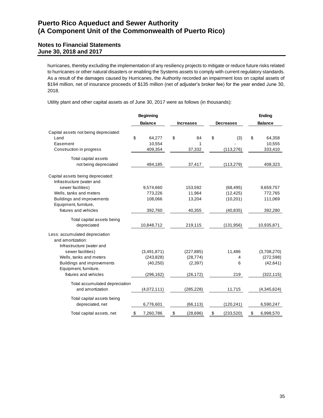## **Notes to Financial Statements June 30, 2018 and 2017**

hurricanes, thereby excluding the implementation of any resiliency projects to mitigate or reduce future risks related to hurricanes or other natural disasters or enabling the Systems assets to comply with current regulatory standards. As a result of the damages caused by Hurricanes, the Authority recorded an impairment loss on capital assets of \$194 million, net of insurance proceeds of \$135 million (net of adjuster's broker fee) for the year ended June 30, 2018.

Utility plant and other capital assets as of June 30, 2017 were as follows (in thousands):

|                                       | <b>Beginning</b> |                  |                  | Ending          |
|---------------------------------------|------------------|------------------|------------------|-----------------|
|                                       | <b>Balance</b>   | <b>Increases</b> | <b>Decreases</b> | <b>Balance</b>  |
| Capital assets not being depreciated: |                  |                  |                  |                 |
| Land                                  | \$<br>64,277     | \$<br>84         | \$<br>(3)        | \$<br>64,358    |
| Easement                              | 10,554           | 1                |                  | 10,555          |
| Construction in progress              | 409,354          | 37,332           | (113, 276)       | 333,410         |
| Total capital assets                  |                  |                  |                  |                 |
| not being depreciated                 | 484,185          | 37,417           | (113, 279)       | 408,323         |
| Capital assets being depreciated:     |                  |                  |                  |                 |
| Infrastructure (water and             |                  |                  |                  |                 |
| sewer facilities)                     | 9,574,660        | 153,592          | (68, 495)        | 9,659,757       |
| Wells, tanks and meters               | 773,226          | 11,964           | (12, 425)        | 772,765         |
| Buildings and improvements            | 108,066          | 13,204           | (10, 201)        | 111,069         |
| Equipment, furniture,                 |                  |                  |                  |                 |
| fixtures and vehicles                 | 392,760          | 40,355           | (40, 835)        | 392,280         |
| Total capital assets being            |                  |                  |                  |                 |
| depreciated                           | 10,848,712       | 219,115          | (131, 956)       | 10,935,871      |
| Less: accumulated depreciation        |                  |                  |                  |                 |
| and amortization:                     |                  |                  |                  |                 |
| Infrastructure (water and             |                  |                  |                  |                 |
| sewer facilities)                     | (3,491,871)      | (227, 885)       | 11,486           | (3,708,270)     |
| Wells, tanks and meters               | (243, 828)       | (28, 774)        | 4                | (272, 598)      |
| Buildings and improvements            | (40, 250)        | (2, 397)         | 6                | (42, 641)       |
| Equipment, furniture,                 |                  |                  |                  |                 |
| fixtures and vehicles                 | (296, 162)       | (26, 172)        | 219              | (322, 115)      |
| Total accumulated depreciation        |                  |                  |                  |                 |
| and amortization                      | (4,072,111)      | (285, 228)       | 11,715           | (4,345,624)     |
| Total capital assets being            |                  |                  |                  |                 |
| depreciated, net                      | 6,776,601        | (66, 113)        | (120, 241)       | 6,590,247       |
| Total capital assets, net             | 7,260,786<br>\$  | \$<br>(28, 696)  | \$<br>(233, 520) | \$<br>6,998,570 |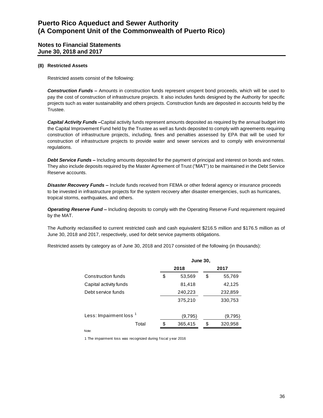### **Notes to Financial Statements June 30, 2018 and 2017**

#### **(8) Restricted Assets**

Restricted assets consist of the following:

*Construction Funds –* Amounts in construction funds represent unspent bond proceeds, which will be used to pay the cost of construction of infrastructure projects. It also includes funds designed by the Authority for specific projects such as water sustainability and others projects. Construction funds are deposited in accounts held by the Trustee.

*Capital Activity Funds –*Capital activity funds represent amounts deposited as required by the annual budget into the Capital Improvement Fund held by the Trustee as well as funds deposited to comply with agreements requiring construction of infrastructure projects, including, fines and penalties assessed by EPA that will be used for construction of infrastructure projects to provide water and sewer services and to comply with environmental regulations.

*Debt Service Funds –* Including amounts deposited for the payment of principal and interest on bonds and notes. They also include deposits required by the Master Agreement of Trust ("MAT") to be maintained in the Debt Service Reserve accounts.

*Disaster Recovery Funds –* Include funds received from FEMA or other federal agency or insurance proceeds to be invested in infrastructure projects for the system recovery after disaster emergencies, such as hurricanes, tropical storms, earthquakes, and others.

*Operating Reserve Fund –* Including deposits to comply with the Operating Reserve Fund requirement required by the MAT.

The Authority reclassified to current restricted cash and cash equivalent \$216.5 million and \$176.5 million as of June 30, 2018 and 2017, respectively, used for debt service payments obligations.

Restricted assets by category as of June 30, 2018 and 2017 consisted of the following (in thousands):

|                                    |       | <b>June 30,</b> |         |         |         |  |  |  |  |
|------------------------------------|-------|-----------------|---------|---------|---------|--|--|--|--|
|                                    |       |                 | 2018    |         | 2017    |  |  |  |  |
| Construction funds                 |       | \$              | 53,569  | \$      | 55,769  |  |  |  |  |
| Capital activity funds             |       |                 | 81,418  |         | 42,125  |  |  |  |  |
| Debt service funds                 |       | 240,223         |         | 232,859 |         |  |  |  |  |
|                                    |       |                 | 375,210 |         | 330,753 |  |  |  |  |
| Less: Impairment loss <sup>1</sup> |       |                 | (9,795) |         | (9,795) |  |  |  |  |
|                                    | Total | \$              | 365,415 | \$      | 320,958 |  |  |  |  |

Note:

1 The impairment loss was recognized during f iscal y ear 2016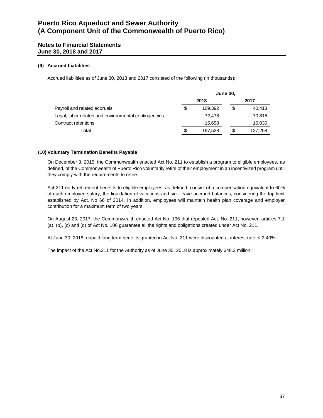### **Notes to Financial Statements June 30, 2018 and 2017**

#### **(9) Accrued Liabilities**

Accrued liabilities as of June 30, 2018 and 2017 consisted of the following (in thousands):

| <b>June 30,</b> |      |         |  |  |
|-----------------|------|---------|--|--|
| 2018            | 2017 |         |  |  |
| \$<br>109.392   | S    | 40,413  |  |  |
| 72,478          |      | 70,815  |  |  |
| 15.658          |      | 16,030  |  |  |
| \$<br>197,528   | S    | 127,258 |  |  |
|                 |      |         |  |  |

#### **(10) Voluntary Termination Benefits Payable**

On December 8, 2015, the Commonwealth enacted Act No. 211 to establish a program to eligible employees, as defined, of the Commonwealth of Puerto Rico voluntarily retire of their employment in an incentivized program until they comply with the requirements to retire.

Act 211 early retirement benefits to eligible employees, as defined, consist of a compensation equivalent to 60% of each employee salary, the liquidation of vacations and sick leave accrued balances, considering the top limit established by Act. No 66 of 2014. In addition, employees will maintain health plan coverage and employer contribution for a maximum term of two years.

On August 23, 2017, the Commonwealth enacted Act No. 106 that repealed Act. No. 211, however, articles 7.1 (a), (b), (c) and (d) of Act No. 106 guarantee all the rights and obligations created under Act No. 211.

At June 30, 2018, unpaid long term benefits granted in Act No. 211 were discounted at interest rate of 2.40%.

The impact of the Act No.211 for the Authority as of June 30, 2018 is approximately \$48.2 million.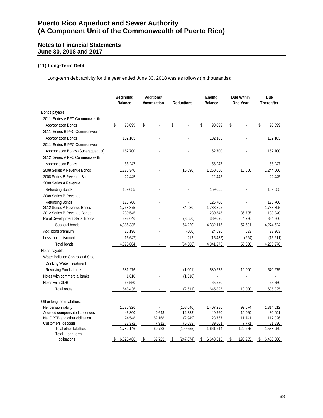## **Notes to Financial Statements June 30, 2018 and 2017**

## **(11) Long-Term Debt**

Long-term debt activity for the year ended June 30, 2018 was as follows (in thousands):

|                                     | <b>Beginning</b><br><b>Balance</b> | Additions/<br>Amortization |    | <b>Reductions</b> |    | Ending<br><b>Balance</b> |    | Due Within<br>One Year |    | Due<br><b>Thereafter</b> |  |
|-------------------------------------|------------------------------------|----------------------------|----|-------------------|----|--------------------------|----|------------------------|----|--------------------------|--|
| Bonds payable:                      |                                    |                            |    |                   |    |                          |    |                        |    |                          |  |
| 2011 Series A PFC Commonwealth      |                                    |                            |    |                   |    |                          |    |                        |    |                          |  |
| <b>Appropriation Bonds</b>          | \$<br>90,099                       | \$                         | \$ |                   | \$ | 90,099                   | \$ |                        | \$ | 90,099                   |  |
| 2011 Series B PFC Commonwealth      |                                    |                            |    |                   |    |                          |    |                        |    |                          |  |
| <b>Appropriation Bonds</b>          | 102,183                            |                            |    |                   |    | 102,183                  |    |                        |    | 102,183                  |  |
| 2011 Series B PFC Commonwealth      |                                    |                            |    |                   |    |                          |    |                        |    |                          |  |
| Appropriation Bonds (Superaqueduct) | 162,700                            |                            |    |                   |    | 162,700                  |    |                        |    | 162,700                  |  |
| 2012 Series A PFC Commonwealth      |                                    |                            |    |                   |    |                          |    |                        |    |                          |  |
| <b>Appropriation Bonds</b>          | 56,247                             |                            |    |                   |    | 56,247                   |    |                        |    | 56,247                   |  |
| 2008 Series A Revenue Bonds         | 1,276,340                          |                            |    | (15,690)          |    | 1,260,650                |    | 16,650                 |    | 1,244,000                |  |
| 2008 Series B Revenue Bonds         | 22,445                             |                            |    |                   |    | 22,445                   |    |                        |    | 22,445                   |  |
| 2008 Series A Revenue               |                                    |                            |    |                   |    |                          |    |                        |    |                          |  |
| <b>Refunding Bonds</b>              | 159,055                            |                            |    |                   |    | 159,055                  |    |                        |    | 159,055                  |  |
| 2008 Series B Revenue               |                                    |                            |    |                   |    |                          |    |                        |    |                          |  |
| Refunding Bonds                     | 125,700                            |                            |    |                   |    | 125,700                  |    |                        |    | 125,700                  |  |
| 2012 Series A Revenue Bonds         | 1,768,375                          |                            |    | (34,980)          |    | 1,733,395                |    |                        |    | 1,733,395                |  |
| 2012 Series B Revenue Bonds         | 230,545                            |                            |    |                   |    | 230,545                  |    | 36,705                 |    | 193,840                  |  |
| Rural Development Serial Bonds      | 392,646                            |                            |    | (3,550)           |    | 389,096                  |    | 4,236                  |    | 384,860                  |  |
| Sub total bonds                     | 4,386,335                          | $\blacksquare$             |    | (54, 220)         |    | 4,332,115                |    | 57,591                 |    | 4,274,524                |  |
| Add: bond premium                   | 25,196                             |                            |    | (600)             |    | 24,596                   |    | 633                    |    | 23,963                   |  |
| Less: bond discount                 | (15, 647)                          | $\blacksquare$             |    | 212               |    | (15, 435)                |    | (224)                  |    | (15, 211)                |  |
| <b>Total bonds</b>                  | 4,395,884                          | $\overline{a}$             |    | (54, 608)         |    | 4,341,276                |    | 58,000                 |    | 4,283,276                |  |
| Notes payable:                      |                                    |                            |    |                   |    |                          |    |                        |    |                          |  |
| Water Pollution Control and Safe    |                                    |                            |    |                   |    |                          |    |                        |    |                          |  |
| <b>Drinking Water Treatment</b>     |                                    |                            |    |                   |    |                          |    |                        |    |                          |  |
| Revolving Funds Loans               | 581,276                            |                            |    | (1,001)           |    | 580,275                  |    | 10,000                 |    | 570,275                  |  |
| Notes with commercial banks         | 1,610                              |                            |    | (1,610)           |    |                          |    |                        |    |                          |  |
| Notes with GDB                      | 65,550                             |                            |    |                   |    | 65,550                   |    |                        |    | 65,550                   |  |
| <b>Total notes</b>                  | 648,436                            |                            |    | (2,611)           |    | 645,825                  |    | 10,000                 |    | 635,825                  |  |
| Other long term liabilities:        |                                    |                            |    |                   |    |                          |    |                        |    |                          |  |
| Net pension liabilty                | 1,575,926                          |                            |    | (168, 640)        |    | 1,407,286                |    | 92,674                 |    | 1,314,612                |  |
| Accrued compensated absences        | 43,300                             | 9,643                      |    | (12, 383)         |    | 40,560                   |    | 10,069                 |    | 30,491                   |  |
| Net OPEB and other obligation       | 74,548                             | 52,168                     |    | (2,949)           |    | 123,767                  |    | 11,741                 |    | 112,026                  |  |
| Customers' deposits                 | 88,372                             | 7,912                      |    | (6,683)           |    | 89,601                   |    | 7,771                  |    | 81,830                   |  |
| Total other liabilities             | 1,782,146                          | 69,723                     |    | (190, 655)        |    | 1,661,214                |    | 122,255                |    | 1,538,959                |  |
| Total - long-term<br>obligations    | \$<br>6,826,466                    | \$<br>69,723               | \$ | (247, 874)        |    | 6,648,315                | \$ | 190,255                |    | 6,458,060                |  |
|                                     |                                    |                            |    |                   |    |                          |    |                        |    |                          |  |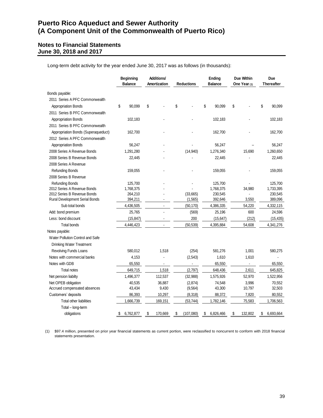## **Notes to Financial Statements June 30, 2018 and 2017**

|                                                                       | <b>Beginning</b><br><b>Balance</b> | Additions/<br>Amortization |    | <b>Reductions</b> | Ending<br><b>Balance</b> |    | Due Within<br>One Year (1) | Due<br><b>Thereafter</b> |
|-----------------------------------------------------------------------|------------------------------------|----------------------------|----|-------------------|--------------------------|----|----------------------------|--------------------------|
| Bonds payable:                                                        |                                    |                            |    |                   |                          |    |                            |                          |
| 2011 Series A PFC Commonwealth                                        |                                    |                            |    |                   |                          |    |                            |                          |
| Appropriation Bonds                                                   | \$<br>90,099                       | \$                         | \$ |                   | \$<br>90,099             | \$ |                            | \$<br>90,099             |
| 2011 Series B PFC Commonwealth                                        |                                    |                            |    |                   |                          |    |                            |                          |
| <b>Appropriation Bonds</b>                                            | 102,183                            |                            |    |                   | 102,183                  |    |                            | 102,183                  |
| 2011 Series B PFC Commonwealth                                        |                                    |                            |    |                   |                          |    |                            |                          |
| Appropriation Bonds (Superaqueduct)<br>2012 Series A PFC Commonwealth | 162,700                            |                            |    |                   | 162,700                  |    |                            | 162,700                  |
| <b>Appropriation Bonds</b>                                            | 56,247                             |                            |    |                   | 56,247                   |    |                            | 56,247                   |
| 2008 Series A Revenue Bonds                                           | 1,291,280                          |                            |    | (14,940)          | 1,276,340                |    | 15,690                     | 1,260,650                |
| 2008 Series B Revenue Bonds                                           | 22.445                             |                            |    |                   | 22.445                   |    |                            | 22.445                   |
| 2008 Series A Revenue                                                 |                                    |                            |    |                   |                          |    |                            |                          |
| <b>Refunding Bonds</b>                                                | 159,055                            |                            |    |                   | 159,055                  |    |                            | 159,055                  |
| 2008 Series B Revenue                                                 |                                    |                            |    |                   |                          |    |                            |                          |
| <b>Refunding Bonds</b>                                                | 125,700                            |                            |    |                   | 125,700                  |    |                            | 125,700                  |
| 2012 Series A Revenue Bonds                                           | 1,768,375                          |                            |    |                   | 1,768,375                |    | 34,980                     | 1,733,395                |
| 2012 Series B Revenue Bonds                                           | 264,210                            |                            |    | (33,665)          | 230,545                  |    |                            | 230,545                  |
| <b>Rural Development Serial Bonds</b>                                 | 394,211                            |                            |    | (1, 565)          | 392,646                  |    | 3,550                      | 389,096                  |
| Sub total bonds                                                       | 4,436,505                          |                            |    | (50, 170)         | 4,386,335                |    | 54,220                     | 4,332,115                |
| Add: bond premium                                                     | 25.765                             |                            |    | (569)             | 25,196                   |    | 600                        | 24,596                   |
| Less: bond discount                                                   | (15, 847)                          |                            |    | 200               | (15, 647)                |    | (212)                      | (15, 435)                |
| <b>Total bonds</b>                                                    | 4,446,423                          |                            |    | (50, 539)         | 4,395,884                |    | 54,608                     | 4,341,276                |
| Notes payable:                                                        |                                    |                            |    |                   |                          |    |                            |                          |
| Water Pollution Control and Safe                                      |                                    |                            |    |                   |                          |    |                            |                          |
| <b>Drinking Water Treatment</b>                                       |                                    |                            |    |                   |                          |    |                            |                          |
| <b>Revolving Funds Loans</b>                                          | 580,012                            | 1,518                      |    | (254)             | 581,276                  |    | 1,001                      | 580,275                  |
| Notes with commercial banks                                           | 4,153                              |                            |    | (2, 543)          | 1,610                    |    | 1.610                      |                          |
| Notes with GDB                                                        | 65,550                             | Ĭ.                         |    |                   | 65,550                   |    | $\blacksquare$             | 65,550                   |
| <b>Total notes</b>                                                    | 649,715                            | 1,518                      |    | (2,797)           | 648,436                  |    | 2,611                      | 645,825                  |
| Net pension liabilty                                                  | 1,496,377                          | 112,537                    |    | (32,988)          | 1,575,926                |    | 52,970                     | 1,522,956                |
| Net OPEB obligation                                                   | 40,535                             | 36,887                     |    | (2,874)           | 74,548                   |    | 3,996                      | 70,552                   |
| Accrued compensated absences                                          | 43,434                             | 9,430                      |    | (9, 564)          | 43,300                   |    | 10,797                     | 32,503                   |
| Customers' deposits                                                   | 86,393                             | 10,297                     |    | (8,318)           | 88,372                   |    | 7,820                      | 80,552                   |
| <b>Total other liabilities</b>                                        | 1,666,739                          | 169,151                    |    | (53, 744)         | 1,782,146                |    | 75,583                     | 1,706,563                |
| Total - long-term                                                     |                                    |                            |    |                   |                          |    |                            |                          |
| obligations                                                           | \$<br>6,762,877                    | \$<br>170,669              | S  | (107,080)         | \$<br>6,826,466          | S  | 132,802                    | \$<br>6,693,664          |

Long-term debt activity for the year ended June 30, 2017 was as follows (in thousands):

(1) \$97.4 million, presented on prior year financial statements as current portion, were reclassified to noncurrent to conform with 2018 financial statements presentation.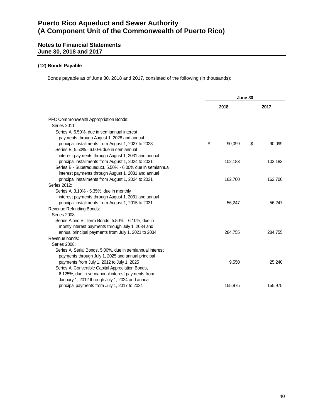## **Notes to Financial Statements June 30, 2018 and 2017**

## **(12) Bonds Payable**

Bonds payable as of June 30, 2018 and 2017, consisted of the following (in thousands):

| 2018<br>2017<br>PFC Commonwealth Appropriation Bonds:<br>Series 2011:<br>Series A, 6.50%, due in semiannual interest<br>payments through August 1, 2028 and annual<br>\$<br>\$<br>principal installments from August 1, 2027 to 2028<br>90,099<br>90,099 |
|----------------------------------------------------------------------------------------------------------------------------------------------------------------------------------------------------------------------------------------------------------|
|                                                                                                                                                                                                                                                          |
|                                                                                                                                                                                                                                                          |
|                                                                                                                                                                                                                                                          |
|                                                                                                                                                                                                                                                          |
|                                                                                                                                                                                                                                                          |
|                                                                                                                                                                                                                                                          |
| Series B, 5.50% - 6.00% due in semiannual<br>interest payments through August 1, 2031 and annual                                                                                                                                                         |
| principal installments from August 1, 2024 to 2031<br>102,183<br>102,183                                                                                                                                                                                 |
| Series B - Superaqueduct, 5.50% - 6.00% due in semiannual                                                                                                                                                                                                |
| interest payments through August 1, 2031 and annual                                                                                                                                                                                                      |
| principal installments from August 1, 2024 to 2031<br>162,700<br>162,700                                                                                                                                                                                 |
| Series 2012:                                                                                                                                                                                                                                             |
| Series A, 3.10% - 5.35%, due in monthly                                                                                                                                                                                                                  |
| interest payments through August 1, 2031 and annual                                                                                                                                                                                                      |
| principal installments from August 1, 2015 to 2031<br>56,247<br>56,247                                                                                                                                                                                   |
| Revenue Refunding Bonds:                                                                                                                                                                                                                                 |
| Series 2008:                                                                                                                                                                                                                                             |
| Series A and B, Term Bonds, 5.80% - 6.10%, due in                                                                                                                                                                                                        |
| montly interest payments through July 1, 2034 and                                                                                                                                                                                                        |
| annual principal payments from July 1, 2021 to 2034<br>284,755<br>284,755                                                                                                                                                                                |
| Revenue bonds:                                                                                                                                                                                                                                           |
| Series 2008:<br>Series A, Serial Bonds, 5.00%, due in semiannual interest                                                                                                                                                                                |
| payments through July 1, 2025 and annual principal                                                                                                                                                                                                       |
| payments from July 1, 2012 to July 1, 2025<br>25,240<br>9,550                                                                                                                                                                                            |
| Series A, Convertible Capital Appreciation Bonds,                                                                                                                                                                                                        |
| 6.125%, due in semiannual interest payments from                                                                                                                                                                                                         |
| January 1, 2012 through July 1, 2024 and annual                                                                                                                                                                                                          |
| principal payments from July 1, 2017 to 2024<br>155,975<br>155,975                                                                                                                                                                                       |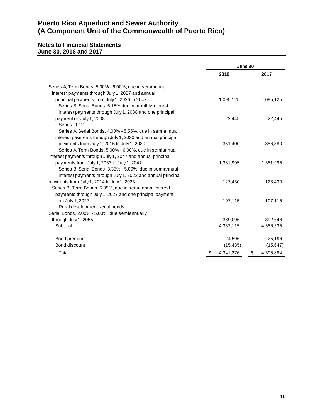## **Notes to Financial Statements June 30, 2018 and 2017**

|                                                             |           | June 30        |
|-------------------------------------------------------------|-----------|----------------|
|                                                             | 2018      | 2017           |
| Series A, Term Bonds, 5.00% - 6.00%, due in semiannual      |           |                |
| interest payments through July 1, 2027 and annual           |           |                |
| principal payments from July 1, 2026 to 2047                | 1,095,125 | 1,095,125      |
| Series B, Serial Bonds, 6.15% due in monthly interest       |           |                |
| interest payments through July 1, 2038 and one principal    |           |                |
| payment on July 1, 2038                                     | 22,445    | 22,445         |
| Series 2012:                                                |           |                |
| Series A, Serial Bonds, 4.00% - 5.55%, due in semiannual    |           |                |
| interest payments through July 1, 2030 and annual principal |           |                |
| payments from July 1, 2015 to July 1, 2030                  | 351,400   | 386,380        |
| Series A, Term Bonds, 5.00% - 6.00%, due in semiannual      |           |                |
| interest payments through July 1, 2047 and annual principal |           |                |
| payments from July 1, 2033 to July 1, 2047                  | 1,381,995 | 1,381,995      |
| Series B, Serial Bonds, 3.35% - 5.00%, due in semiannual    |           |                |
| interest payments through July 1, 2023 and annual principal |           |                |
| payments from July 1, 2014 to July 1, 2023                  | 123,430   | 123,430        |
| Series B, Term Bonds, 5.35%, due in semiannual interest     |           |                |
| payments through July 1, 2027 and one principal payment     |           |                |
| on July 1, 2027                                             | 107,115   | 107.115        |
| Rural development serial bonds:                             |           |                |
| Serial Bonds, 2.00% - 5.00%, due semiannually               |           |                |
| through July 1, 2055                                        | 389,096   | 392,646        |
| Subtotal                                                    | 4,332,115 | 4,386,335      |
| Bond premium                                                | 24,596    | 25,196         |
| Bond discount                                               | (15, 435) | (15, 647)      |
| Total                                                       | 4,341,276 | S<br>4,395,884 |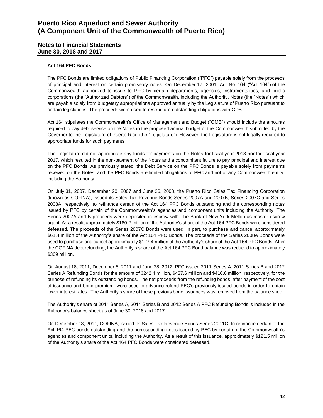### **Notes to Financial Statements June 30, 2018 and 2017**

#### **Act 164 PFC Bonds**

The PFC Bonds are limited obligations of Public Financing Corporation ("PFC") payable solely from the proceeds of principal and interest on certain promissory notes. On December 17, 2001, Act No. 164 ("Act 164") of the Commonwealth authorized to issue to PFC by certain departments, agencies, instrumentalities, and public corporations (the "Authorized Debtors") of the Commonwealth, including the Authority, Notes (the "Notes") which are payable solely from budgetary appropriations approved annually by the Legislature of Puerto Rico pursuant to certain legislations. The proceeds were used to restructure outstanding obligations with GDB.

Act 164 stipulates the Commonwealth's Office of Management and Budget ("OMB") should include the amounts required to pay debt service on the Notes in the proposed annual budget of the Commonwealth submitted by the Governor to the Legislature of Puerto Rico (the "Legislature"). However, the Legislature is not legally required to appropriate funds for such payments.

The Legislature did not appropriate any funds for payments on the Notes for fiscal year 2018 nor for fiscal year 2017, which resulted in the non-payment of the Notes and a concomitant failure to pay principal and interest due on the PFC Bonds. As previously stated, the Debt Service on the PFC Bonds is payable solely from payments received on the Notes, and the PFC Bonds are limited obligations of PFC and not of any Commonwealth entity, including the Authority.

On July 31, 2007, December 20, 2007 and June 26, 2008, the Puerto Rico Sales Tax Financing Corporation (known as COFINA), issued its Sales Tax Revenue Bonds Series 2007A and 2007B, Series 2007C and Series 2008A, respectively, to refinance certain of the Act 164 PFC Bonds outstanding and the corresponding notes issued by PFC by certain of the Commonwealth's agencies and component units including the Authority. The Series 2007A and B proceeds were deposited in escrow with The Bank of New York Mellon as master escrow agent. As a result, approximately \$180.2 million of the Authority's share of the Act 164 PFC Bonds were considered defeased. The proceeds of the Series 2007C Bonds were used, in part, to purchase and cancel approximately \$61.4 million of the Authority's share of the Act 164 PFC Bonds. The proceeds of the Series 2008A Bonds were used to purchase and cancel approximately \$127.4 million of the Authority's share of the Act 164 PFC Bonds. After the COFINA debt refunding, the Authority's share of the Act 164 PFC Bond balance was reduced to approximately \$369 million.

On August 18, 2011, December 8, 2011 and June 28, 2012, PFC issued 2011 Series A, 2011 Series B and 2012 Series A Refunding Bonds for the amount of \$242.4 million, \$437.6 million and \$410.6 million, respectively, for the purpose of refunding its outstanding bonds. The net proceeds from the refunding bonds, after payment of the cost of issuance and bond premium, were used to advance refund PFC's previously issued bonds in order to obtain lower interest rates. The Authority's share of these previous bond issuances was removed from the balance sheet.

The Authority's share of 2011 Series A, 2011 Series B and 2012 Series A PFC Refunding Bonds is included in the Authority's balance sheet as of June 30, 2018 and 2017.

On December 13, 2011, COFINA, issued its Sales Tax Revenue Bonds Series 2011C, to refinance certain of the Act 164 PFC bonds outstanding and the corresponding notes issued by PFC by certain of the Commonwealth's agencies and component units, including the Authority. As a result of this issuance, approximately \$121.5 million of the Authority's share of the Act 164 PFC Bonds were considered defeased.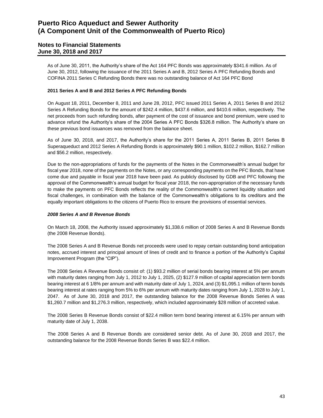## **Notes to Financial Statements June 30, 2018 and 2017**

As of June 30, 2011, the Authority's share of the Act 164 PFC Bonds was approximately \$341.6 million. As of June 30, 2012, following the issuance of the 2011 Series A and B, 2012 Series A PFC Refunding Bonds and COFINA 2011 Series C Refunding Bonds there was no outstanding balance of Act 164 PFC Bond

### **2011 Series A and B and 2012 Series A PFC Refunding Bonds**

On August 18, 2011, December 8, 2011 and June 28, 2012, PFC issued 2011 Series A, 2011 Series B and 2012 Series A Refunding Bonds for the amount of \$242.4 million, \$437.6 million, and \$410.6 million, respectively. The net proceeds from such refunding bonds, after payment of the cost of issuance and bond premium, were used to advance refund the Authority's share of the 2004 Series A PFC Bonds \$326.8 million. The Authority's share on these previous bond issuances was removed from the balance sheet.

As of June 30, 2018, and 2017, the Authority's share for the 2011 Series A, 2011 Series B, 2011 Series B Superaqueduct and 2012 Series A Refunding Bonds is approximately \$90.1 million, \$102.2 million, \$162.7 million and \$56.2 million, respectively.

Due to the non-appropriations of funds for the payments of the Notes in the Commonwealth's annual budget for fiscal year 2018, none of the payments on the Notes, or any corresponding payments on the PFC Bonds, that have come due and payable in fiscal year 2018 have been paid. As publicly disclosed by GDB and PFC following the approval of the Commonwealth's annual budget for fiscal year 2018, the non-appropriation of the necessary funds to make the payments on PFC Bonds reflects the reality of the Commonwealth's current liquidity situation and fiscal challenges, in combination with the balance of the Commonwealth's obligations to its creditors and the equally important obligations to the citizens of Puerto Rico to ensure the provisions of essential services.

#### *2008 Series A and B Revenue Bonds*

On March 18, 2008, the Authority issued approximately \$1,338.6 million of 2008 Series A and B Revenue Bonds (the 2008 Revenue Bonds).

The 2008 Series A and B Revenue Bonds net proceeds were used to repay certain outstanding bond anticipation notes, accrued interest and principal amount of lines of credit and to finance a portion of the Authority's Capital Improvement Program (the "CIP").

The 2008 Series A Revenue Bonds consist of: (1) \$93.2 million of serial bonds bearing interest at 5% per annum with maturity dates ranging from July 1, 2012 to July 1, 2025, (2) \$127.9 million of capital appreciation term bonds bearing interest at 6 1/8% per annum and with maturity date of July 1, 2024, and (3) \$1,095.1 million of term bonds bearing interest at rates ranging from 5% to 6% per annum with maturity dates ranging from July 1, 2028 to July 1, 2047. As of June 30, 2018 and 2017, the outstanding balance for the 2008 Revenue Bonds Series A was \$1,260.7 million and \$1,276.3 million, respectively, which included approximately \$28 million of accreted value.

The 2008 Series B Revenue Bonds consist of \$22.4 million term bond bearing interest at 6.15% per annum with maturity date of July 1, 2038.

The 2008 Series A and B Revenue Bonds are considered senior debt. As of June 30, 2018 and 2017, the outstanding balance for the 2008 Revenue Bonds Series B was \$22.4 million.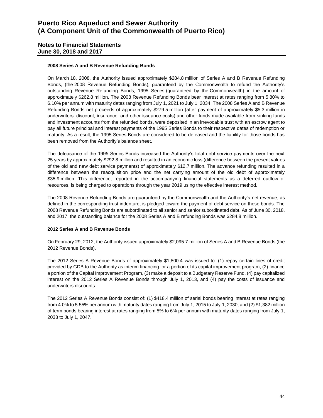### **Notes to Financial Statements June 30, 2018 and 2017**

#### **2008 Series A and B Revenue Refunding Bonds**

On March 18, 2008, the Authority issued approximately \$284.8 million of Series A and B Revenue Refunding Bonds, (the 2008 Revenue Refunding Bonds), guaranteed by the Commonwealth to refund the Authority's outstanding Revenue Refunding Bonds, 1995 Series (guaranteed by the Commonwealth) in the amount of approximately \$262.8 million. The 2008 Revenue Refunding Bonds bear interest at rates ranging from 5.80% to 6.10% per annum with maturity dates ranging from July 1, 2021 to July 1, 2034. The 2008 Series A and B Revenue Refunding Bonds net proceeds of approximately \$279.5 million (after payment of approximately \$5.3 million in underwriters' discount, insurance, and other issuance costs) and other funds made available from sinking funds and investment accounts from the refunded bonds, were deposited in an irrevocable trust with an escrow agent to pay all future principal and interest payments of the 1995 Series Bonds to their respective dates of redemption or maturity. As a result, the 1995 Series Bonds are considered to be defeased and the liability for those bonds has been removed from the Authority's balance sheet.

The defeasance of the 1995 Series Bonds increased the Authority's total debt service payments over the next 25 years by approximately \$292.8 million and resulted in an economic loss (difference between the present values of the old and new debt service payments) of approximately \$12.7 million. The advance refunding resulted in a difference between the reacquisition price and the net carrying amount of the old debt of approximately \$35.9 million. This difference, reported in the accompanying financial statements as a deferred outflow of resources, is being charged to operations through the year 2019 using the effective interest method.

The 2008 Revenue Refunding Bonds are guaranteed by the Commonwealth and the Authority's net revenue, as defined in the corresponding trust indenture, is pledged toward the payment of debt service on these bonds. The 2008 Revenue Refunding Bonds are subordinated to all senior and senior subordinated debt. As of June 30, 2018, and 2017, the outstanding balance for the 2008 Series A and B refunding Bonds was \$284.8 million.

#### **2012 Series A and B Revenue Bonds**

On February 29, 2012, the Authority issued approximately \$2,095.7 million of Series A and B Revenue Bonds (the 2012 Revenue Bonds).

The 2012 Series A Revenue Bonds of approximately \$1,800.4 was issued to: (1) repay certain lines of credit provided by GDB to the Authority as interim financing for a portion of its capital improvement program, (2) finance a portion of the Capital Improvement Program, (3) make a deposit to a Budgetary Reserve Fund, (4) pay capitalized interest on the 2012 Series A Revenue Bonds through July 1, 2013, and (4) pay the costs of issuance and underwriters discounts.

The 2012 Series A Revenue Bonds consist of: (1) \$418.4 million of serial bonds bearing interest at rates ranging from 4.0% to 5.55% per annum with maturity dates ranging from July 1, 2015 to July 1, 2030, and (2) \$1,382 million of term bonds bearing interest at rates ranging from 5% to 6% per annum with maturity dates ranging from July 1, 2033 to July 1, 2047.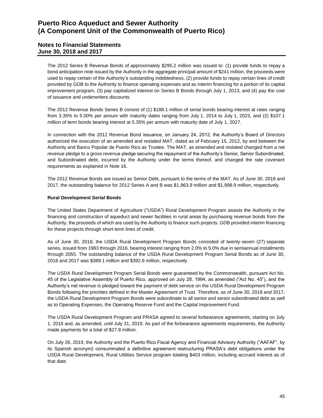## **Notes to Financial Statements June 30, 2018 and 2017**

The 2012 Series B Revenue Bonds of approximately \$295.2 million was issued to: (1) provide funds to repay a bond anticipation note issued by the Authority in the aggregate principal amount of \$241 million, the proceeds were used to repay certain of the Authority's outstanding indebtedness, (2) provide funds to repay certain lines of credit provided by GDB to the Authority to finance operating expenses and as interim financing for a portion of its capital improvement program, (3) pay capitalized interest on Series B Bonds through July 1, 2013, and (4) pay the cost of issuance and underwriters discounts.

The 2012 Revenue Bonds Series B consist of (1) \$188.1 million of serial bonds bearing interest at rates ranging from 3.35% to 5.00% per annum with maturity dates ranging from July 1, 2014 to July 1, 2023, and (2) \$107.1 million of term bonds bearing interest at 5.35% per annum with maturity date of July 1, 2027.

In connection with the 2012 Revenue Bond issuance, on January 24, 2012, the Authority's Board of Directors authorized the execution of an amended and restated MAT, dated as of February 15, 2012, by and between the Authority and Banco Popular de Puerto Rico as Trustee. The MAT, as amended and restated changed from a net revenue pledge to a gross revenue pledge securing the repayment of the Authority's Senior, Senior Subordinated, and Subordinated debt, incurred by the Authority under the terms thereof, and changed the rate covenant requirements as explained in Note 16.

The 2012 Revenue Bonds are issued as Senior Debt, pursuant to the terms of the MAT. As of June 30, 2018 and 2017, the outstanding balance for 2012 Series A and B was \$1,963.9 million and \$1,998.9 million, respectively.

### **Rural Development Serial Bonds**

The United States Department of Agriculture ("USDA") Rural Development Program assists the Authority in the financing and construction of aqueduct and sewer facilities in rural areas by purchasing revenue bonds from the Authority, the proceeds of which are used by the Authority to finance such projects. GDB provided interim financing for these projects through short-term lines of credit.

As of June 30, 2018, the USDA Rural Development Program Bonds consisted of twenty-seven (27) separate series, issued from 1983 through 2016, bearing interest ranging from 2.0% to 5.0% due in semiannual installments through 2055. The outstanding balance of the USDA Rural Development Program Serial Bonds as of June 30, 2018 and 2017 was \$389.1 million and \$392.6 million, respectively.

The USDA Rural Development Program Serial Bonds were guaranteed by the Commonwealth, pursuant Act No. 45 of the Legislative Assembly of Puerto Rico, approved on July 28, 1994, as amended ("Act No. 45"), and the Authority's net revenue is pledged toward the payment of debt service on the USDA Rural Development Program Bonds following the priorities defined in the Master Agreement of Trust. Therefore, as of June 30, 2018 and 2017, the USDA Rural Development Program Bonds were subordinate to all senior and senior subordinated debt as well as to Operating Expenses, the Operating Reserve Fund and the Capital Improvement Fund.

The USDA Rural Development Program and PRASA agreed to several forbearance agreements, starting on July 1, 2016 and, as amended, until July 31, 2019. As part of the forbearance agreements requirements, the Authority made payments for a total of \$27.8 million.

On July 26, 2019, the Authority and the Puerto Rico Fiscal Agency and Financial Advisory Authority ("AAFAF", by its Spanish acronym) consummated a definitive agreement restructuring PRASA's debt obligations under the USDA Rural Development, Rural Utilities Service program totaling \$403 million, including accrued interest as of that date.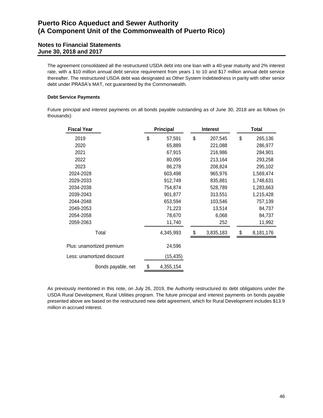## **Notes to Financial Statements June 30, 2018 and 2017**

The agreement consolidated all the restructured USDA debt into one loan with a 40-year maturity and 2% interest rate, with a \$10 million annual debt service requirement from years 1 to 10 and \$17 million annual debt service thereafter. The restructured USDA debt was designated as Other System Indebtedness in parity with other senior debt under PRASA's MAT, not guaranteed by the Commonwealth.

#### **Debt Service Payments**

Future principal and interest payments on all bonds payable outstanding as of June 30, 2018 are as follows (in thousands):

| <b>Fiscal Year</b>         |                    | <b>Principal</b> | <b>Interest</b> | <b>Total</b> |           |
|----------------------------|--------------------|------------------|-----------------|--------------|-----------|
| 2019                       |                    | \$<br>57,591     | \$<br>207,545   | \$           | 265,136   |
| 2020                       |                    | 65,889           | 221,088         |              | 286,977   |
| 2021                       |                    | 67,915           | 216,986         |              | 284,901   |
| 2022                       |                    | 80,095           | 213,164         |              | 293,258   |
| 2023                       |                    | 86,278           | 208,824         |              | 295,102   |
| 2024-2028                  |                    | 603,498          | 965,976         |              | 1,569,474 |
| 2029-2033                  |                    | 912,749          | 835,881         |              | 1,748,631 |
| 2034-2038                  |                    | 754,874          | 528,789         |              | 1,283,663 |
| 2039-2043                  |                    | 901,877          | 313,551         |              | 1,215,428 |
| 2044-2048                  |                    | 653,594          | 103,546         |              | 757,139   |
| 2049-2053                  |                    | 71,223           | 13,514          |              | 84,737    |
| 2054-2058                  |                    | 78,670           | 6,068           |              | 84,737    |
| 2059-2063                  |                    | 11,740           | 252             |              | 11,992    |
|                            | Total              | 4,345,993        | \$<br>3,835,183 | \$           | 8,181,176 |
| Plus: unamortized premium  |                    | 24,596           |                 |              |           |
| Less: unamortized discount |                    | (15, 435)        |                 |              |           |
|                            | Bonds payable, net | \$<br>4,355,154  |                 |              |           |

As previously mentioned in this note, on July 26, 2019, the Authority restructured its debt obligations under the USDA Rural Development, Rural Utilities program. The future principal and interest payments on bonds payable presented above are based on the restructured new debt agreement, which for Rural Development includes \$13.9 million in accrued interest.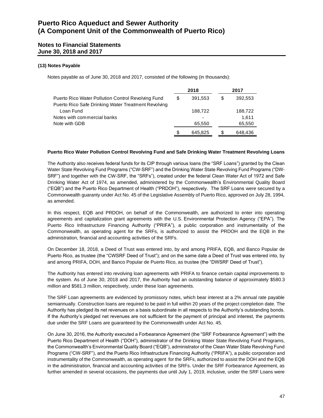### **Notes to Financial Statements June 30, 2018 and 2017**

#### **(13) Notes Payable**

Notes payable as of June 30, 2018 and 2017, consisted of the following (in thousands):

|                                                                                                           |   | 2018    |    | 2017    |
|-----------------------------------------------------------------------------------------------------------|---|---------|----|---------|
| Puerto Rico Water Pollution Control Revolving Fund<br>Puerto Rico Safe Drinking Water Treatment Revolving | S | 391,553 | \$ | 392,553 |
| Loan Fund                                                                                                 |   | 188,722 |    | 188,722 |
| Notes with commercial banks                                                                               |   |         |    | 1.611   |
| Note with GDB                                                                                             |   | 65.550  |    | 65,550  |
|                                                                                                           | S | 645.825 | S  | 648.436 |

#### **Puerto Rico Water Pollution Control Revolving Fund and Safe Drinking Water Treatment Revolving Loans**

The Authority also receives federal funds for its CIP through various loans (the "SRF Loans") granted by the Clean Water State Revolving Fund Programs ("CW-SRF") and the Drinking Water State Revolving Fund Programs ("DW-SRF") and together with the CW-SRF, the "SRFs"), created under the federal Clean Water Act of 1972 and Safe Drinking Water Act of 1974, as amended, administered by the Commonwealth's Environmental Quality Board ("EQB") and the Puerto Rico Department of Health ("PRDOH"), respectively. The SRF Loans were secured by a Commonwealth guaranty under Act No. 45 of the Legislative Assembly of Puerto Rico, approved on July 28, 1994, as amended.

In this respect, EQB and PRDOH, on behalf of the Commonwealth, are authorized to enter into operating agreements and capitalization grant agreements with the U.S. Environmental Protection Agency ("EPA"). The Puerto Rico Infrastructure Financing Authority ("PRIFA"), a public corporation and instrumentality of the Commonwealth, as operating agent for the SRFs, is authorized to assist the PRDOH and the EQB in the administration, financial and accounting activities of the SRFs.

On December 18, 2018, a Deed of Trust was entered into, by and among PRIFA, EQB, and Banco Popular de Puerto Rico, as trustee (the "CWSRF Deed of Trust"); and on the same date a Deed of Trust was entered into, by and among PRIFA, DOH, and Banco Popular de Puerto Rico, as trustee (the "DWSRF Deed of Trust").

The Authority has entered into revolving loan agreements with PRIFA to finance certain capital improvements to the system. As of June 30, 2018 and 2017, the Authority had an outstanding balance of approximately \$580.3 million and \$581.3 million, respectively, under these loan agreements.

The SRF Loan agreements are evidenced by promissory notes, which bear interest at a 2% annual rate payable semiannually. Construction loans are required to be paid in full within 20 years of the project completion date. The Authority has pledged its net revenues on a basis subordinate in all respects to the Authority's outstanding bonds. If the Authority's pledged net revenues are not sufficient for the payment of principal and interest, the payments due under the SRF Loans are guaranteed by the Commonwealth under Act No. 45.

On June 30, 2016, the Authority executed a Forbearance Agreement (the "SRF Forbearance Agreement") with the Puerto Rico Department of Health ("DOH"), administrator of the Drinking Water State Revolving Fund Programs, the Commonwealth's Environmental Quality Board ("EQB"), administrator of the Clean Water State Revolving Fund Programs ("CW-SRF"), and the Puerto Rico Infrastructure Financing Authority ("PRIFA"), a public corporation and instrumentality of the Commonwealth, as operating agent for the SRFs, authorized to assist the DOH and the EQB in the administration, financial and accounting activities of the SRFs. Under the SRF Forbearance Agreement, as further amended in several occasions, the payments due until July 1, 2019, inclusive, under the SRF Loans were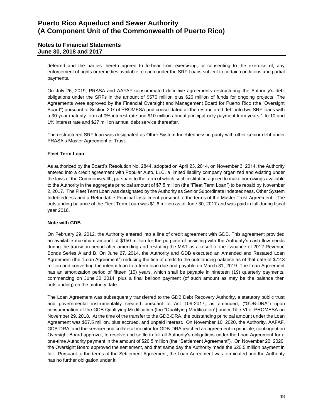## **Notes to Financial Statements June 30, 2018 and 2017**

deferred and the parties thereto agreed to forbear from exercising, or consenting to the exercise of, any enforcement of rights or remedies available to each under the SRF Loans subject to certain conditions and partial payments.

On July 26, 2019, PRASA and AAFAF consummated definitive agreements restructuring the Authority's debt obligations under the SRFs in the amount of \$570 million plus \$26 million of funds for ongoing projects. The Agreements were approved by the Financial Oversight and Management Board for Puerto Rico (the "Oversight Board") pursuant to Section 207 of PROMESA and consolidated all the restructured debt into two SRF loans with a 30-year maturity term at 0% interest rate and \$10 million annual principal-only payment from years 1 to 10 and 1% interest rate and \$27 million annual debt service thereafter.

The restructured SRF loan was designated as Other System Indebtedness in parity with other senior debt under PRASA's Master Agreement of Trust.

#### **Fleet Term Loan**

As authorized by the Board's Resolution No. 2844, adopted on April 23, 2014, on November 3, 2014, the Authority entered into a credit agreement with Popular Auto, LLC, a limited liability company organized and existing under the laws of the Commonwealth, pursuant to the term of which such institution agreed to make borrowings available to the Authority in the aggregate principal amount of \$7.5 million (the "Fleet Term Loan") to be repaid by November 2, 2017. The Fleet Term Loan was designated by the Authority as Senior Subordinate Indebtedness, Other System Indebtedness and a Refundable Principal Installment pursuant to the terms of the Master Trust Agreement. The outstanding balance of the Fleet Term Loan was \$1.6 million as of June 30, 2017 and was paid in full during fiscal year 2018.

#### **Note with GDB**

On February 29, 2012, the Authority entered into a line of credit agreement with GDB. This agreement provided an available maximum amount of \$150 million for the purpose of assisting with the Authority's cash flow needs during the transition period after amending and restating the MAT as a result of the issuance of 2012 Revenue Bonds Series A and B. On June 27, 2014, the Authority and GDB executed an Amended and Restated Loan Agreement (the "Loan Agreement") reducing the line of credit to the outstanding balance as of that date of \$72.3 million and converting the interim loan to a term loan due and payable on March 31, 2019. The Loan Agreement has an amortization period of fifteen (15) years, which shall be payable in nineteen (19) quarterly payments, commencing on June 30, 2014, plus a final balloon payment (of such amount as may be the balance then outstanding) on the maturity date.

The Loan Agreement was subsequently transferred to the GDB Debt Recovery Authority, a statutory public trust and governmental instrumentality created pursuant to Act 109-2017, as amended, ("GDB-DRA") upon consummation of the GDB Qualifying Modification (the "Qualifying Modification") under Title VI of PROMESA on November 29, 2018. At the time of the transfer to the GDB-DRA, the outstanding principal amount under the Loan Agreement was \$57.5 million, plus accrued, and unpaid interest. On November 10, 2020, the Authority, AAFAF, GDB-DRA, and the servicer and collateral monitor for GDB-DRA reached an agreement in principle, contingent on Oversight Board approval, to resolve and settle in full all Authority's obligations under the Loan Agreement for a one-time Authority payment in the amount of \$20.5 million (the "Settlement Agreement"). On November 20, 2020, the Oversight Board approved the settlement, and that same day the Authority made the \$20.5 million payment in full. Pursuant to the terms of the Settlement Agreement, the Loan Agreement was terminated and the Authority has no further obligation under it.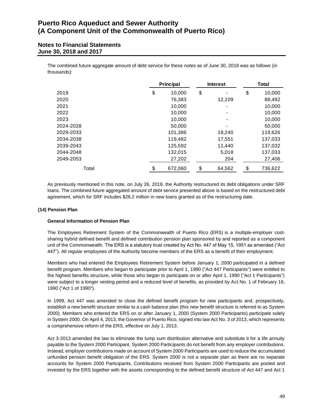### **Notes to Financial Statements June 30, 2018 and 2017**

The combined future aggregate amount of debt service for these notes as of June 30, 2018 was as follows (in thousands):

|           | <b>Principal</b> | <b>Interest</b> | <b>Total</b>  |
|-----------|------------------|-----------------|---------------|
| 2019      | \$<br>10,000     | \$              | \$<br>10,000  |
| 2020      | 76,383           | 12,109          | 88,492        |
| 2021      | 10,000           |                 | 10,000        |
| 2022      | 10,000           |                 | 10,000        |
| 2023      | 10,000           |                 | 10,000        |
| 2024-2028 | 50,000           |                 | 50,000        |
| 2029-2033 | 101,386          | 18,240          | 119,626       |
| 2034-2038 | 119,482          | 17,551          | 137,033       |
| 2039-2043 | 125,592          | 11,440          | 137,032       |
| 2044-2048 | 132,015          | 5,018           | 137,033       |
| 2049-2053 | 27,202           | 204             | 27,406        |
| Total     | \$<br>672.060    | \$<br>64.562    | \$<br>736.622 |

As previously mentioned in this note, on July 26, 2019, the Authority restructured its debt obligations under SRF loans. The combined future aggregated amount of debt service presented above is based on the restructured debt agreement, which for SRF includes \$26.2 million in new loans granted as of the restructuring date.

#### **(14) Pension Plan**

#### **General Information of Pension Plan**

The Employees Retirement System of the Commonwealth of Puerto Rico (ERS) is a multiple-employer costsharing hybrid defined benefit and defined contribution pension plan sponsored by and reported as a component unit of the Commonwealth. The ERS is a statutory trust created by Act No. 447 of May 15, 1951 as amended ("Act 447"). All regular employees of the Authority become members of the ERS as a benefit of their employment.

Members who had entered the Employees Retirement System before January 1, 2000 participated in a defined benefit program. Members who began to participate prior to April 1, 1990 ("Act 447 Participants") were entitled to the highest benefits structure, while those who began to participate on or after April 1, 1990 ("Act 1 Participants") were subject to a longer vesting period and a reduced level of benefits, as provided by Act No. 1 of February 16, 1990 ("Act 1 of 1990").

In 1999, Act 447 was amended to close the defined benefit program for new participants and, prospectively, establish a new benefit structure similar to a cash balance plan (this new benefit structure is referred to as System 2000). Members who entered the ERS on or after January 1, 2000 (System 2000 Participants) participate solely in System 2000. On April 4, 2013, the Governor of Puerto Rico, signed into law Act No. 3 of 2013, which represents a comprehensive reform of the ERS, effective on July 1, 2013.

Act 3-2013 amended the law to eliminate the lump sum distribution alternative and substitute it for a life annuity payable to the System 2000 Participant. System 2000 Participants do not benefit from any employer contributions. Instead, employer contributions made on account of System 2000 Participants are used to reduce the accumulated unfunded pension benefit obligation of the ERS. System 2000 is not a separate plan as there are no separate accounts for System 2000 Participants. Contributions received from System 2000 Participants are pooled and invested by the ERS together with the assets corresponding to the defined benefit structure of Act 447 and Act 1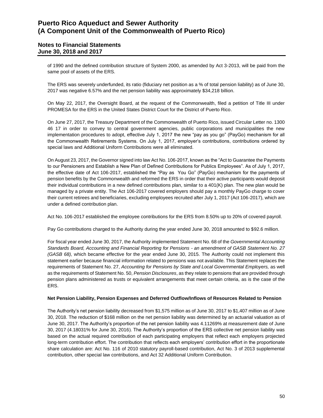### **Notes to Financial Statements June 30, 2018 and 2017**

of 1990 and the defined contribution structure of System 2000, as amended by Act 3-2013, will be paid from the same pool of assets of the ERS.

The ERS was severely underfunded, its ratio (fiduciary net position as a % of total pension liability) as of June 30, 2017 was negative 6.57% and the net pension liability was approximately \$34,218 billion.

On May 22, 2017, the Oversight Board, at the request of the Commonwealth, filed a petition of Title III under PROMESA for the ERS in the United States District Court for the District of Puerto Rico.

On June 27, 2017, the Treasury Department of the Commonwealth of Puerto Rico, issued Circular Letter no. 1300 46 17 in order to convey to central government agencies, public corporations and municipalities the new implementation procedures to adopt, effective July 1, 2017 the new "pay as you go" (PayGo) mechanism for all the Commonwealth Retirements Systems. On July 1, 2017, employer's contributions, contributions ordered by special laws and Additional Uniform Contributions were all eliminated.

On August 23, 2017, the Governor signed into law Act No. 106-2017, known as the "Act to Guarantee the Payments to our Pensioners and Establish a New Plan of Defined Contributions for Publics Employees". As of July 1, 2017, the effective date of Act 106-2017, established the "Pay as You Go" (PayGo) mechanism for the payments of pension benefits by the Commonwealth and reformed the ERS in order that their active participants would deposit their individual contributions in a new defined contributions plan, similar to a 401(K) plan. The new plan would be managed by a private entity. The Act 106-2017 covered employers should pay a monthly PayGo charge to cover their current retirees and beneficiaries, excluding employees recruited after July 1, 2017 (Act 106-2017), which are under a defined contribution plan.

Act No. 106-2017 established the employee contributions for the ERS from 8.50% up to 20% of covered payroll.

Pay Go contributions charged to the Authority during the year ended June 30, 2018 amounted to \$92.6 million.

For fiscal year ended June 30, 2017, the Authority implemented Statement No. 68 of the *Governmental Accounting Standards Board, Accounting and Financial Reporting for Pensions - an amendment of GASB Statement No. 27 (GASB 68),* which became effective for the year ended June 30, 2015. The Authority could not implement this statement earlier because financial information related to pensions was not available. This Statement replaces the requirements of Statement No. 27, *Accounting for Pensions by State and Local Governmental Employers,* as well as the requirements of Statement No. 50, *Pension Disclosures*, as they relate to pensions that are provided through pension plans administered as trusts or equivalent arrangements that meet certain criteria, as is the case of the ERS.

#### **Net Pension Liability, Pension Expenses and Deferred Outflow/Inflows of Resources Related to Pension**

The Authority's net pension liability decreased from \$1,575 million as of June 30, 2017 to \$1,407 million as of June 30, 2018. The reduction of \$168 million on the net pension liability was determined by an actuarial valuation as of June 30, 2017. The Authority's proportion of the net pension liability was 4.11269% at measurement date of June 30, 2017 (4.18031% for June 30, 2016). The Authority's proportion of the ERS collective net pension liability was based on the actual required contribution of each participating employers that reflect each employers projected long-term contribution effort. The contribution that reflects each employers' contribution effort in the proportionate share calculation are: Act No. 116 of 2010 statutory payroll-based contribution, Act No. 3 of 2013 supplemental contribution, other special law contributions, and Act 32 Additional Uniform Contribution.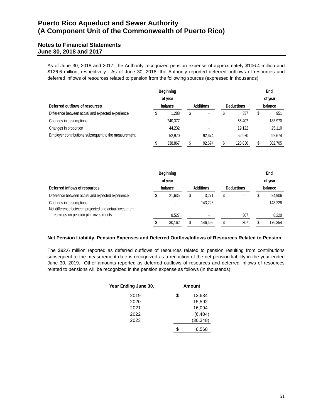## **Notes to Financial Statements June 30, 2018 and 2017**

As of June 30, 2018 and 2017, the Authority recognized pension expense of approximately \$106.4 million and \$126.6 million, respectively. As of June 30, 2018, the Authority reported deferred outflows of resources and deferred inflows of resources related to pension from the following sources (expressed in thousands):

|                                                      | <b>Beginning</b> |                  |                   |   | End     |
|------------------------------------------------------|------------------|------------------|-------------------|---|---------|
|                                                      | of year          |                  |                   |   | of year |
| Deferred outflows of resources                       | balance          | <b>Additions</b> | <b>Deductions</b> |   | balance |
| Difference between actual and expected experience    | 1.288            | \$               | 337               | S | 951     |
| Changes in assumptions                               | 240.377          |                  | 56.407            |   | 183,970 |
| Changes in proportion                                | 44.232           |                  | 19.122            |   | 25,110  |
| Employer contributions subsequent to the measurement | 52.970           | 92.674           | 52.970            |   | 92,674  |
|                                                      | 338,867          | 92.674           | 128.836           |   | 302.705 |

|                                                                                  | <b>Beginning</b> |                  |    |                   | End     |
|----------------------------------------------------------------------------------|------------------|------------------|----|-------------------|---------|
|                                                                                  | of year          |                  |    |                   | of year |
| Deferred inflows of resources                                                    | balance          | <b>Additions</b> |    | <b>Deductions</b> | balance |
| Difference between actual and expected experience                                | \$<br>21.635     | 3.271            | \$ |                   | 24,906  |
| Changes in assumptions<br>Net difference between projected and actual investment |                  | 143.228          |    |                   | 143.228 |
| earnings on pension plan investments                                             | 8.527            |                  |    | 307               | 8,220   |
|                                                                                  | 30.162           | 146.499          | J  | 307               | 176.354 |

#### **Net Pension Liability, Pension Expenses and Deferred Outflow/Inflows of Resources Related to Pension**

The \$92.6 million reported as deferred outflows of resources related to pension resulting from contributions subsequent to the measurement date is recognized as a reduction of the net pension liability in the year ended June 30, 2019. Other amounts reported as deferred outflows of resources and deferred inflows of resources related to pensions will be recognized in the pension expense as follows (in thousands):

| Year Ending June 30, | Amount       |
|----------------------|--------------|
| 2019                 | \$<br>13,634 |
| 2020                 | 15,592       |
| 2021                 | 16,094       |
| 2022                 | (6,404)      |
| 2023                 | (30, 348)    |
|                      | 8,568        |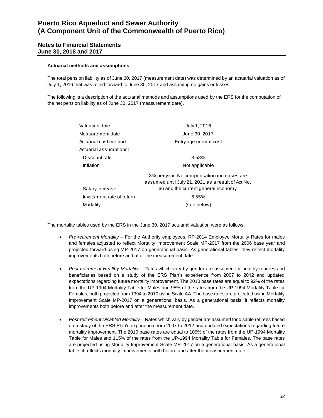### **Notes to Financial Statements June 30, 2018 and 2017**

#### **Actuarial methods and assumptions**

The total pension liability as of June 30, 2017 (measurement date) was determined by an actuarial valuation as of July 1, 2016 that was rolled forward to June 30, 2017 and assuming no gains or losses.

The following is a description of the actuarial methods and assumptions used by the ERS for the computation of the net pension liability as of June 30, 2017 (measurement date).

| Valuation date            | July 1, 2016                                                                                     |  |  |  |
|---------------------------|--------------------------------------------------------------------------------------------------|--|--|--|
| Measurement date          | June 30, 2017                                                                                    |  |  |  |
| Actuarial cost method     | Entry age normal cost                                                                            |  |  |  |
| Actuarial assumptions:    |                                                                                                  |  |  |  |
| Discount rate             | 3.58%                                                                                            |  |  |  |
| Inflation                 | Not applicable                                                                                   |  |  |  |
|                           | 3% per year. No compensation increases are<br>assumed until July 21, 2021 as a result of Act No. |  |  |  |
| Salary increase           | 66 and the current general economy.                                                              |  |  |  |
| Invetsment rate of return | 6.55%                                                                                            |  |  |  |
| Mortality                 | (see below)                                                                                      |  |  |  |

The mortality tables used by the ERS in the June 30, 2017 actuarial valuation were as follows:

- *Pre-retirement Mortality* For the Authority employees, RP-2014 Employee Mortality Rates for males and females adjusted to reflect Mortality Improvement Scale MP-2017 from the 2006 base year and projected forward using MP-2017 on generational basis. As generational tables, they reflect mortality improvements both before and after the measurement date.
- *Post-retirement Healthy Mortality* Rates which vary by gender are assumed for healthy retirees and beneficiaries based on a study of the ERS Plan's experience from 2007 to 2012 and updated expectations regarding future mortality improvement. The 2010 base rates are equal to 92% of the rates from the UP-1994 Mortality Table for Males and 95% of the rates from the UP-1994 Mortality Table for Females, both projected from 1994 to 2010 using Scale AA. The base rates are projected using Mortality Improvement Scale MP-2017 on a generational basis. As a generational basis, it reflects mortality improvements both before and after the measurement date.
- *Post-retirement Disabled Mortality* Rates which vary by gender are assumed for disable retirees based on a study of the ERS Plan's experience from 2007 to 2012 and updated expectations regarding future mortality improvement. The 2010 base rates are equal to 105% of the rates from the UP-1994 Mortality Table for Males and 115% of the rates from the UP-1994 Mortality Table for Females. The base rates are projected using Mortality Improvement Scale MP-2017 on a generational basis. As a generational table, it reflects mortality improvements both before and after the measurement date.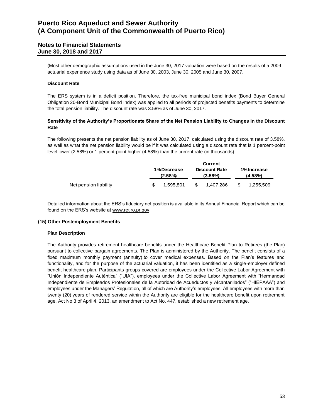## **Notes to Financial Statements June 30, 2018 and 2017**

(Most other demographic assumptions used in the June 30, 2017 valuation were based on the results of a 2009 actuarial experience study using data as of June 30, 2003, June 30, 2005 and June 30, 2007.

#### **Discount Rate**

The ERS system is in a deficit position. Therefore, the tax-free municipal bond index (Bond Buyer General Obligation 20-Bond Municipal Bond Index) was applied to all periods of projected benefits payments to determine the total pension liability. The discount rate was 3.58% as of June 30, 2017.

### **Sensitivity of the Authority's Proportionate Share of the Net Pension Liability to Changes in the Discount Rate**

The following presents the net pension liability as of June 30, 2017, calculated using the discount rate of 3.58%, as well as what the net pension liability would be if it was calculated using a discount rate that is 1 percent-point level lower (2.58%) or 1 percent-point higher (4.58%) than the current rate (in thousands):

|                       | <b>Current</b> |                           |  |                                    |                           |           |
|-----------------------|----------------|---------------------------|--|------------------------------------|---------------------------|-----------|
|                       |                | 1% Decrease<br>$(2.58\%)$ |  | <b>Discount Rate</b><br>$(3.58\%)$ | 1% Increase<br>$(4.58\%)$ |           |
| Net pension liability |                | 1,595,801                 |  | 1,407,286                          |                           | 1,255,509 |

Detailed information about the ERS's fiduciary net position is available in its Annual Financial Report which can be found on the ERS's website at www.retiro.pr.gov.

#### **(15) Other Postemployment Benefits**

#### **Plan Description**

The Authority provides retirement healthcare benefits under the Healthcare Benefit Plan to Retirees (the Plan) pursuant to collective bargain agreements. The Plan is administered by the Authority. The benefit consists of a fixed maximum monthly payment (annuity) to cover medical expenses. Based on the Plan's features and functionality, and for the purpose of the actuarial valuation, it has been identified as a single-employer defined benefit healthcare plan. Participants groups covered are employees under the Collective Labor Agreement with "Unión Independiente Auténtica" ("UIA"), employees under the Collective Labor Agreement with "Hermandad Independiente de Empleados Profesionales de la Autoridad de Acueductos y Alcantarillados" ("HIEPAAA") and employees under the Managers' Regulation, all of which are Authority's employees. All employees with more than twenty (20) years of rendered service within the Authority are eligible for the healthcare benefit upon retirement age. Act No.3 of April 4, 2013, an amendment to Act No. 447, established a new retirement age.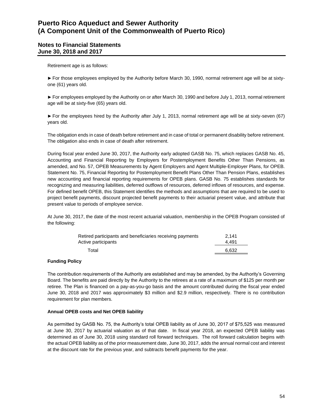### **Notes to Financial Statements June 30, 2018 and 2017**

Retirement age is as follows:

► For those employees employed by the Authority before March 30, 1990, normal retirement age will be at sixtyone (61) years old.

► For employees employed by the Authority on or after March 30, 1990 and before July 1, 2013, normal retirement age will be at sixty-five (65) years old.

► For the employees hired by the Authority after July 1, 2013, normal retirement age will be at sixty-seven (67) years old.

The obligation ends in case of death before retirement and in case of total or permanent disability before retirement. The obligation also ends in case of death after retirement.

During fiscal year ended June 30, 2017, the Authority early adopted GASB No. 75, which replaces GASB No. 45, Accounting and Financial Reporting by Employers for Postemployment Benefits Other Than Pensions, as amended, and No. 57, OPEB Measurements by Agent Employers and Agent Multiple-Employer Plans, for OPEB. Statement No. 75, Financial Reporting for Postemployment Benefit Plans Other Than Pension Plans, establishes new accounting and financial reporting requirements for OPEB plans. GASB No. 75 establishes standards for recognizing and measuring liabilities, deferred outflows of resources, deferred inflows of resources, and expense. For defined benefit OPEB, this Statement identifies the methods and assumptions that are required to be used to project benefit payments, discount projected benefit payments to their actuarial present value, and attribute that present value to periods of employee service.

At June 30, 2017, the date of the most recent actuarial valuation, membership in the OPEB Program consisted of the following:

| Retired participants and beneficiaries receiving payments | 2.141 |
|-----------------------------------------------------------|-------|
| Active participants                                       | 4.491 |
| Total                                                     | 6.632 |

#### **Funding Policy**

The contribution requirements of the Authority are established and may be amended, by the Authority's Governing Board. The benefits are paid directly by the Authority to the retirees at a rate of a maximum of \$125 per month per retiree. The Plan is financed on a pay-as-you-go basis and the amount contributed during the fiscal year ended June 30, 2018 and 2017 was approximately \$3 million and \$2.9 million, respectively. There is no contribution requirement for plan members.

#### **Annual OPEB costs and Net OPEB liability**

As permitted by GASB No. 75, the Authority's total OPEB liability as of June 30, 2017 of \$75,525 was measured at June 30, 2017 by actuarial valuation as of that date. In fiscal year 2018, an expected OPEB liability was determined as of June 30, 2018 using standard roll forward techniques. The roll forward calculation begins with the actual OPEB liability as of the prior measurement date, June 30, 2017, adds the annual normal cost and interest at the discount rate for the previous year, and subtracts benefit payments for the year.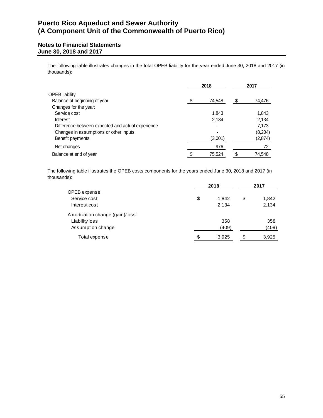## **Notes to Financial Statements June 30, 2018 and 2017**

The following table illustrates changes in the total OPEB liability for the year ended June 30, 2018 and 2017 (in thousands):

|                                                   | 2018         |   | 2017     |  |  |
|---------------------------------------------------|--------------|---|----------|--|--|
| <b>OPEB liability</b>                             |              |   |          |  |  |
| Balance at beginning of year                      | \$<br>74,548 | S | 74,476   |  |  |
| Changes for the year:                             |              |   |          |  |  |
| Service cost                                      | 1.843        |   | 1,843    |  |  |
| <b>Interest</b>                                   | 2,134        |   | 2,134    |  |  |
| Difference between expected and actual experience | ٠            |   | 7,173    |  |  |
| Changes in assumptions or other inputs            | ٠            |   | (8, 204) |  |  |
| Benefit payments                                  | (3,001)      |   | (2,874)  |  |  |
| Net changes                                       | 976          |   | 72       |  |  |
| Balance at end of year                            | 75.524       |   | 74,548   |  |  |

The following table illustrates the OPEB costs components for the years ended June 30, 2018 and 2017 (in thousands):

|                                  | 2018 |       | 2017 |       |  |
|----------------------------------|------|-------|------|-------|--|
| OPEB expense:                    |      |       |      |       |  |
| Service cost                     | \$   | 1.842 | \$   | 1,842 |  |
| Interest cost                    |      | 2,134 |      | 2,134 |  |
| Amortization change (gain)/loss: |      |       |      |       |  |
| Liability loss                   |      | 358   |      | 358   |  |
| Assumption change                |      | (409) |      | (409) |  |
| Total expense                    | \$.  | 3.925 | \$   | 3,925 |  |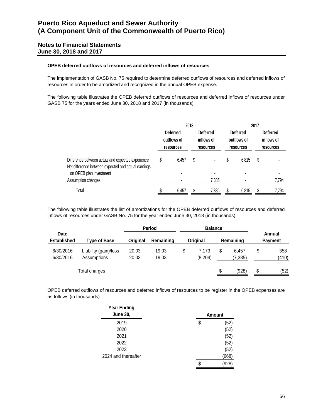## **Notes to Financial Statements June 30, 2018 and 2017**

#### **OPEB deferred outflows of resources and deferred inflows of resources**

The implementation of GASB No. 75 required to determine deferred outflows of resources and deferred inflows of resources in order to be amortized and recognized in the annual OPEB expense.

The following table illustrates the OPEB deferred outflows of resources and deferred inflows of resources under GASB 75 for the years ended June 30, 2018 and 2017 (in thousands):

|                                                                                                          | 2018 |                                             |    |                                            | 2017 |                                             |   |                                            |
|----------------------------------------------------------------------------------------------------------|------|---------------------------------------------|----|--------------------------------------------|------|---------------------------------------------|---|--------------------------------------------|
|                                                                                                          |      | <b>Deferred</b><br>outflows of<br>resources |    | <b>Deferred</b><br>inflows of<br>resources |      | <b>Deferred</b><br>outflows of<br>resources |   | <b>Deferred</b><br>inflows of<br>resources |
| Difference between actual and expected experience<br>Net difference between expected and actual earnings | \$   | 6.457                                       | \$ | ٠                                          | S    | 6,815                                       | S |                                            |
| on OPEB plan investment<br>Assumption changes                                                            |      |                                             |    | ۰<br>7,385                                 |      |                                             |   | 7,794                                      |
| Total                                                                                                    |      | 6,457                                       |    | 7,385                                      |      | 6,815                                       |   | 7,794                                      |

The following table illustrates the list of amortizations for the OPEB deferred outflows of resources and deferred inflows of resources under GASB No. 75 for the year ended June 30, 2018 (in thousands):

|                                   |                                      | <b>Period</b>  |                | <b>Balance</b>          |   |                  |    |                          |
|-----------------------------------|--------------------------------------|----------------|----------------|-------------------------|---|------------------|----|--------------------------|
| <b>Date</b><br><b>Established</b> | <b>Type of Base</b>                  | Original       | Remaining      | Original                |   | Remaining        |    | Annual<br><b>Payment</b> |
| 6/30/2016<br>6/30/2016            | Liability (gain)/loss<br>Assumptions | 20.03<br>20.03 | 19.03<br>19.03 | \$<br>7.173<br>(8, 204) | S | 6.457<br>(7,385) | \$ | 358<br>(410)             |
|                                   | Total charges                        |                |                |                         | S | (928)            | S  | (52)                     |

OPEB deferred outflows of resources and deferred inflows of resources to be register in the OPEB expenses are as follows (in thousands):

| <b>Year Ending</b>  |    |               |
|---------------------|----|---------------|
| <b>June 30,</b>     |    | <b>Amount</b> |
| 2019                | \$ | (52)          |
| 2020                |    | (52)          |
| 2021                |    | (52)          |
| 2022                |    | (52)          |
| 2023                |    | (52)          |
| 2024 and thereafter |    | (668)         |
|                     |    | '928'         |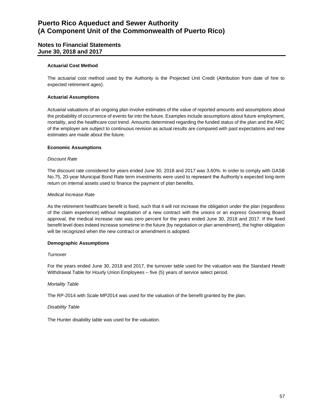### **Notes to Financial Statements June 30, 2018 and 2017**

#### **Actuarial Cost Method**

The actuarial cost method used by the Authority is the Projected Unit Credit (Attribution from date of hire to expected retirement ages).

#### **Actuarial Assumptions**

Actuarial valuations of an ongoing plan involve estimates of the value of reported amounts and assumptions about the probability of occurrence of events far into the future. Examples include assumptions about future employment, mortality, and the healthcare cost trend. Amounts determined regarding the funded status of the plan and the ARC of the employer are subject to continuous revision as actual results are compared with past expectations and new estimates are made about the future.

#### **Economic Assumptions**

#### *Discount Rate*

The discount rate considered for years ended June 30, 2018 and 2017 was 3.60%. In order to comply with GASB No.75, 20-year Municipal Bond Rate term investments were used to represent the Authority's expected long-term return on internal assets used to finance the payment of plan benefits.

#### *Medical Increase Rate*

As the retirement healthcare benefit is fixed, such that it will not increase the obligation under the plan (regardless of the claim experience) without negotiation of a new contract with the unions or an express Governing Board approval, the medical increase rate was zero percent for the years ended June 30, 2018 and 2017. If the fixed benefit level does indeed increase sometime in the future (by negotiation or plan amendment), the higher obligation will be recognized when the new contract or amendment is adopted.

### **Demographic Assumptions**

#### *Turnover*

For the years ended June 30, 2018 and 2017, the turnover table used for the valuation was the Standard Hewitt Withdrawal Table for Hourly Union Employees – five (5) years of service select period.

#### *Mortality Table*

The RP-2014 with Scale MP2014 was used for the valuation of the benefit granted by the plan.

#### *Disability Table*

The Hunter disability table was used for the valuation.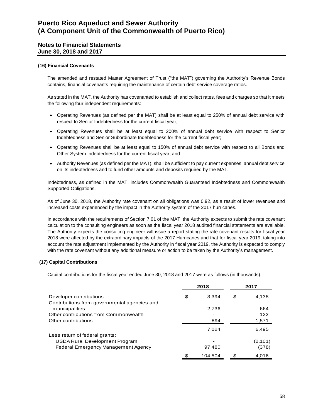### **Notes to Financial Statements June 30, 2018 and 2017**

#### **(16) Financial Covenants**

The amended and restated Master Agreement of Trust ("the MAT") governing the Authority's Revenue Bonds contains, financial covenants requiring the maintenance of certain debt service coverage ratios.

As stated in the MAT, the Authority has covenanted to establish and collect rates, fees and charges so that it meets the following four independent requirements:

- Operating Revenues (as defined per the MAT) shall be at least equal to 250% of annual debt service with respect to Senior Indebtedness for the current fiscal year;
- Operating Revenues shall be at least equal to 200% of annual debt service with respect to Senior Indebtedness and Senior Subordinate Indebtedness for the current fiscal year;
- Operating Revenues shall be at least equal to 150% of annual debt service with respect to all Bonds and Other System Indebtedness for the current fiscal year; and
- Authority Revenues (as defined per the MAT), shall be sufficient to pay current expenses, annual debt service on its indebtedness and to fund other amounts and deposits required by the MAT.

Indebtedness, as defined in the MAT, includes Commonwealth Guaranteed Indebtedness and Commonwealth Supported Obligations.

As of June 30, 2018, the Authority rate covenant on all obligations was 0.92, as a result of lower revenues and increased costs experienced by the impact in the Authority system of the 2017 hurricanes.

In accordance with the requirements of Section 7.01 of the MAT, the Authority expects to submit the rate covenant calculation to the consulting engineers as soon as the fiscal year 2018 audited financial statements are available. The Authority expects the consulting engineer will issue a report stating the rate covenant results for fiscal year 2018 were affected by the extraordinary impacts of the 2017 Hurricanes and that for fiscal year 2019, taking into account the rate adjustment implemented by the Authority in fiscal year 2019, the Authority is expected to comply with the rate covenant without any additional measure or action to be taken by the Authority's management.

#### **(17) Capital Contributions**

Capital contributions for the fiscal year ended June 30, 2018 and 2017 were as follows (in thousands):

|                                              |    | 2018    | 2017 |         |  |
|----------------------------------------------|----|---------|------|---------|--|
| Developer contributions                      | \$ | 3.394   | \$   | 4,138   |  |
| Contributions from governmental agencies and |    |         |      |         |  |
| municipalities                               |    | 2,736   |      | 664     |  |
| Other contributions from Commonwealth        |    |         |      | 122     |  |
| Other contributions                          |    | 894     |      | 1,571   |  |
|                                              |    | 7,024   |      | 6,495   |  |
| Less return of federal grants:               |    |         |      |         |  |
| <b>USDA Rural Development Program</b>        |    |         |      | (2,101) |  |
| Federal Emergency Management Agency          |    | 97,480  |      | (378)   |  |
|                                              | \$ | 104.504 | S    | 4.016   |  |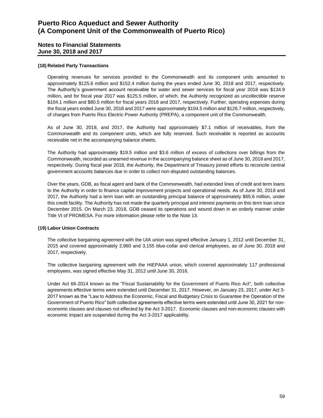## **Notes to Financial Statements June 30, 2018 and 2017**

#### **(18) Related Party Transactions**

Operating revenues for services provided to the Commonwealth and its component units amounted to approximately \$125.6 million and \$152.4 million during the years ended June 30, 2018 and 2017, respectively. The Authority's government account receivable for water and sewer services for fiscal year 2018 was \$134.9 million, and for fiscal year 2017 was \$125.5 million, of which, the Authority recognized as uncollectible reserve \$104.1 million and \$80.5 million for fiscal years 2018 and 2017, respectively. Further, operating expenses during the fiscal years ended June 30, 2018 and 2017 were approximately \$104.5 million and \$126.7 million, respectively, of charges from Puerto Rico Electric Power Authority (PREPA), a component unit of the Commonwealth.

As of June 30, 2018, and 2017, the Authority had approximately \$7.1 million of receivables, from the Commonwealth and its component units, which are fully reserved. Such receivable is reported as accounts receivable net in the accompanying balance sheets.

The Authority had approximately \$19.5 million and \$3.6 million of excess of collections over billings from the Commonwealth, recorded as unearned revenue in the accompanying balance sheet as of June 30, 2018 and 2017, respectively. During fiscal year 2018, the Authority, the Department of Treasury joined efforts to reconcile central government accounts balances due in order to collect non-disputed outstanding balances.

Over the years, GDB, as fiscal agent and bank of the Commonwealth, had extended lines of credit and term loans to the Authority in order to finance capital improvement projects and operational needs. As of June 30, 2018 and 2017, the Authority had a term loan with an outstanding principal balance of approximately \$65.6 million, under this credit facility. The Authority has not made the quarterly principal and interest payments on this term loan since December 2015. On March 23, 2018, GDB ceased its operations and wound down in an orderly manner under Title VI of PROMESA. For more information please refer to the Note 13.

### **(19) Labor Union Contracts**

The collective bargaining agreement with the UIA union was signed effective January 1, 2012 until December 31, 2015 and covered approximately 2,960 and 3,155 blue-collar and clerical employees, as of June 30, 2018 and 2017, respectively.

The collective bargaining agreement with the HIEPAAA union, which covered approximately 117 professional employees, was signed effective May 31, 2012 until June 30, 2016.

Under Act 66-2014 known as the "Fiscal Sustainability for the Government of Puerto Rico Act", both collective agreements effective terms were extended until December 31, 2017. However, on January 23, 2017, under Act 3- 2017 known as the "Law to Address the Economic, Fiscal and Budgetary Crisis to Guarantee the Operation of the Government of Puerto Rico" both collective agreements effective terms were extended until June 30, 2021 for noneconomic clauses and clauses not effected by the Act 3-2017. Economic clauses and non-economic clauses with economic impact are suspended during the Act 3-2017 applicability.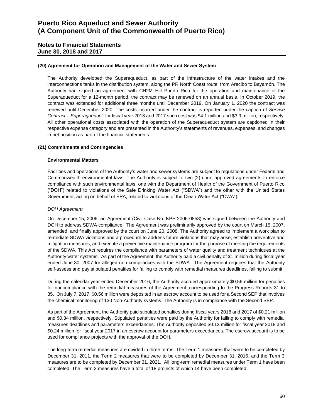## **Notes to Financial Statements June 30, 2018 and 2017**

#### **(20) Agreement for Operation and Management of the Water and Sewer System**

The Authority developed the Superaqueduct, as part of the infrastructure of the water intakes and the interconnections tanks in the distribution system, along the PR North Coast route, from Arecibo to Bayamón. The Authority had signed an agreement with CH2M Hill Puerto Rico for the operation and maintenance of the Superaqueduct for a 12-month period, the contract may be renewed on an annual basis. In October 2019, the contract was extended for additional three months until December 2019. On January 1, 2020 the contract was renewed until December 2020. The costs incurred under the contract is reported under the caption of *Service Contract – Superaqueduct,* for fiscal year 2018 and 2017 such cost was \$4.1 million and \$3.9 million, respectively*.* All other operational costs associated with the operation of the Superaqueduct system are captioned in their respective expense category and are presented in the Authority's statements of revenues, expenses, and changes in net position as part of the financial statements.

#### **(21) Commitments and Contingencies**

#### **Environmental Matters**

Facilities and operations of the Authority's water and sewer systems are subject to regulations under Federal and Commonwealth environmental laws. The Authority is subject to two (2) court approved agreements to enforce compliance with such environmental laws, one with the Department of Health of the Government of Puerto Rico ("DOH") related to violations of the Safe Drinking Water Act ("SDWA") and the other with the United States Government, acting on behalf of EPA, related to violations of the Clean Water Act ("CWA").

### *DOH Agreement*

On December 15, 2006, an Agreement (Civil Case No. KPE 2006-0858) was signed between the Authority and DOH to address SDWA compliance. The Agreement was preliminarily approved by the court on March 15, 2007, amended, and finally approved by the court on June 20, 2008. The Authority agreed to implement a work plan to remediate SDWA violations and a procedure to address future violations that may arise, establish preventive and mitigation measures, and execute a preventive maintenance program for the purpose of meeting the requirements of the SDWA. This Act requires the compliance with parameters of water quality and treatment techniques at the Authority water systems. As part of the Agreement, the Authority paid a civil penalty of \$1 million during fiscal year ended June 30, 2007 for alleged non-compliances with the SDWA. The Agreement requires that the Authority self-assess and pay stipulated penalties for failing to comply with remedial measures deadlines, failing to submit

During the calendar year ended December 2016, the Authority accrued approximately \$0.56 million for penalties for noncompliance with the remedial measures of the Agreement, corresponding to the Progress Reports 31 to 35. On July 7, 2017, \$0.56 million were deposited in an escrow account to be used for a Second SEP that involves the chemical monitoring of 130 Non-Authority systems. The Authority is in compliance with the Second SEP.

As part of the Agreement, the Authority paid stipulated penalties during fiscal years 2018 and 2017 of \$0.21 million and \$0.34 million, respectively. Stipulated penalties were paid by the Authority for failing to comply with remedial measures deadlines and parameters exceedances. The Authority deposited \$0.13 million for fiscal year 2018 and \$0.24 million for fiscal year 2017 in an escrow account for parameters exceedances. The escrow account is to be used for compliance projects with the approval of the DOH.

The long-term remedial measures are divided in three terms: The Term 1 measures that were to be completed by December 31, 2011, the Term 2 measures that were to be completed by December 31, 2016, and the Term 3 measures are to be completed by December 31, 2021. All long-term remedial measures under Term 1 have been completed. The Term 2 measures have a total of 18 projects of which 14 have been completed.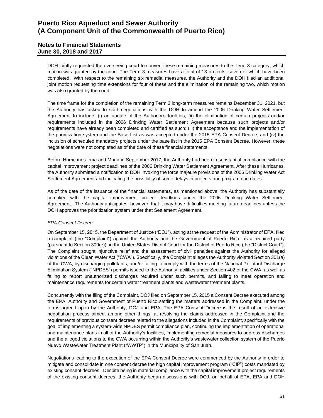## **Notes to Financial Statements June 30, 2018 and 2017**

DOH jointly requested the overseeing court to convert these remaining measures to the Term 3 category, which motion was granted by the court. The Term 3 measures have a total of 13 projects, seven of which have been completed. With respect to the remaining six remedial measures, the Authority and the DOH filed an additional joint motion requesting time extensions for four of these and the elimination of the remaining two, which motion was also granted by the court.

The time frame for the completion of the remaining Term 3 long-term measures remains December 31, 2021, but the Authority has asked to start negotiations with the DOH to amend the 2006 Drinking Water Settlement Agreement to include: (i) an update of the Authority's facilities; (ii) the elimination of certain projects and/or requirements included in the 2006 Drinking Water Settlement Agreement because such projects and/or requirements have already been completed and certified as such; (iii) the acceptance and the implementation of the prioritization system and the Base List as was accepted under the 2015 EPA Consent Decree; and (iv) the inclusion of scheduled mandatory projects under the base list in the 2015 EPA Consent Decree. However, these negotiations were not completed as of the date of these financial statements.

Before Hurricanes Irma and Maria in September 2017, the Authority had been in substantial compliance with the capital improvement project deadlines of the 2006 Drinking Water Settlement Agreement. After these Hurricanes, the Authority submitted a notification to DOH invoking the force majeure provisions of the 2006 Drinking Water Act Settlement Agreement and indicating the possibility of some delays in projects and program due dates

As of the date of the issuance of the financial statements, as mentioned above, the Authority has substantially complied with the capital improvement project deadlines under the 2006 Drinking Water Settlement Agreement. The Authority anticipates, however, that it may have difficulties meeting future deadlines unless the DOH approves the prioritization system under that Settlement Agreement.

### *EPA Consent Decree*

On September 15, 2015, the Department of Justice ("DOJ"), acting at the request of the Administrator of EPA, filed a complaint (the "Complaint") against the Authority and the Government of Puerto Rico, as a required party (pursuant to Section 309(e)), in the United States District Court for the District of Puerto Rico (the "District Court"). The Complaint sought injunctive relief and the assessment of civil penalties against the Authority for alleged violations of the Clean Water Act ("CWA"). Specifically, the Complaint alleges the Authority violated Section 301(a) of the CWA, by discharging pollutants, and/or failing to comply with the terms of the National Pollutant Discharge Elimination System ("NPDES") permits issued to the Authority facilities under Section 402 of the CWA, as well as failing to report unauthorized discharges required under such permits, and failing to meet operation and maintenance requirements for certain water treatment plants and wastewater treatment plants.

Concurrently with the filing of the Complaint, DOJ filed on September 15, 2015 a Consent Decree executed among the EPA, Authority and Government of Puerto Rico settling the matters addressed in the Complaint, under the terms agreed upon by the Authority, DOJ and EPA. The EPA Consent Decree is the result of an extensive negotiation process aimed, among other things, at resolving the claims addressed in the Complaint and the requirements of previous consent decrees related to the allegations included in the Complaint, specifically with the goal of implementing a system-wide NPDES permit compliance plan, continuing the implementation of operational and maintenance plans in all of the Authority's facilities, implementing remedial measures to address discharges and the alleged violations to the CWA occurring within the Authority's wastewater collection system of the Puerto Nuevo Wastewater Treatment Plant ("WWTP") in the Municipality of San Juan.

Negotiations leading to the execution of the EPA Consent Decree were commenced by the Authority in order to mitigate and consolidate in one consent decree the high capital improvement program ("CIP") costs mandated by existing consent decrees. Despite being in material compliance with the capital improvement project requirements of the existing consent decrees, the Authority began discussions with DOJ, on behalf of EPA, EPA and DOH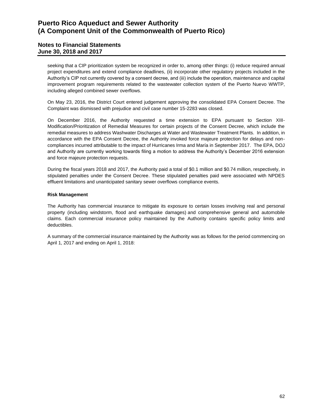## **Notes to Financial Statements June 30, 2018 and 2017**

seeking that a CIP prioritization system be recognized in order to, among other things: (i) reduce required annual project expenditures and extend compliance deadlines, (ii) incorporate other regulatory projects included in the Authority's CIP not currently covered by a consent decree, and (iii) include the operation, maintenance and capital improvement program requirements related to the wastewater collection system of the Puerto Nuevo WWTP, including alleged combined sewer overflows.

On May 23, 2016, the District Court entered judgement approving the consolidated EPA Consent Decree. The Complaint was dismissed with prejudice and civil case number 15-2283 was closed.

On December 2016, the Authority requested a time extension to EPA pursuant to Section XIII-Modification/Prioritization of Remedial Measures for certain projects of the Consent Decree, which include the remedial measures to address Washwater Discharges at Water and Wastewater Treatment Plants. In addition, in accordance with the EPA Consent Decree, the Authority invoked force majeure protection for delays and noncompliances incurred attributable to the impact of Hurricanes Irma and María in September 2017. The EPA, DOJ and Authority are currently working towards filing a motion to address the Authority's December 2016 extension and force majeure protection requests.

During the fiscal years 2018 and 2017, the Authority paid a total of \$0.1 million and \$0.74 million, respectively, in stipulated penalties under the Consent Decree. These stipulated penalties paid were associated with NPDES effluent limitations and unanticipated sanitary sewer overflows compliance events.

#### **Risk Management**

The Authority has commercial insurance to mitigate its exposure to certain losses involving real and personal property (including windstorm, flood and earthquake damages) and comprehensive general and automobile claims. Each commercial insurance policy maintained by the Authority contains specific policy limits and deductibles.

A summary of the commercial insurance maintained by the Authority was as follows for the period commencing on April 1, 2017 and ending on April 1, 2018: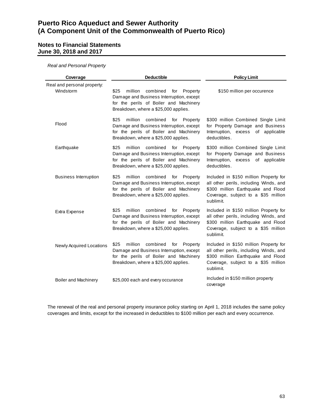## **Notes to Financial Statements June 30, 2018 and 2017**

#### *Real and Personal Property*

| Coverage                                 | Deductible                                                                                                                                                                | <b>Policy Limit</b>                                                                                                                                                        |
|------------------------------------------|---------------------------------------------------------------------------------------------------------------------------------------------------------------------------|----------------------------------------------------------------------------------------------------------------------------------------------------------------------------|
| Real and personal property:<br>Windstorm | \$25<br>million<br>combined<br>for Property<br>Damage and Business Interruption, except<br>for the perils of Boiler and Machinery<br>Breakdown, where a \$25,000 applies. | \$150 million per occurence                                                                                                                                                |
| Flood                                    | \$25<br>million<br>combined<br>for Property<br>Damage and Business Interruption, except<br>for the perils of Boiler and Machinery<br>Breakdown, where a \$25,000 applies. | \$300 million Combined Single Limit<br>for Property Damage and Business<br>Interruption, excess of applicable<br>deductibles.                                              |
| Earthquake                               | million combined<br>\$25<br>for Property<br>Damage and Business Interruption, except<br>for the perils of Boiler and Machinery<br>Breakdown, where a \$25,000 applies.    | \$300 million Combined Single Limit<br>for Property Damage and Business<br>Interruption, excess<br>of applicable<br>deductibles.                                           |
| <b>Business Interruption</b>             | \$25<br>million<br>combined<br>for Property<br>Damage and Business Interruption, except<br>for the perils of Boiler and Machinery<br>Breakdown, where a \$25,000 applies. | Included in \$150 million Property for<br>all other perils, including Winds, and<br>\$300 million Earthquake and Flood<br>Coverage, subject to a \$35 million<br>sublimit. |
| Extra Expense                            | \$25<br>million<br>combined<br>for Property<br>Damage and Business Interruption, except<br>for the perils of Boiler and Machinery<br>Breakdown, where a \$25,000 applies. | Included in \$150 million Property for<br>all other perils, including Winds, and<br>\$300 million Earthquake and Flood<br>Coverage, subject to a \$35 million<br>sublimit. |
| Newly Acquired Locations                 | \$25<br>combined<br>million<br>for Property<br>Damage and Business Interruption, except<br>for the perils of Boiler and Machinery<br>Breakdown, where a \$25,000 applies. | Included in \$150 million Property for<br>all other perils, including Winds, and<br>\$300 million Earthquake and Flood<br>Coverage, subject to a \$35 million<br>sublimit. |
| <b>Boiler and Machinery</b>              | \$25,000 each and every occurance                                                                                                                                         | Included in \$150 million property<br>coverage                                                                                                                             |

The renewal of the real and personal property insurance policy starting on April 1, 2018 includes the same policy coverages and limits, except for the increased in deductibles to \$100 million per each and every occurrence.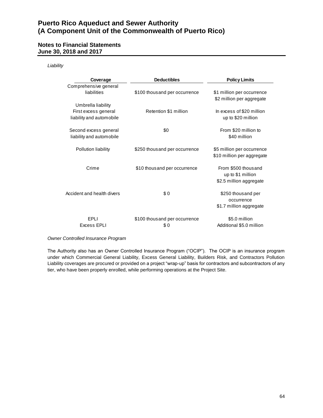## **Notes to Financial Statements June 30, 2018 and 2017**

*Liability*

| Coverage                   | <b>Deductibles</b>            | <b>Policy Limits</b>       |
|----------------------------|-------------------------------|----------------------------|
| Comprehensive general      |                               |                            |
| liabilities                | \$100 thousand per occurrence | \$1 million per occurrence |
|                            |                               | \$2 million per aggregate  |
| Umbrella liability         |                               |                            |
| First excess general       | Retention \$1 million         | In excess of \$20 million  |
| liability and automobile   |                               | up to \$20 million         |
| Second excess general      | \$0                           | From \$20 million to       |
| liability and automobile   |                               | \$40 million               |
| Pollution liability        | \$250 thousand per occurrence | \$5 million per occurrence |
|                            |                               | \$10 million per aggregate |
| Crime                      | \$10 thous and per occurrence | From \$500 thousand        |
|                            |                               | up to \$1 million          |
|                            |                               | \$2.5 million aggregate    |
| Accident and health divers | \$0                           | \$250 thous and per        |
|                            |                               | occurrence                 |
|                            |                               | \$1.7 million aggregate    |
| EPLI                       | \$100 thousand per occurrence | \$5.0 million              |
| <b>Excess FPLI</b>         | \$0                           | Additional \$5.0 million   |

#### *Owner Controlled Insurance Program*

The Authority also has an Owner Controlled Insurance Program ("OCIP"). The OCIP is an insurance program under which Commercial General Liability, Excess General Liability, Builders Risk, and Contractors Pollution Liability coverages are procured or provided on a project "wrap-up" basis for contractors and subcontractors of any tier, who have been properly enrolled, while performing operations at the Project Site.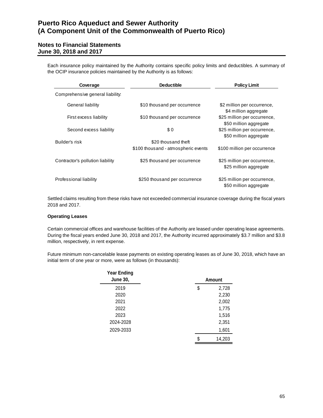### **Notes to Financial Statements June 30, 2018 and 2017**

Each insurance policy maintained by the Authority contains specific policy limits and deductibles. A summary of the OCIP insurance policies maintained by the Authority is as follows:

| Coverage                         | <b>Deductible</b>                   | <b>Policy Limit</b>                                    |  |  |  |
|----------------------------------|-------------------------------------|--------------------------------------------------------|--|--|--|
| Comprehensive general liability: |                                     |                                                        |  |  |  |
| General liability                | \$10 thousand per occurrence        | \$2 million per occurrence,<br>\$4 million aggregate   |  |  |  |
| First excess liability           | \$10 thousand per occurrence        | \$25 million per occurrence,<br>\$50 million aggregate |  |  |  |
| Second excess liability          | \$0                                 | \$25 million per occurrence,<br>\$50 million aggregate |  |  |  |
| Builder's risk                   | \$20 thous and theft                |                                                        |  |  |  |
|                                  | \$100 thousand - atmospheric events | \$100 million per occurrence                           |  |  |  |
| Contractor's pollution liability | \$25 thous and per occurrence       | \$25 million per occurrence,<br>\$25 million aggregate |  |  |  |
| Professional liability           | \$250 thousand per occurrence       | \$25 million per occurrence,<br>\$50 million aggregate |  |  |  |

Settled claims resulting from these risks have not exceeded commercial insurance coverage during the fiscal years 2018 and 2017.

#### **Operating Leases**

Certain commercial offices and warehouse facilities of the Authority are leased under operating lease agreements. During the fiscal years ended June 30, 2018 and 2017, the Authority incurred approximately \$3.7 million and \$3.8 million, respectively, in rent expense.

Future minimum non-cancelable lease payments on existing operating leases as of June 30, 2018, which have an initial term of one year or more, were as follows (in thousands):

| <b>Year Ending</b><br><b>June 30,</b> | <b>Amount</b> |  |  |
|---------------------------------------|---------------|--|--|
| 2019                                  | \$<br>2,728   |  |  |
| 2020                                  | 2,230         |  |  |
| 2021                                  | 2,002         |  |  |
| 2022                                  | 1,775         |  |  |
| 2023                                  | 1,516         |  |  |
| 2024-2028                             | 2,351         |  |  |
| 2029-2033                             | 1,601         |  |  |
|                                       | 14,203        |  |  |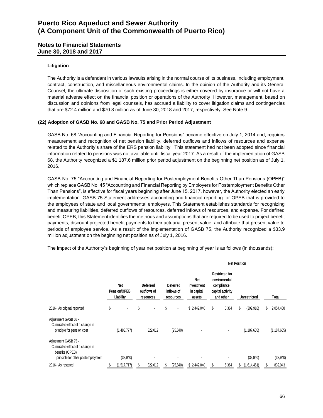### **Notes to Financial Statements June 30, 2018 and 2017**

#### **Litigation**

The Authority is a defendant in various lawsuits arising in the normal course of its business, including employment, contract, construction, and miscellaneous environmental claims. In the opinion of the Authority and its General Counsel, the ultimate disposition of such existing proceedings is either covered by insurance or will not have a material adverse effect on the financial position or operations of the Authority. However, management, based on discussion and opinions from legal counsels, has accrued a liability to cover litigation claims and contingencies that are \$72.4 million and \$70.8 million as of June 30, 2018 and 2017, respectively. See Note 9.

#### **(22) Adoption of GASB No. 68 and GASB No. 75 and Prior Period Adjustment**

GASB No. 68 "Accounting and Financial Reporting for Pensions" became effective on July 1, 2014 and, requires measurement and recognition of net pension liability, deferred outflows and inflows of resources and expense related to the Authority's share of the ERS pension liability. This statement had not been adopted since financial information related to pensions was not available until fiscal year 2017. As a result of the implementation of GASB 68, the Authority recognized a \$1,187.6 million prior period adjustment on the beginning net position as of July 1, 2016.

GASB No. 75 "Accounting and Financial Reporting for Postemployment Benefits Other Than Pensions (OPEB)" which replace GASB No. 45 "Accounting and Financial Reporting by Employers for Postemployment Benefits Other Than Pensions", is effective for fiscal years beginning after June 15, 2017, however, the Authority elected an early implementation. GASB 75 Statement addresses accounting and financial reporting for OPEB that is provided to the employees of state and local governmental employers. This Statement establishes standards for recognizing and measuring liabilities, deferred outflows of resources, deferred inflows of resources, and expense. For defined benefit OPEB, this Statement identifies the methods and assumptions that are required to be used to project benefit payments, discount projected benefit payments to their actuarial present value, and attribute that present value to periods of employee service. As a result of the implementation of GASB 75, the Authority recognized a \$33.9 million adjustment on the beginning net position as of July 1, 2016.

The impact of the Authority's beginning of year net position at beginning of year is as follows (in thousands):

|                                                                                                                   |                                         |             |                                             |         |                                     |           | <b>Net Position</b>                              |                                                                                       |       |              |               |       |               |
|-------------------------------------------------------------------------------------------------------------------|-----------------------------------------|-------------|---------------------------------------------|---------|-------------------------------------|-----------|--------------------------------------------------|---------------------------------------------------------------------------------------|-------|--------------|---------------|-------|---------------|
|                                                                                                                   | Net<br><b>Pension/OPEB</b><br>Liability |             | <b>Deferred</b><br>outflows of<br>resources |         | Deferred<br>inflows of<br>resources |           | <b>Net</b><br>investment<br>in capital<br>assets | <b>Restricted for</b><br>enviromental<br>compliance,<br>capital activity<br>and other |       | Unrestricted |               | Total |               |
| 2016 - As original reported                                                                                       | \$                                      |             | \$                                          |         | \$                                  |           | \$2,442,040                                      | \$                                                                                    | 5,364 | \$           | (392, 916)    | \$    | 2,054,488     |
| Adjustment GASB 68 -<br>Cumulative effect of a change in<br>principle for pension cost                            |                                         | (1,483,777) |                                             | 322,012 |                                     | (25, 840) |                                                  |                                                                                       |       |              | (1, 187, 605) |       | (1, 187, 605) |
| Adjustment GASB 75 -<br>Cumulative effect of a change in<br>benefits (OPEB)<br>principle for other postemployment |                                         | (33,940)    |                                             |         |                                     |           |                                                  |                                                                                       |       |              | (33,940)      |       | (33,940)      |
| 2016 - As restated                                                                                                |                                         | (1,517,717) |                                             | 322,012 |                                     | (25, 840) | \$2,442,040                                      |                                                                                       | 5,364 |              | (1,614,461)   |       | 832,943       |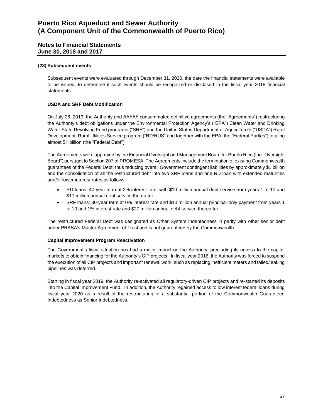### **Notes to Financial Statements June 30, 2018 and 2017**

#### **(23) Subsequent events**

Subsequent events were evaluated through December 31, 2020, the date the financial statements were available to be issued, to determine if such events should be recognized or disclosed in the fiscal year 2018 financial statements.

### **USDA and SRF Debt Modification**

On July 26, 2019, the Authority and AAFAF consummated definitive agreements (the "Agreements") restructuring the Authority's debt obligations under the Environmental Protection Agency's ("EPA") Clean Water and Drinking Water State Revolving Fund programs ("SRF") and the United States Department of Agriculture's ("USDA") Rural Development, Rural Utilities Service program ("RD/RUS" and together with the EPA, the "Federal Parties") totaling almost \$1 billion (the "Federal Debt").

The Agreements were approved by the Financial Oversight and Management Board for Puerto Rico (the "Oversight Board") pursuant to Section 207 of PROMESA. The Agreements include the termination of existing Commonwealth guarantees of the Federal Debt, thus reducing overall Government contingent liabilities by approximately \$1 billion and the consolidation of all the restructured debt into two SRF loans and one RD loan with extended maturities and/or lower interest rates as follows:

- RD loans: 40-year term at 2% interest rate, with \$10 million annual debt service from years 1 to 10 and \$17 million annual debt service thereafter
- SRF loans: 30-year term at 0% interest rate and \$10 million annual principal-only payment from years 1 to 10 and 1% interest rate and \$27 million annual debt service thereafter.

The restructured Federal Debt was designated as Other System Indebtedness in parity with other senior debt under PRASA's Master Agreement of Trust and is not guaranteed by the Commonwealth.

#### **Capital Improvement Program Reactivation**

The Government's fiscal situation has had a major impact on the Authority, precluding its access to the capital markets to obtain financing for the Authority's CIP projects. In fiscal year 2016, the Authority was forced to suspend the execution of all CIP projects and important renewal work, such as replacing inefficient meters and failed/leaking pipelines was deferred.

Starting in fiscal year 2019, the Authority re-activated all regulatory-driven CIP projects and re-started its deposits into the Capital Improvement Fund. In addition, the Authority regained access to low interest federal loans during fiscal year 2020 as a result of the restructuring of a substantial portion of the Commonwealth Guaranteed Indebtedness as Senior Indebtedness.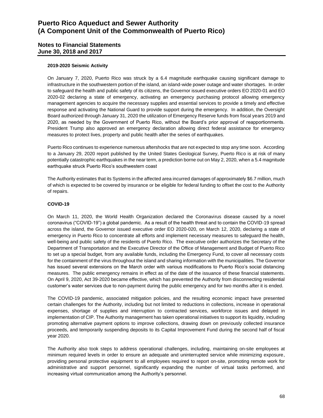### **Notes to Financial Statements June 30, 2018 and 2017**

#### **2019-2020 Seismic Activity**

On January 7, 2020, Puerto Rico was struck by a 6.4 magnitude earthquake causing significant damage to infrastructure in the southwestern portion of the island, an island-wide power outage and water shortages. In order to safeguard the health and public safety of its citizens, the Governor issued executive orders EO 2020-01 and EO 2020-02 declaring a state of emergency, activating an emergency purchasing protocol allowing emergency management agencies to acquire the necessary supplies and essential services to provide a timely and effective response and activating the National Guard to provide support during the emergency. In addition, the Oversight Board authorized through January 31, 2020 the utilization of Emergency Reserve funds from fiscal years 2019 and 2020, as needed by the Government of Puerto Rico, without the Board's prior approval of reapportionments. President Trump also approved an emergency declaration allowing direct federal assistance for emergency measures to protect lives, property and public health after the series of earthquakes.

Puerto Rico continues to experience numerous aftershocks that are not expected to stop any time soon. According to a January 29, 2020 report published by the United States Geological Survey, Puerto Rico is at risk of many potentially catastrophic earthquakes in the near term, a prediction borne out on May 2, 2020, when a 5.4 magnitude earthquake struck Puerto Rico's southwestern coast

The Authority estimates that its Systems in the affected area incurred damages of approximately \$6.7 million, much of which is expected to be covered by insurance or be eligible for federal funding to offset the cost to the Authority of repairs.

#### **COVID-19**

On March 11, 2020, the World Health Organization declared the Coronavirus disease caused by a novel coronavirus ("COVID-19") a global pandemic. As a result of the health threat and to contain the COVID-19 spread across the island, the Governor issued executive order EO 2020-020, on March 12, 2020, declaring a state of emergency in Puerto Rico to concentrate all efforts and implement necessary measures to safeguard the health, well-being and public safety of the residents of Puerto Rico. The executive order authorizes the Secretary of the Department of Transportation and the Executive Director of the Office of Management and Budget of Puerto Rico to set up a special budget, from any available funds, including the Emergency Fund, to cover all necessary costs for the containment of the virus throughout the island and sharing information with the municipalities. The Governor has issued several extensions on the March order with various modifications to Puerto Rico's social distancing measures. The public emergency remains in effect as of the date of the issuance of these financial statements. On April 9, 2020, Act 39-2020 became effective, which has prevented the Authority from disconnecting residential customer's water services due to non-payment during the public emergency and for two months after it is ended.

The COVID-19 pandemic, associated mitigation policies, and the resulting economic impact have presented certain challenges for the Authority, including but not limited to reductions in collections, increase in operational expenses, shortage of supplies and interruption to contracted services, workforce issues and delayed in implementation of CIP. The Authority management has taken operational initiatives to support its liquidity, including promoting alternative payment options to improve collections, drawing down on previously collected insurance proceeds, and temporarily suspending deposits to its Capital Improvement Fund during the second half of fiscal year 2020.

The Authority also took steps to address operational challenges, including, maintaining on-site employees at minimum required levels in order to ensure an adequate and uninterrupted service while minimizing exposure, providing personal protective equipment to all employees required to report on-site, promoting remote work for administrative and support personnel, significantly expanding the number of virtual tasks performed, and increasing virtual communication among the Authority's personnel.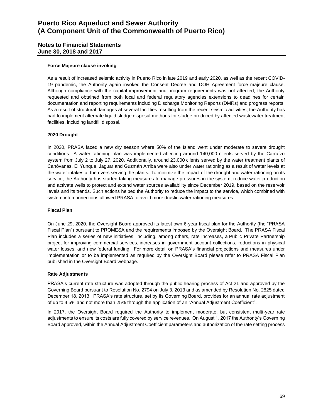### **Notes to Financial Statements June 30, 2018 and 2017**

#### **Force Majeure clause invoking**

As a result of increased seismic activity in Puerto Rico in late 2019 and early 2020, as well as the recent COVID-19 pandemic, the Authority again invoked the Consent Decree and DOH Agreement force majeure clause. Although compliance with the capital improvement and program requirements was not affected, the Authority requested and obtained from both local and federal regulatory agencies extensions to deadlines for certain documentation and reporting requirements including Discharge Monitoring Reports (DMRs) and progress reports. As a result of structural damages at several facilities resulting from the recent seismic activities, the Authority has had to implement alternate liquid sludge disposal methods for sludge produced by affected wastewater treatment facilities, including landfill disposal.

#### **2020 Drought**

In 2020, PRASA faced a new dry season where 50% of the Island went under moderate to severe drought conditions. A water rationing plan was implemented affecting around 140,000 clients served by the Carraízo system from July 2 to July 27, 2020. Additionally, around 23,000 clients served by the water treatment plants of Canóvanas, El Yunque, Jaguar and Guzmán Arriba were also under water rationing as a result of water levels at the water intakes at the rivers serving the plants. To minimize the impact of the drought and water rationing on its service, the Authority has started taking measures to manage pressures in the system, reduce water production and activate wells to protect and extend water sources availability since December 2019, based on the reservoir levels and its trends. Such actions helped the Authority to reduce the impact to the service, which combined with system interconnections allowed PRASA to avoid more drastic water rationing measures.

#### **Fiscal Plan**

On June 29, 2020, the Oversight Board approved its latest own 6-year fiscal plan for the Authority (the "PRASA Fiscal Plan") pursuant to PROMESA and the requirements imposed by the Oversight Board. The PRASA Fiscal Plan includes a series of new initiatives, including, among others, rate increases, a Public Private Partnership project for improving commercial services, increases in government account collections, reductions in physical water losses, and new federal funding. For more detail on PRASA's financial projections and measures under implementation or to be implemented as required by the Oversight Board please refer to PRASA Fiscal Plan published in the Oversight Board webpage.

#### **Rate Adjustments**

PRASA's current rate structure was adopted through the public hearing process of Act 21 and approved by the Governing Board pursuant to Resolution No. 2794 on July 3, 2013 and as amended by Resolution No. 2825 dated December 18, 2013. PRASA's rate structure, set by its Governing Board, provides for an annual rate adjustment of up to 4.5% and not more than 25% through the application of an "Annual Adjustment Coefficient".

In 2017, the Oversight Board required the Authority to implement moderate, but consistent multi-year rate adjustments to ensure its costs are fully covered by service revenues. On August 1, 2017 the Authority's Governing Board approved, within the Annual Adjustment Coefficient parameters and authorization of the rate setting process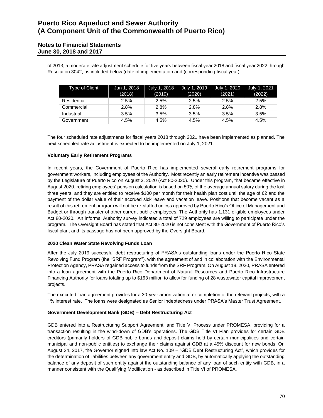### **Notes to Financial Statements June 30, 2018 and 2017**

of 2013, a moderate rate adjustment schedule for five years between fiscal year 2018 and fiscal year 2022 through Resolution 3042, as included below (date of implementation and (corresponding fiscal year):

| Type of Client | Jan 1, 2018 | July 1, 2018 | July 1, 2019 | July 1, 2020 | July 1, 2021 |
|----------------|-------------|--------------|--------------|--------------|--------------|
|                | (2018)      | (2019)       | (2020)       | (2021)       | (2022)       |
| Residential    | 2.5%        | 2.5%         | 2.5%         | 2.5%         | 2.5%         |
| Commercial     | 2.8%        | 2.8%         | 2.8%         | 2.8%         | 2.8%         |
| Industrial     | 3.5%        | 3.5%         | 3.5%         | 3.5%         | 3.5%         |
| Government     | 4.5%        | 4.5%         | 4.5%         | 4.5%         | 4.5%         |

The four scheduled rate adjustments for fiscal years 2018 through 2021 have been implemented as planned. The next scheduled rate adjustment is expected to be implemented on July 1, 2021.

#### **Voluntary Early Retirement Programs**

In recent years, the Government of Puerto Rico has implemented several early retirement programs for government workers, including employees of the Authority. Most recently an early retirement incentive was passed by the Legislature of Puerto Rico on August 3, 2020 (Act 80-2020). Under this program, that became effective in August 2020, retiring employees' pension calculation is based on 50% of the average annual salary during the last three years, and they are entitled to receive \$100 per month for their health plan cost until the age of 62 and the payment of the dollar value of their accrued sick leave and vacation leave. Positions that become vacant as a result of this retirement program will not be re-staffed unless approved by Puerto Rico's Office of Management and Budget or through transfer of other current public employees. The Authority has 1,131 eligible employees under Act 80-2020. An informal Authority survey indicated a total of 729 employees are willing to participate under the program. The Oversight Board has stated that Act 80-2020 is not consistent with the Government of Puerto Rico's fiscal plan, and its passage has not been approved by the Oversight Board.

#### **2020 Clean Water State Revolving Funds Loan**

After the July 2019 successful debt restructuring of PRASA's outstanding loans under the Puerto Rico State Revolving Fund Program (the "SRF Program"), with the agreement of and in collaboration with the Environmental Protection Agency, PRASA regained access to funds from the SRF Program. On August 18, 2020, PRASA entered into a loan agreement with the Puerto Rico Department of Natural Resources and Puerto Rico Infrastructure Financing Authority for loans totaling up to \$163 million to allow for funding of 28 wastewater capital improvement projects.

The executed loan agreement provides for a 30-year amortization after completion of the relevant projects, with a 1% interest rate. The loans were designated as Senior Indebtedness under PRASA's Master Trust Agreement.

#### **Government Development Bank (GDB) – Debt Restructuring Act**

GDB entered into a Restructuring Support Agreement, and Title VI Process under PROMESA, providing for a transaction resulting in the wind-down of GDB's operations. The GDB Title VI Plan provides for certain GDB creditors (primarily holders of GDB public bonds and deposit claims held by certain municipalities and certain municipal and non-public entities) to exchange their claims against GDB at a 45% discount for new bonds. On August 24, 2017, the Governor signed into law Act No. 109 – "GDB Debt Restructuring Act", which provides for the determination of liabilities between any government entity and GDB, by automatically applying the outstanding balance of any deposit of such entity against the outstanding balance of any loan of such entity with GDB, in a manner consistent with the Qualifying Modification - as described in Title VI of PROMESA.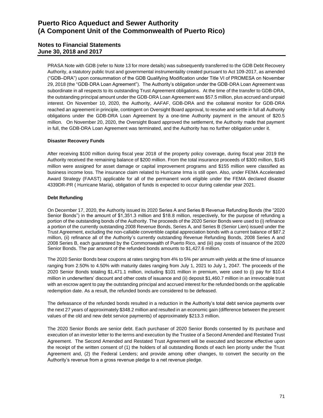### **Notes to Financial Statements June 30, 2018 and 2017**

PRASA Note with GDB (refer to Note 13 for more details) was subsequently transferred to the GDB Debt Recovery Authority, a statutory public trust and governmental instrumentality created pursuant to Act 109-2017, as amended ("GDB–DRA") upon consummation of the GDB Qualifying Modification under Title VI of PROMESA on November 29, 2018 (the "GDB-DRA Loan Agreement"). The Authority's obligation under the GDB-DRA Loan Agreement was subordinate in all respects to its outstanding Trust Agreement obligations. At the time of the transfer to GDB-DRA, the outstanding principal amount under the GDB-DRA Loan Agreement was \$57.5 million, plus accrued and unpaid interest. On November 10, 2020, the Authority, AAFAF, GDB-DRA and the collateral monitor for GDB-DRA reached an agreement in principle, contingent on Oversight Board approval, to resolve and settle in full all Authority obligations under the GDB-DRA Loan Agreement by a one-time Authority payment in the amount of \$20.5 million. On November 20, 2020, the Oversight Board approved the settlement, the Authority made that payment in full, the GDB-DRA Loan Agreement was terminated, and the Authority has no further obligation under it.

#### **Disaster Recovery Funds**

After receiving \$100 million during fiscal year 2018 of the property policy coverage, during fiscal year 2019 the Authority received the remaining balance of \$200 million. From the total insurance proceeds of \$300 million, \$145 million were assigned for asset damage or capital improvement programs and \$155 million were classified as business income loss. The insurance claim related to Hurricane Irma is still open. Also, under FEMA Accelerated Award Strategy (FAAST) applicable for all of the permanent work eligible under the FEMA declared disaster 4339DR-PR ( Hurricane María), obligation of funds is expected to occur during calendar year 2021.

#### **Debt Refunding**

On December 17, 2020, the Authority issued its 2020 Series A and Series B Revenue Refunding Bonds (the "2020 Senior Bonds") in the amount of \$1,351.3 million and \$18.8 million, respectively, for the purpose of refunding a portion of the outstanding bonds of the Authority. The proceeds of the 2020 Senior Bonds were used to (i) refinance a portion of the currently outstanding 2008 Revenue Bonds, Series A, and Series B (Senior Lien) issued under the Trust Agreement, excluding the non-callable convertible capital appreciation bonds with a current balance of \$87.2 million, (ii) refinance all of the Authority's currently outstanding Revenue Refunding Bonds, 2008 Series A and 2008 Series B, each guaranteed by the Commonwealth of Puerto Rico, and (iii) pay costs of issuance of the 2020 Senior Bonds. The par amount of the refunded bonds amounts to \$1,427.6 million.

The 2020 Senior Bonds bear coupons at rates ranging from 4% to 5% per annum with yields at the time of issuance ranging from 2.50% to 4.50% with maturity dates ranging from July 1, 2021 to July 1, 2047. The proceeds of the 2020 Senior Bonds totaling \$1,471.1 million, including \$101 million in premium, were used to (i) pay for \$10.4 million in underwriters' discount and other costs of issuance and (ii) deposit \$1,460.7 million in an irrevocable trust with an escrow agent to pay the outstanding principal and accrued interest for the refunded bonds on the applicable redemption date. As a result, the refunded bonds are considered to be defeased.

The defeasance of the refunded bonds resulted in a reduction in the Authority's total debt service payments over the next 27 years of approximately \$348.2 million and resulted in an economic gain (difference between the present values of the old and new debt service payments) of approximately \$213.3 million.

The 2020 Senior Bonds are senior debt. Each purchaser of 2020 Senior Bonds consented by its purchase and execution of an investor letter to the terms and execution by the Trustee of a Second Amended and Restated Trust Agreement. The Second Amended and Restated Trust Agreement will be executed and become effective upon the receipt of the written consent of (1) the holders of all outstanding Bonds of each lien priority under the Trust Agreement and, (2) the Federal Lenders; and provide among other changes, to convert the security on the Authority's revenue from a gross revenue pledge to a net revenue pledge.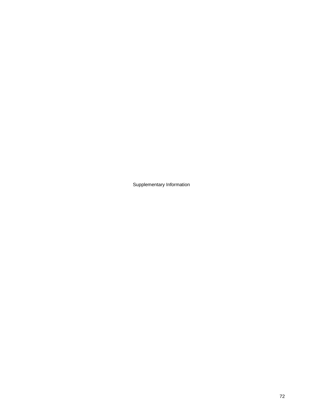Supplementary Information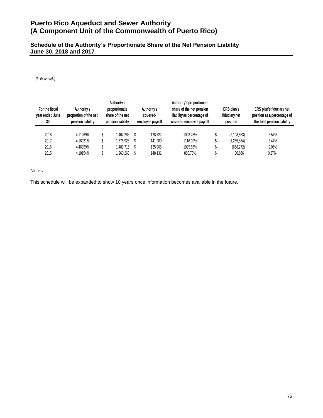## **Schedule of the Authority's Proportionate Share of the Net Pension Liability June 30, 2018 and 2017**

*(In thousands)*

| For the fiscal<br>year ended June<br>30, | Authority's<br>proportion of the net<br>pension liability |  | Authority's<br>proportionate<br>share of the net<br>pension liability |  | Authority's<br>covered-<br>employee payroll | Authority's proportionate<br>share of the net pension<br>liability as percentage of<br>covered-employee payroll |  | <b>ERS plan's</b><br>fiduciary net<br>position       | ERS plan's fiduciary net<br>position as a percentage of<br>the total pension liability |  |
|------------------------------------------|-----------------------------------------------------------|--|-----------------------------------------------------------------------|--|---------------------------------------------|-----------------------------------------------------------------------------------------------------------------|--|------------------------------------------------------|----------------------------------------------------------------------------------------|--|
| 2018<br>2017<br>2016<br>2015             | 4.11269%<br>4.18031%<br>4.46859%<br>4.18154%              |  | 1.407.286<br>1,575,926<br>1.489.715<br>1,260,268                      |  | 128,722<br>141.200<br>135,965<br>148.131    | 1093.28%<br>1116.09%<br>1095.66%<br>850.78%                                                                     |  | (2, 108, 853)<br>(1,265,884)<br>(668, 272)<br>80.666 | $-6.57%$<br>$-3.47%$<br>$-2.05%$<br>0.27%                                              |  |

#### **Notes**

This schedule will be expanded to show 10 years once information becomes available in the future.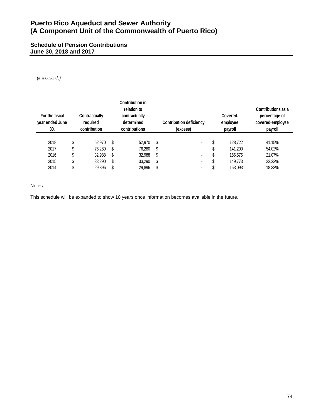## **Schedule of Pension Contributions June 30, 2018 and 2017**

*(In thousands)*

| For the fiscal<br>year ended June<br>30, | <b>Contractually</b><br>required<br>contribution |    | Contribution in<br>relation to<br>contractually<br>determined<br>contributions |    | <b>Contribution deficiency</b><br>(excess) |    | Covered-<br>employee<br>payroll | Contributions as a<br>percentage of<br>covered-employee<br>payroll |  |
|------------------------------------------|--------------------------------------------------|----|--------------------------------------------------------------------------------|----|--------------------------------------------|----|---------------------------------|--------------------------------------------------------------------|--|
| 2018                                     | \$<br>52,970                                     | \$ | 52,970                                                                         | \$ | $\overline{\phantom{0}}$                   | S  | 128.722                         | 41.15%                                                             |  |
| 2017                                     | \$<br>76.280                                     | S  | 76,280                                                                         | S  | $\blacksquare$                             | ۰D | 141.200                         | 54.02%                                                             |  |
| 2016                                     | \$<br>32,988                                     | \$ | 32,988                                                                         | S  | $\blacksquare$                             |    | 156.575                         | 21.07%                                                             |  |
| 2015                                     | \$<br>33,290                                     | \$ | 33,290                                                                         | S  | $\blacksquare$                             | J  | 149.773                         | 22.23%                                                             |  |
| 2014                                     | \$<br>29,896                                     | \$ | 29,896                                                                         | \$ | -                                          |    | 163,093                         | 18.33%                                                             |  |

**Notes** 

This schedule will be expanded to show 10 years once information becomes available in the future.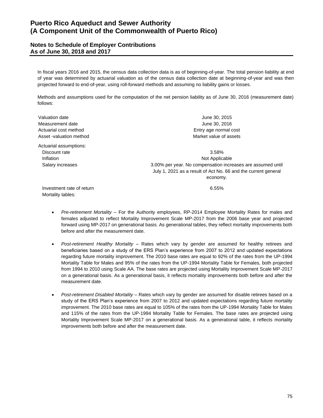### **Notes to Schedule of Employer Contributions As of June 30, 2018 and 2017**

In fiscal years 2016 and 2015, the census data collection data is as of beginning-of-year. The total pension liability at end of year was determined by actuarial valuation as of the census data collection date at beginning-of-year and was then projected forward to end-of-year, using roll-forward methods and assuming no liability gains or losses.

Methods and assumptions used for the computation of the net pension liability as of June 30, 2016 (measurement date) follows:

| Valuation date                                 | June 30, 2015                                                  |
|------------------------------------------------|----------------------------------------------------------------|
| Measurement date                               | June 30, 2016                                                  |
| Actuarial cost method                          | Entry age normal cost                                          |
| Asset -valuation method                        | Market value of assets                                         |
| Actuarial assumptions:                         |                                                                |
| Discount rate                                  | 3.58%                                                          |
| Inflation                                      | Not Applicable                                                 |
| Salary increases                               | 3.00% per year. No compensation increases are assumed until    |
|                                                | July 1, 2021 as a result of Act No. 66 and the current general |
|                                                | economy.                                                       |
| Investment rate of return<br>Mortality tables: | 6.55%                                                          |

- *Pre-retirement Mortality* For the Authority employees, RP-2014 Employee Mortality Rates for males and females adjusted to reflect Mortality Improvement Scale MP-2017 from the 2006 base year and projected forward using MP-2017 on generational basis. As generational tables, they reflect mortality improvements both before and after the measurement date.
- *Post-retirement Healthy Mortality* Rates which vary by gender are assumed for healthy retirees and beneficiaries based on a study of the ERS Plan's experience from 2007 to 2012 and updated expectations regarding future mortality improvement. The 2010 base rates are equal to 92% of the rates from the UP-1994 Mortality Table for Males and 95% of the rates from the UP-1994 Mortality Table for Females, both projected from 1994 to 2010 using Scale AA. The base rates are projected using Mortality Improvement Scale MP-2017 on a generational basis. As a generational basis, it reflects mortality improvements both before and after the measurement date.
- *Post-retirement Disabled Mortality* Rates which vary by gender are assumed for disable retirees based on a study of the ERS Plan's experience from 2007 to 2012 and updated expectations regarding future mortality improvement. The 2010 base rates are equal to 105% of the rates from the UP-1994 Mortality Table for Males and 115% of the rates from the UP-1994 Mortality Table for Females. The base rates are projected using Mortality Improvement Scale MP-2017 on a generational basis. As a generational table, it reflects mortality improvements both before and after the measurement date.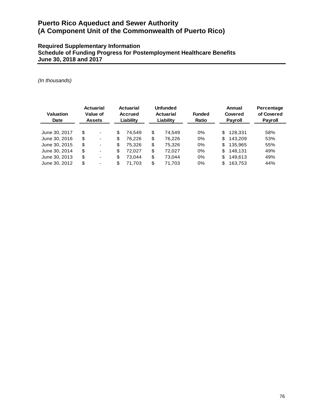### **Required Supplementary Information Schedule of Funding Progress for Postemployment Healthcare Benefits June 30, 2018 and 2017**

*(In thousands)*

| <b>Valuation</b><br>Date | <b>Actuarial</b><br>Value of<br><b>Assets</b> |                          | <b>Actuarial</b><br>Accrued<br>Liability |        | <b>Unfunded</b><br><b>Actuarial</b><br>Liability |        | <b>Funded</b><br>Ratio | Annual<br>Covered<br><b>Payroll</b> |         | Percentage<br>of Covered<br><b>Payroll</b> |  |
|--------------------------|-----------------------------------------------|--------------------------|------------------------------------------|--------|--------------------------------------------------|--------|------------------------|-------------------------------------|---------|--------------------------------------------|--|
| June 30, 2017            | \$                                            | $\overline{\phantom{a}}$ | \$                                       | 74.549 | \$                                               | 74.549 | 0%                     | \$.                                 | 128.331 | 58%                                        |  |
| June 30, 2016            | \$                                            | ٠                        | \$                                       | 76.226 | \$                                               | 76.226 | 0%                     | \$                                  | 143.209 | 53%                                        |  |
| June 30, 2015            | \$                                            | ۰                        | \$                                       | 75.326 | \$                                               | 75.326 | 0%                     | \$                                  | 135.965 | 55%                                        |  |
| June 30, 2014            | \$                                            | ٠                        | \$                                       | 72.027 | \$                                               | 72.027 | 0%                     | \$                                  | 148.131 | 49%                                        |  |
| June 30, 2013            | \$                                            | ۰                        | \$                                       | 73.044 | \$                                               | 73.044 | 0%                     | \$                                  | 149.613 | 49%                                        |  |
| June 30, 2012            | \$                                            | ۰                        | \$                                       | 71,703 | \$                                               | 71,703 | 0%                     | \$                                  | 163,753 | 44%                                        |  |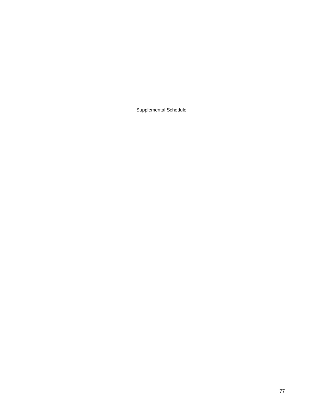Supplemental Schedule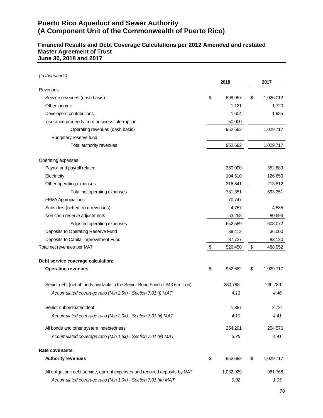## **Financial Results and Debt Coverage Calculations per 2012 Amended and restated Master Agreement of Trust June 30, 2018 and 2017**

| (In thousands)                                                                 | 2018          | 2017            |
|--------------------------------------------------------------------------------|---------------|-----------------|
| Revenues                                                                       |               |                 |
| Service revenues (cash basis)                                                  | \$<br>899,957 | \$<br>1,026,012 |
| Other income                                                                   | 1,121         | 1,720           |
| Developers contributions                                                       | 1,604         | 1,985           |
| Insurance proceeds from business interruption                                  | 50,000        |                 |
| Operating revenues (cash basis)                                                | 952,682       | 1,029,717       |
| Budgetary reserve fund                                                         |               |                 |
| Total authority revenues                                                       | 952,682       | 1,029,717       |
| Operating expenses:                                                            |               |                 |
| Payroll and payroll related                                                    | 360,000       | 352,889         |
| Electricity                                                                    | 104,510       | 126,650         |
| Other operating expenses                                                       | 316,841       | 213,812         |
| Total net operating expenses                                                   | 781,351       | 693,351         |
| <b>FEMA Appropiations</b>                                                      | 70,747        |                 |
| Subsidies (netted from revenues)                                               | 4,757         | 4,585           |
| Non cash reserve adjustments                                                   | 53,258        | 80,694          |
| Adjusted operating expenses                                                    | 652,589       | 608,072         |
| Deposits to Operating Reserve Fund                                             | 38,412        | 36,000          |
| Deposits to Capital Improvement Fund                                           | 87,727        | 83,120          |
| Total net revenues per MAT                                                     | \$<br>526,450 | \$<br>488,952   |
| Debt service coverage calculation:                                             |               |                 |
| <b>Operating revenues</b>                                                      | \$<br>952,682 | \$<br>1,029,717 |
| Senior debt (net of funds available in the Senior Bond Fund of \$43.6 million) | 230,788       | 230,789         |
| Accumulated coverage ratio (Min 2.5x) - Section 7.01 (i) MAT                   | 4.13          | 4.46            |
| Senior subordinated debt                                                       | 1,387         | 2,721           |
| Accumulated coverage ratio (Min 2.0x) - Section 7.01 (ii) MAT                  | 4.10          | 4.41            |
| All bonds and other system indebtedness                                        | 254,201       | 254,576         |
| Accumulated coverage ratio (Min 1.5x) - Section 7.01 (iii) MAT                 | 3.75          | 4.41            |
| Rate covenants:                                                                |               |                 |
| <b>Authority revenues</b>                                                      | \$<br>952,682 | \$<br>1,029,717 |
| All obligations debt service, current expenses and required deposits by MAT    | 1,032,929     | 981,768         |
| Accumulated coverage ratio (Min 1.0x) - Section 7.01 (iv) MAT                  | 0.92          | 1.05            |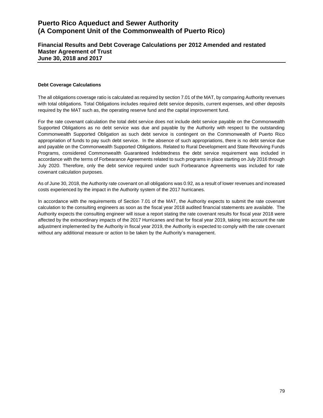### **Financial Results and Debt Coverage Calculations per 2012 Amended and restated Master Agreement of Trust June 30, 2018 and 2017**

#### **Debt Coverage Calculations**

The all obligations coverage ratio is calculated as required by section 7.01 of the MAT, by comparing Authority revenues with total obligations. Total Obligations includes required debt service deposits, current expenses, and other deposits required by the MAT such as, the operating reserve fund and the capital improvement fund.

For the rate covenant calculation the total debt service does not include debt service payable on the Commonwealth Supported Obligations as no debt service was due and payable by the Authority with respect to the outstanding Commonwealth Supported Obligation as such debt service is contingent on the Commonwealth of Puerto Rico appropriation of funds to pay such debt service. In the absence of such appropriations, there is no debt service due and payable on the Commonwealth Supported Obligations. Related to Rural Development and State Revolving Funds Programs, considered Commonwealth Guaranteed Indebtedness the debt service requirement was included in accordance with the terms of Forbearance Agreements related to such programs in place starting on July 2016 through July 2020. Therefore, only the debt service required under such Forbearance Agreements was included for rate covenant calculation purposes.

As of June 30, 2018, the Authority rate covenant on all obligations was 0.92, as a result of lower revenues and increased costs experienced by the impact in the Authority system of the 2017 hurricanes.

In accordance with the requirements of Section 7.01 of the MAT, the Authority expects to submit the rate covenant calculation to the consulting engineers as soon as the fiscal year 2018 audited financial statements are available. The Authority expects the consulting engineer will issue a report stating the rate covenant results for fiscal year 2018 were affected by the extraordinary impacts of the 2017 Hurricanes and that for fiscal year 2019, taking into account the rate adjustment implemented by the Authority in fiscal year 2019, the Authority is expected to comply with the rate covenant without any additional measure or action to be taken by the Authority's management.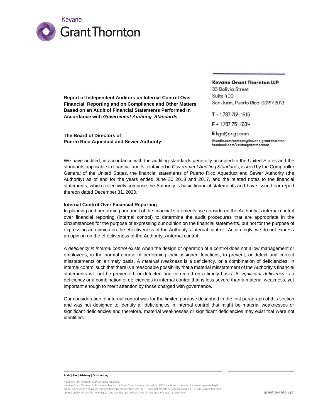

**Report of Independent Auditors on Internal Control Over Financial Reporting and on Compliance and Other Matters Based on an Audit of Financial Statements Performed in Accordance with** *Government Auditing Standards*

**The Board of Directors of Puerto Rico Aqueduct and Sewer Authority:** Kevane Grant Thornton LLP

33 Bolivia Street Suite 400 San Juan, Puerto Rico 00917-2013

 $T + 17877541915$ 

F + 1787 751 1284

**E** kgt@pr.gt.com

linkedin.com/company/kevane-grant-thornton facebook.com/kevanegrantthornton

We have audited, in accordance with the auditing standards generally accepted in the United States and the standards applicable to financial audits contained in *Government Auditing Standards*, issued by the Comptroller General of the United States, the financial statements of Puerto Rico Aqueduct and Sewer Authority (the Authority) as of and for the years ended June 30 2018 and 2017, and the related notes to the financial statements, which collectively comprise the Authority 's basic financial statements and have issued our report thereon dated December 31, 2020.

#### **Internal Control Over Financial Reporting**

In planning and performing our audit of the financial statements, we considered the Authority 's internal control over financial reporting (internal control) to determine the audit procedures that are appropriate in the circumstances for the purpose of expressing our opinion on the financial statements, but not for the purpose of expressing an opinion on the effectiveness of the Authority's internal control. Accordingly, we do not express an opinion on the effectiveness of the Authority's internal control.

A *deficiency in internal control* exists when the design or operation of a control does not allow management or employees, in the normal course of performing their assigned functions, to prevent, or detect and correct misstatements on a timely basis. A *material weakness* is a deficiency, or a combination of deficiencies, in internal control such that there is a reasonable possibility that a material misstatement of the Authority's financial statements will not be prevented, or detected and corrected on a timely basis. A *significant deficiency* is a deficiency or a combination of deficiencies in internal control that is less severe than a material weakness, yet important enough to merit attention by those charged with governance.

Our consideration of internal control was for the limited purpose described in the first paragraph of this section and was not designed to identify all deficiencies in internal control that might be material weaknesses or significant deficiencies and therefore, material weaknesses or significant deficiencies may exist that were not identified.

**Audit | Tax | Advisory | Outsourcing**

Kevane Grant Thornton LLP, all rights reserved. Kevane Grant Thornton LLP is a member firm of Grant Thornton International Ltd (GTIL) and each member firm are a separate legal entity. Services are delivered independently by the member firm. GTIL does not provide services to clients. GTIL and its member firms are not agents of, and do not obligate, one another and are not liable for one another's acts or omissions. **grantthornton.pr**